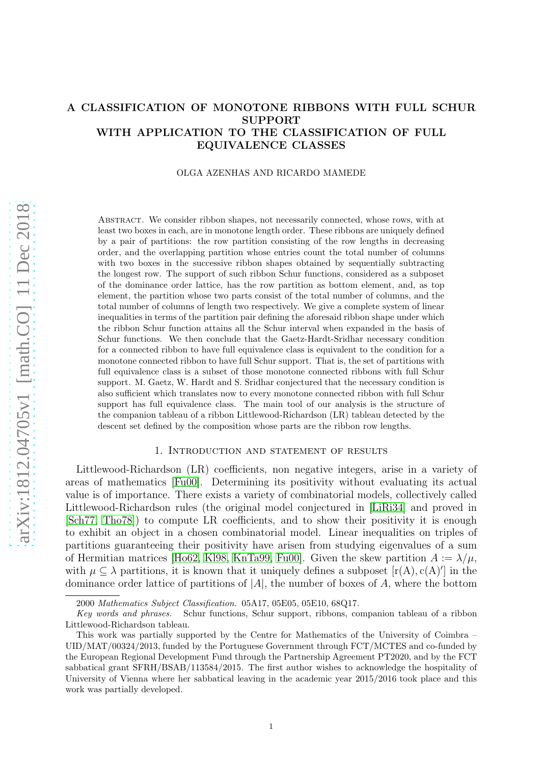# A CLASSIFICATION OF MONOTONE RIBBONS WITH FULL SCHUR SUPPORT WITH APPLICATION TO THE CLASSIFICATION OF FULL EQUIVALENCE CLASSES

### OLGA AZENHAS AND RICARDO MAMEDE

Abstract. We consider ribbon shapes, not necessarily connected, whose rows, with at least two boxes in each, are in monotone length order. These ribbons are uniquely defined by a pair of partitions: the row partition consisting of the row lengths in decreasing order, and the overlapping partition whose entries count the total number of columns with two boxes in the successive ribbon shapes obtained by sequentially subtracting the longest row. The support of such ribbon Schur functions, considered as a subposet of the dominance order lattice, has the row partition as bottom element, and, as top element, the partition whose two parts consist of the total number of columns, and the total number of columns of length two respectively. We give a complete system of linear inequalities in terms of the partition pair defining the aforesaid ribbon shape under which the ribbon Schur function attains all the Schur interval when expanded in the basis of Schur functions. We then conclude that the Gaetz-Hardt-Sridhar necessary condition for a connected ribbon to have full equivalence class is equivalent to the condition for a monotone connected ribbon to have full Schur support. That is, the set of partitions with full equivalence class is a subset of those monotone connected ribbons with full Schur support. M. Gaetz, W. Hardt and S. Sridhar conjectured that the necessary condition is also sufficient which translates now to every monotone connected ribbon with full Schur support has full equivalence class. The main tool of our analysis is the structure of the companion tableau of a ribbon Littlewood-Richardson (LR) tableau detected by the descent set defined by the composition whose parts are the ribbon row lengths.

### 1. Introduction and statement of results

Littlewood-Richardson (LR) coefficients, non negative integers, arise in a variety of areas of mathematics [\[Fu00\]](#page-35-0). Determining its positivity without evaluating its actual value is of importance. There exists a variety of combinatorial models, collectively called Littlewood-Richardson rules (the original model conjectured in [\[LiRi34\]](#page-35-1) and proved in [\[Sch77,](#page-35-2) [Tho78\]](#page-35-3)) to compute LR coefficients, and to show their positivity it is enough to exhibit an object in a chosen combinatorial model. Linear inequalities on triples of partitions guaranteeing their positivity have arisen from studying eigenvalues of a sum of Hermitian matrices [\[Ho62,](#page-35-4) [Kl98,](#page-35-5) [KnTa99,](#page-35-6) [Fu00\]](#page-35-0). Given the skew partition  $A := \lambda/\mu$ , with  $\mu \subseteq \lambda$  partitions, it is known that it uniquely defines a subposet  $[r(A), c(A)']$  in the dominance order lattice of partitions of  $|A|$ , the number of boxes of A, where the bottom

<sup>2000</sup> *Mathematics Subject Classification.* 05A17, 05E05, 05E10, 68Q17.

*Key words and phrases.* Schur functions, Schur support, ribbons, companion tableau of a ribbon Littlewood-Richardson tableau.

This work was partially supported by the Centre for Mathematics of the University of Coimbra – UID/MAT/00324/2013, funded by the Portuguese Government through FCT/MCTES and co-funded by the European Regional Development Fund through the Partnership Agreement PT2020, and by the FCT sabbatical grant SFRH/BSAB/113584/2015. The first author wishes to acknowledge the hospitality of University of Vienna where her sabbatical leaving in the academic year 2015/2016 took place and this work was partially developed.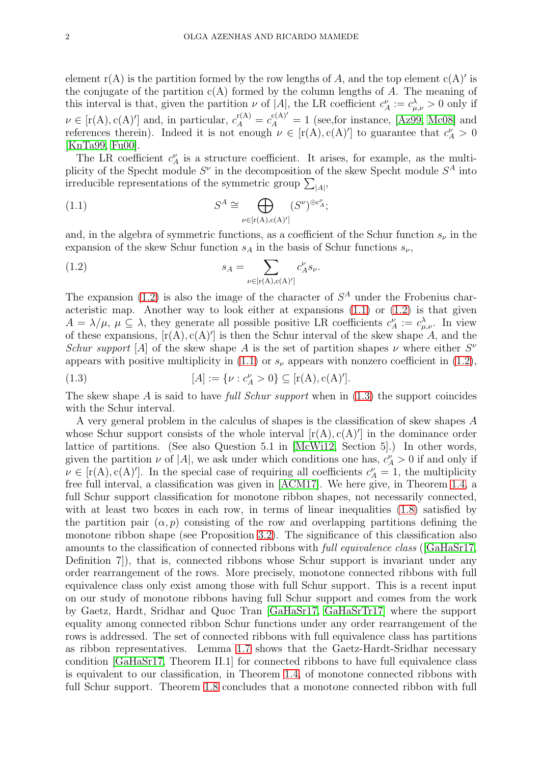element  $r(A)$  is the partition formed by the row lengths of A, and the top element  $c(A)'$  is the conjugate of the partition  $c(A)$  formed by the column lengths of A. The meaning of this interval is that, given the partition  $\nu$  of |A|, the LR coefficient  $c_A^{\nu} := c_{\mu,\nu}^{\lambda} > 0$  only if  $\nu \in [\text{r}(A), \text{c}(A)']$  and, in particular,  $c_A^{\text{r}(A)} = c_A^{\text{c}(A)'} = 1$  (see, for instance, [\[Az99,](#page-34-0) [Mc08\]](#page-35-7) and references therein). Indeed it is not enough  $\nu \in [r(A), c(A)']$  to guarantee that  $c_A^{\nu} > 0$ [\[KnTa99,](#page-35-6) [Fu00\]](#page-35-0).

The LR coefficient  $c_A^{\nu}$  is a structure coefficient. It arises, for example, as the multiplicity of the Specht module  $S^{\nu}$  in the decomposition of the skew Specht module  $S^A$  into irreducible representations of the symmetric group  $\sum_{|A|}$ ,

<span id="page-1-1"></span>(1.1) 
$$
S^{A} \cong \bigoplus_{\nu \in [r(A), c(A)'] } (S^{\nu})^{\oplus c_{A}^{\nu}};
$$

and, in the algebra of symmetric functions, as a coefficient of the Schur function  $s_{\nu}$  in the expansion of the skew Schur function  $s_A$  in the basis of Schur functions  $s_{\nu}$ ,

<span id="page-1-0"></span>(1.2) 
$$
s_A = \sum_{\nu \in [\mathbf{r}(\mathbf{A}), \mathbf{c}(\mathbf{A})']} c_A^{\nu} s_{\nu}.
$$

The expansion [\(1.2\)](#page-1-0) is also the image of the character of  $S<sup>A</sup>$  under the Frobenius characteristic map. Another way to look either at expansions [\(1.1\)](#page-1-1) or [\(1.2\)](#page-1-0) is that given  $A = \lambda/\mu$ ,  $\mu \subseteq \lambda$ , they generate all possible positive LR coefficients  $c_A^{\nu} := c_{\mu,\nu}^{\lambda}$ . In view of these expansions,  $[r(A), c(A)']$  is then the Schur interval of the skew shape A, and the Schur support [A] of the skew shape A is the set of partition shapes  $\nu$  where either  $S^{\nu}$ appears with positive multiplicity in [\(1.1\)](#page-1-1) or  $s_{\nu}$  appears with nonzero coefficient in [\(1.2\)](#page-1-0),

<span id="page-1-2"></span>(1.3) 
$$
[A] := \{ \nu : c_A^{\nu} > 0 \} \subseteq [r(A), c(A)'].
$$

The skew shape A is said to have full Schur support when in  $(1.3)$  the support coincides with the Schur interval.

A very general problem in the calculus of shapes is the classification of skew shapes A whose Schur support consists of the whole interval  $[r(A), c(A)']$  in the dominance order lattice of partitions. (See also Question 5.1 in [\[McWi12,](#page-35-8) Section 5].) In other words, given the partition  $\nu$  of |A|, we ask under which conditions one has,  $c_A^{\nu} > 0$  if and only if  $\nu \in [r(A), c(A)']$ . In the special case of requiring all coefficients  $c_A^{\nu} = 1$ , the multiplicity free full interval, a classification was given in [\[ACM17\]](#page-34-1). We here give, in Theorem [1.4,](#page-4-0) a full Schur support classification for monotone ribbon shapes, not necessarily connected, with at least two boxes in each row, in terms of linear inequalities  $(1.8)$  satisfied by the partition pair  $(\alpha, p)$  consisting of the row and overlapping partitions defining the monotone ribbon shape (see Proposition [3.2\)](#page-13-0). The significance of this classification also amounts to the classification of connected ribbons with full equivalence class ([\[GaHaSr17,](#page-35-9) Definition 7]), that is, connected ribbons whose Schur support is invariant under any order rearrangement of the rows. More precisely, monotone connected ribbons with full equivalence class only exist among those with full Schur support. This is a recent input on our study of monotone ribbons having full Schur support and comes from the work by Gaetz, Hardt, Sridhar and Quoc Tran [\[GaHaSr17,](#page-35-9) [GaHaSrTr17\]](#page-35-10) where the support equality among connected ribbon Schur functions under any order rearrangement of the rows is addressed. The set of connected ribbons with full equivalence class has partitions as ribbon representatives. Lemma [1.7](#page-5-0) shows that the Gaetz-Hardt-Sridhar necessary condition [\[GaHaSr17,](#page-35-9) Theorem II.1] for connected ribbons to have full equivalence class is equivalent to our classification, in Theorem [1.4,](#page-4-0) of monotone connected ribbons with full Schur support. Theorem [1.8](#page-5-1) concludes that a monotone connected ribbon with full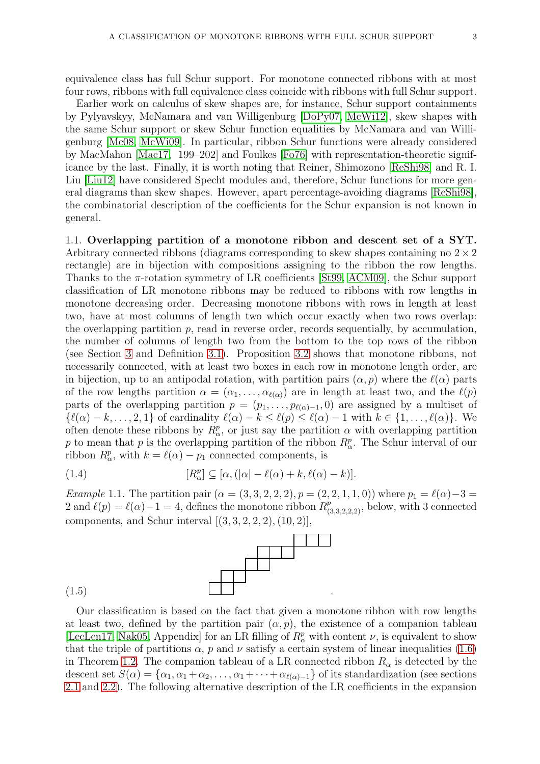equivalence class has full Schur support. For monotone connected ribbons with at most four rows, ribbons with full equivalence class coincide with ribbons with full Schur support.

Earlier work on calculus of skew shapes are, for instance, Schur support containments by Pylyavskyy, McNamara and van Willigenburg [\[DoPy07,](#page-35-11) [McWi12\]](#page-35-8), skew shapes with the same Schur support or skew Schur function equalities by McNamara and van Willigenburg [\[Mc08,](#page-35-7) [McWi09\]](#page-35-12). In particular, ribbon Schur functions were already considered by MacMahon [\[Mac17,](#page-35-13) 199–202] and Foulkes [\[Fo76\]](#page-35-14) with representation-theoretic significance by the last. Finally, it is worth noting that Reiner, Shimozono [\[ReShi98\]](#page-35-15) and R. I. Liu [\[Liu12\]](#page-35-16) have considered Specht modules and, therefore, Schur functions for more general diagrams than skew shapes. However, apart percentage-avoiding diagrams [\[ReShi98\]](#page-35-15), the combinatorial description of the coefficients for the Schur expansion is not known in general.

1.1. Overlapping partition of a monotone ribbon and descent set of a SYT. Arbitrary connected ribbons (diagrams corresponding to skew shapes containing no  $2 \times 2$ ) rectangle) are in bijection with compositions assigning to the ribbon the row lengths. Thanks to the  $\pi$ -rotation symmetry of LR coefficients [\[St99,](#page-35-17) [ACM09\]](#page-34-2), the Schur support classification of LR monotone ribbons may be reduced to ribbons with row lengths in monotone decreasing order. Decreasing monotone ribbons with rows in length at least two, have at most columns of length two which occur exactly when two rows overlap: the overlapping partition  $p$ , read in reverse order, records sequentially, by accumulation, the number of columns of length two from the bottom to the top rows of the ribbon (see Section [3](#page-12-0) and Definition [3.1\)](#page-13-1). Proposition [3.2](#page-13-0) shows that monotone ribbons, not necessarily connected, with at least two boxes in each row in monotone length order, are in bijection, up to an antipodal rotation, with partition pairs  $(\alpha, p)$  where the  $\ell(\alpha)$  parts of the row lengths partition  $\alpha = (\alpha_1, \ldots, \alpha_{\ell(\alpha)})$  are in length at least two, and the  $\ell(p)$ parts of the overlapping partition  $p = (p_1, \ldots, p_{\ell(\alpha)-1}, 0)$  are assigned by a multiset of  $\{\ell(\alpha) - k, \ldots, 2, 1\}$  of cardinality  $\ell(\alpha) - k \leq \ell(p) \leq \ell(\alpha) - 1$  with  $k \in \{1, \ldots, \ell(\alpha)\}.$  We often denote these ribbons by  $R^p_\alpha$ , or just say the partition  $\alpha$  with overlapping partition p to mean that p is the overlapping partition of the ribbon  $R^p_\alpha$ . The Schur interval of our ribbon  $R^p_\alpha$ , with  $k = \ell(\alpha) - p_1$  connected components, is

<span id="page-2-0"></span>(1.4) 
$$
[R_{\alpha}^p] \subseteq [\alpha, (|\alpha| - \ell(\alpha) + k, \ell(\alpha) - k)].
$$

<span id="page-2-1"></span>Example 1.1. The partition pair  $(\alpha = (3, 3, 2, 2, 2), p = (2, 2, 1, 1, 0)$  where  $p_1 = \ell(\alpha) - 3 =$ 2 and  $\ell(p) = \ell(\alpha) - 1 = 4$ , defines the monotone ribbon  $R^p_{(3,3,2,2,2)}$ , below, with 3 connected components, and Schur interval  $[(3, 3, 2, 2, 2), (10, 2)],$ 



Our classification is based on the fact that given a monotone ribbon with row lengths at least two, defined by the partition pair  $(\alpha, p)$ , the existence of a companion tableau [\[LecLen17,](#page-35-18) [Nak05,](#page-35-19) Appendix] for an LR filling of  $R^p_\alpha$  with content  $\nu$ , is equivalent to show that the triple of partitions  $\alpha$ , p and  $\nu$  satisfy a certain system of linear inequalities [\(1.6\)](#page-4-2) in Theorem [1.2.](#page-4-3) The companion tableau of a LR connected ribbon  $R_{\alpha}$  is detected by the descent set  $S(\alpha) = {\alpha_1, \alpha_1 + \alpha_2, \dots, \alpha_1 + \dots + \alpha_{\ell(\alpha)-1}}$  of its standardization (see sections [2.1](#page-7-0) and [2.2\)](#page-7-1). The following alternative description of the LR coefficients in the expansion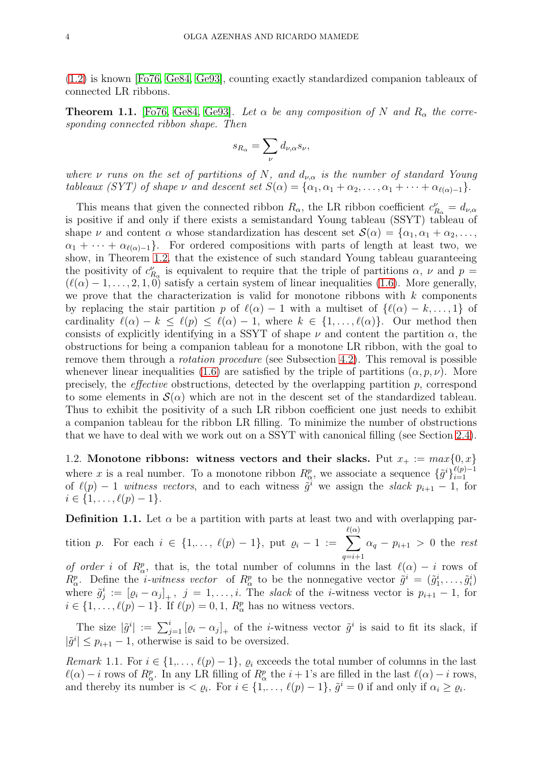[\(1.2\)](#page-1-0) is known [\[Fo76,](#page-35-14) [Ge84,](#page-35-20) [Ge93\]](#page-35-21), counting exactly standardized companion tableaux of connected LR ribbons.

<span id="page-3-0"></span>**Theorem 1.1.** [\[Fo76,](#page-35-14) [Ge84,](#page-35-20) [Ge93\]](#page-35-21). Let  $\alpha$  be any composition of N and  $R_{\alpha}$  the corresponding connected ribbon shape. Then

$$
s_{R_{\alpha}} = \sum_{\nu} d_{\nu,\alpha} s_{\nu},
$$

where  $\nu$  runs on the set of partitions of N, and  $d_{\nu,\alpha}$  is the number of standard Young tableaux (SYT) of shape  $\nu$  and descent set  $S(\alpha) = {\alpha_1, \alpha_1 + \alpha_2, \ldots, \alpha_1 + \cdots + \alpha_{\ell(\alpha)-1}}$ .

This means that given the connected ribbon  $R_{\alpha}$ , the LR ribbon coefficient  $c_{R_{\alpha}}^{\nu} = d_{\nu,\alpha}$ is positive if and only if there exists a semistandard Young tableau (SSYT) tableau of shape  $\nu$  and content  $\alpha$  whose standardization has descent set  $\mathcal{S}(\alpha) = {\alpha_1, \alpha_1 + \alpha_2, \ldots, \alpha_n}$  $\alpha_1 + \cdots + \alpha_{\ell(\alpha)-1}$ . For ordered compositions with parts of length at least two, we show, in Theorem [1.2,](#page-4-3) that the existence of such standard Young tableau guaranteeing the positivity of  $c_{R_{\alpha}}^{\nu}$  is equivalent to require that the triple of partitions  $\alpha$ ,  $\nu$  and  $p =$  $(\ell(\alpha) - 1, \ldots, 2, 1, 0)$  satisfy a certain system of linear inequalities [\(1.6\)](#page-4-2). More generally, we prove that the characterization is valid for monotone ribbons with  $k$  components by replacing the stair partition p of  $\ell(\alpha) - 1$  with a multiset of  $\ell(\alpha) - k, \ldots, 1$  of cardinality  $\ell(\alpha) - k \leq \ell(p) \leq \ell(\alpha) - 1$ , where  $k \in \{1, ..., \ell(\alpha)\}\$ . Our method then consists of explicitly identifying in a SSYT of shape  $\nu$  and content the partition  $\alpha$ , the obstructions for being a companion tableau for a monotone LR ribbon, with the goal to remove them through a *rotation procedure* (see Subsection [4.2\)](#page-19-0). This removal is possible whenever linear inequalities [\(1.6\)](#page-4-2) are satisfied by the triple of partitions  $(\alpha, p, \nu)$ . More precisely, the *effective* obstructions, detected by the overlapping partition  $p$ , correspond to some elements in  $\mathcal{S}(\alpha)$  which are not in the descent set of the standardized tableau. Thus to exhibit the positivity of a such LR ribbon coefficient one just needs to exhibit a companion tableau for the ribbon LR filling. To minimize the number of obstructions that we have to deal with we work out on a SSYT with canonical filling (see Section [2.4\)](#page-9-0).

1.2. Monotone ribbons: witness vectors and their slacks. Put  $x_+ := max\{0, x\}$ where x is a real number. To a monotone ribbon  $R^p_\alpha$ , we associate a sequence  $\{\tilde{g}^i\}_{i=1}^{\ell(p)-1}$  $\frac{i=1}{i}$ of  $\ell(p) - 1$  witness vectors, and to each witness  $\tilde{g}^i$  we assign the slack  $p_{i+1} - 1$ , for  $i \in \{1, \ldots, \ell(p)-1\}.$ 

<span id="page-3-1"></span>**Definition 1.1.** Let  $\alpha$  be a partition with parts at least two and with overlapping par-

tition p. For each  $i \in \{1,\ldots, \ell(p)-1\}$ , put  $\varrho_i - 1 := \sum$  $\ell(\alpha)$  $q = i + 1$  $\alpha_q - p_{i+1} > 0$  the rest of order i of  $R^p_\alpha$ , that is, the total number of columns in the last  $\ell(\alpha) - i$  rows of  $R^p_\alpha$ . Define the *i-witness vector* of  $R^p_\alpha$  to be the nonnegative vector  $\tilde{g}^i = (\tilde{g}_1^i, \ldots, \tilde{g}_i^i)$ where  $\tilde{g}_j^i := [\varrho_i - \alpha_j]_+$ ,  $j = 1, \ldots, i$ . The slack of the *i*-witness vector is  $p_{i+1} - 1$ , for  $i \in \{1, \ldots, \ell(p)-1\}$ . If  $\ell(p) = 0, 1, R_{\alpha}^{p}$  has no witness vectors.

The size  $|\tilde{g}^i| := \sum_{j=1}^i [\varrho_i - \alpha_j]_+$  of the *i*-witness vector  $\tilde{g}^i$  is said to fit its slack, if  $|\tilde{g}^i| \leq p_{i+1} - 1$ , otherwise is said to be oversized.

Remark 1.1. For  $i \in \{1,\ldots,\ell(p)-1\}$ ,  $\varrho_i$  exceeds the total number of columns in the last  $\ell(\alpha) - i$  rows of  $R^p_\alpha$ . In any LR filling of  $R^p_\alpha$  the  $i + 1$ 's are filled in the last  $\ell(\alpha) - i$  rows, and thereby its number is  $\langle \varrho_i, \text{ For } i \in \{1, \ldots, \ell(p)-1\}, \tilde{g}^i = 0 \text{ if and only if } \alpha_i \geq \varrho_i.$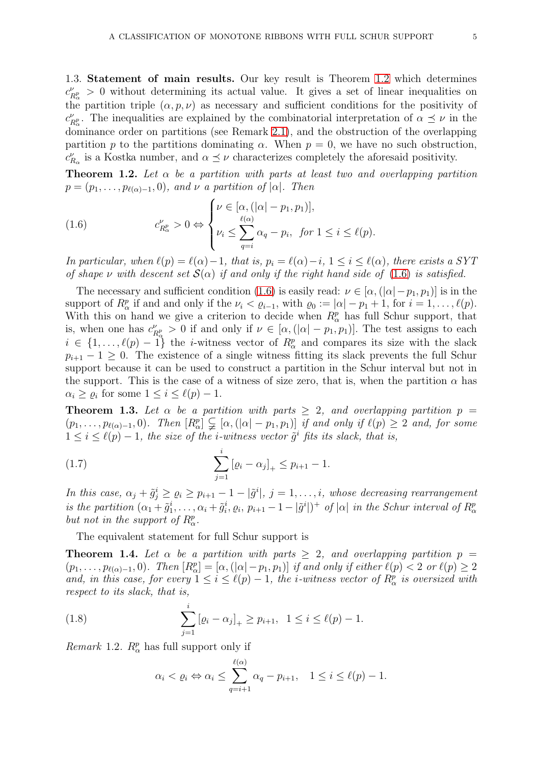1.3. Statement of main results. Our key result is Theorem [1.2](#page-4-3) which determines  $c^{\nu}_{I}$  $P_{R_{\alpha}}^{\nu} > 0$  without determining its actual value. It gives a set of linear inequalities on the partition triple  $(\alpha, p, \nu)$  as necessary and sufficient conditions for the positivity of  $c^{\nu}_{I}$  $P_{R_{\alpha}}^{\nu}$ . The inequalities are explained by the combinatorial interpretation of  $\alpha \preceq \nu$  in the dominance order on partitions (see Remark [2.1\)](#page-9-1), and the obstruction of the overlapping partition p to the partitions dominating  $\alpha$ . When  $p = 0$ , we have no such obstruction,  $c_{R_\alpha}^{\nu}$  is a Kostka number, and  $\alpha \preceq \nu$  characterizes completely the aforesaid positivity.

<span id="page-4-3"></span>**Theorem 1.2.** Let  $\alpha$  be a partition with parts at least two and overlapping partition  $p = (p_1, \ldots, p_{\ell(\alpha)-1}, 0)$ , and  $\nu$  a partition of  $|\alpha|$ . Then

<span id="page-4-2"></span>(1.6) 
$$
c_{R_{\alpha}}^{\nu} > 0 \Leftrightarrow \begin{cases} \nu \in [\alpha, (|\alpha| - p_1, p_1)], \\ \nu_i \leq \sum_{q=i}^{\ell(\alpha)} \alpha_q - p_i, \text{ for } 1 \leq i \leq \ell(p). \end{cases}
$$

In particular, when  $\ell(p) = \ell(\alpha) - 1$ , that is,  $p_i = \ell(\alpha) - i$ ,  $1 \leq i \leq \ell(\alpha)$ , there exists a SYT of shape v with descent set  $\mathcal{S}(\alpha)$  if and only if the right hand side of [\(1.6\)](#page-4-2) is satisfied.

The necessary and sufficient condition [\(1.6\)](#page-4-2) is easily read:  $\nu \in [\alpha, (|\alpha| - p_1, p_1)]$  is in the support of  $R_{\alpha}^p$  if and and only if the  $\nu_i < \varrho_{i-1}$ , with  $\varrho_0 := |\alpha| - p_1 + 1$ , for  $i = 1, \ldots, \ell(p)$ . With this on hand we give a criterion to decide when  $R^p_\alpha$  has full Schur support, that is, when one has  $c_{\mu}^{\nu}$  $P_{R_{\alpha}}^{\nu} > 0$  if and only if  $\nu \in [\alpha, (\vert \alpha \vert - p_1, p_1)].$  The test assigns to each  $i \in \{1, \ldots, \ell(p)-1\}$  the *i*-witness vector of  $R^p_\alpha$  and compares its size with the slack  $p_{i+1} - 1 \geq 0$ . The existence of a single witness fitting its slack prevents the full Schur support because it can be used to construct a partition in the Schur interval but not in the support. This is the case of a witness of size zero, that is, when the partition  $\alpha$  has  $\alpha_i \geq \varrho_i$  for some  $1 \leq i \leq \ell(p)-1$ .

<span id="page-4-4"></span>**Theorem 1.3.** Let  $\alpha$  be a partition with parts  $\geq 2$ , and overlapping partition  $p =$  $(p_1,\ldots,p_{\ell(\alpha)-1},0)$ . Then  $[R^p_\alpha]\subsetneq[\alpha,(\vert\alpha\vert-p_1,p_1)]$  if and only if  $\ell(p)\geq 2$  and, for some  $1 \leq i \leq \ell(p) - 1$ , the size of the *i*-witness vector  $\tilde{g}^i$  fits its slack, that is,

(1.7) 
$$
\sum_{j=1}^{i} [\varrho_i - \alpha_j]_+ \leq p_{i+1} - 1.
$$

In this case,  $\alpha_j + \tilde{g}_j^i \geq \varrho_i \geq p_{i+1} - 1 - |\tilde{g}^i|$ ,  $j = 1, \ldots, i$ , whose decreasing rearrangement is the partition  $(\alpha_1 + \tilde{g}_1^i, \ldots, \alpha_i + \tilde{g}_i^i, \varrho_i, p_{i+1} - 1 - |\tilde{g}^i|)^+$  of  $|\alpha|$  in the Schur interval of  $R^p_\alpha$ but not in the support of  $R^p_\alpha$ .

The equivalent statement for full Schur support is

<span id="page-4-0"></span>**Theorem 1.4.** Let  $\alpha$  be a partition with parts  $> 2$ , and overlapping partition  $p =$  $(p_1,\ldots,p_{\ell(\alpha)-1},0)$ . Then  $[R^p_\alpha]=[\alpha,(|\alpha|-p_1,p_1)]$  if and only if either  $\ell(p)<2$  or  $\ell(p)\geq 2$ and, in this case, for every  $1 \leq i \leq \ell(p)-1$ , the *i*-witness vector of  $R^p_\alpha$  is oversized with respect to its slack, that is,

(1.8) 
$$
\sum_{j=1}^{i} [\varrho_i - \alpha_j]_+ \ge p_{i+1}, \ \ 1 \le i \le \ell(p) - 1.
$$

<span id="page-4-5"></span>*Remark* 1.2.  $R^p_\alpha$  has full support only if

<span id="page-4-1"></span>
$$
\alpha_i < \varrho_i \Leftrightarrow \alpha_i \le \sum_{q=i+1}^{\ell(\alpha)} \alpha_q - p_{i+1}, \quad 1 \le i \le \ell(p) - 1.
$$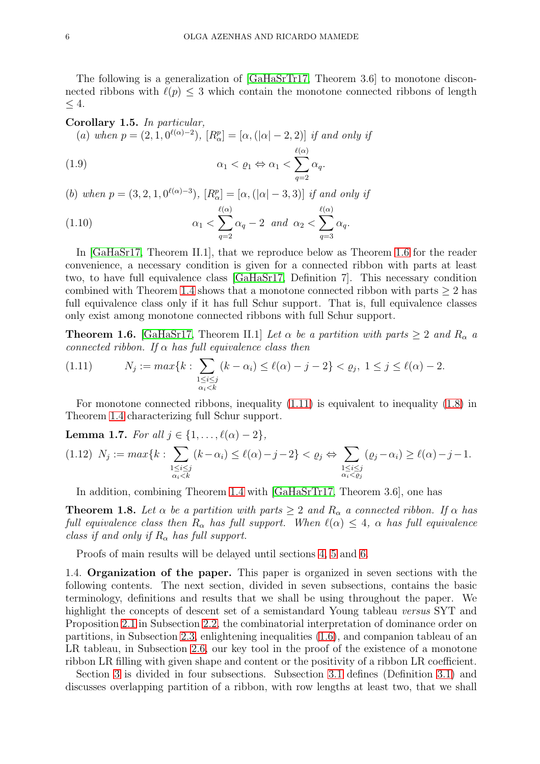The following is a generalization of [\[GaHaSrTr17,](#page-35-10) Theorem 3.6] to monotone disconnected ribbons with  $\ell(p) \leq 3$  which contain the monotone connected ribbons of length  $< 4$ .

### <span id="page-5-4"></span>Corollary 1.5. In particular,

<span id="page-5-5"></span>(a) when  $p = (2, 1, 0^{\ell(\alpha)-2})$ ,  $[R_{\alpha}^p] = [\alpha, (|\alpha| - 2, 2)]$  if and only if

(1.9) 
$$
\alpha_1 < \varrho_1 \Leftrightarrow \alpha_1 < \sum_{q=2}^{\ell(\alpha)} \alpha_q.
$$

(b) when  $p = (3, 2, 1, 0^{\ell(\alpha)-3})$ ,  $[R_{\alpha}^p] = [\alpha, (|\alpha| - 3, 3)]$  if and only if

<span id="page-5-6"></span>(1.10) 
$$
\alpha_1 < \sum_{q=2}^{\ell(\alpha)} \alpha_q - 2 \quad \text{and} \quad \alpha_2 < \sum_{q=3}^{\ell(\alpha)} \alpha_q.
$$

In [\[GaHaSr17,](#page-35-9) Theorem II.1], that we reproduce below as Theorem [1.6](#page-5-2) for the reader convenience, a necessary condition is given for a connected ribbon with parts at least two, to have full equivalence class [\[GaHaSr17,](#page-35-9) Definition 7]. This necessary condition combined with Theorem [1.4](#page-4-0) shows that a monotone connected ribbon with parts  $\geq 2$  has full equivalence class only if it has full Schur support. That is, full equivalence classes only exist among monotone connected ribbons with full Schur support.

<span id="page-5-2"></span>**Theorem 1.6.** [\[GaHaSr17,](#page-35-9) Theorem II.1] Let  $\alpha$  be a partition with parts  $\geq 2$  and  $R_{\alpha}$  a connected ribbon. If  $\alpha$  has full equivalence class then

<span id="page-5-3"></span>(1.11) 
$$
N_j := \max\{k : \sum_{\substack{1 \le i \le j \\ \alpha_i < k}} (k - \alpha_i) \le \ell(\alpha) - j - 2\} < \varrho_j, \ 1 \le j \le \ell(\alpha) - 2.
$$

For monotone connected ribbons, inequality  $(1.11)$  is equivalent to inequality  $(1.8)$  in Theorem [1.4](#page-4-0) characterizing full Schur support.

<span id="page-5-0"></span>**Lemma 1.7.** For all 
$$
j \in \{1, \ldots, \ell(\alpha) - 2\}
$$
,  $(1.12) \ N_j := \max\{k : \sum_{\substack{1 \leq i \leq j \\ \alpha_i < k}} (k - \alpha_i) \leq \ell(\alpha) - j - 2\} < \varrho_j \Leftrightarrow \sum_{\substack{1 \leq i \leq j \\ \alpha_i < \varrho_j}} (\varrho_j - \alpha_i) \geq \ell(\alpha) - j - 1.$ 

In addition, combining Theorem [1.4](#page-4-0) with [\[GaHaSrTr17,](#page-35-10) Theorem 3.6], one has

<span id="page-5-1"></span>**Theorem 1.8.** Let  $\alpha$  be a partition with parts  $\geq 2$  and  $R_{\alpha}$  a connected ribbon. If  $\alpha$  has full equivalence class then  $R_{\alpha}$  has full support. When  $\ell(\alpha) \leq 4$ ,  $\alpha$  has full equivalence class if and only if  $R_{\alpha}$  has full support.

Proofs of main results will be delayed until sections [4,](#page-18-0) [5](#page-25-0) and [6.](#page-30-0)

1.4. Organization of the paper. This paper is organized in seven sections with the following contents. The next section, divided in seven subsections, contains the basic terminology, definitions and results that we shall be using throughout the paper. We highlight the concepts of descent set of a semistandard Young tableau versus SYT and Proposition [2.1](#page-8-0) in Subsection [2.2,](#page-7-1) the combinatorial interpretation of dominance order on partitions, in Subsection [2.3,](#page-9-2) enlightening inequalities [\(1.6\)](#page-4-2), and companion tableau of an LR tableau, in Subsection [2.6,](#page-11-0) our key tool in the proof of the existence of a monotone ribbon LR filling with given shape and content or the positivity of a ribbon LR coefficient.

Section [3](#page-12-0) is divided in four subsections. Subsection [3.1](#page-12-1) defines (Definition [3.1\)](#page-13-1) and discusses overlapping partition of a ribbon, with row lengths at least two, that we shall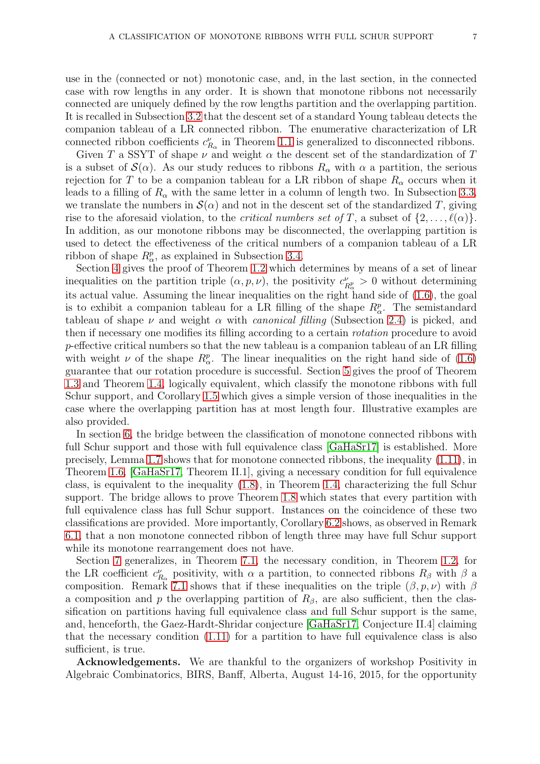use in the (connected or not) monotonic case, and, in the last section, in the connected case with row lengths in any order. It is shown that monotone ribbons not necessarily connected are uniquely defined by the row lengths partition and the overlapping partition. It is recalled in Subsection [3.2](#page-14-0) that the descent set of a standard Young tableau detects the companion tableau of a LR connected ribbon. The enumerative characterization of LR connected ribbon coefficients  $c_{R_\alpha}^{\nu}$  in Theorem [1.1](#page-3-0) is generalized to disconnected ribbons.

Given T a SSYT of shape  $\nu$  and weight  $\alpha$  the descent set of the standardization of T is a subset of  $\mathcal{S}(\alpha)$ . As our study reduces to ribbons  $R_{\alpha}$  with  $\alpha$  a partition, the serious rejection for T to be a companion tableau for a LR ribbon of shape  $R_{\alpha}$  occurs when it leads to a filling of  $R_{\alpha}$  with the same letter in a column of length two. In Subsection [3.3,](#page-16-0) we translate the numbers in  $\mathcal{S}(\alpha)$  and not in the descent set of the standardized T, giving rise to the aforesaid violation, to the *critical numbers set of* T, a subset of  $\{2, \ldots, \ell(\alpha)\}\$ . In addition, as our monotone ribbons may be disconnected, the overlapping partition is used to detect the effectiveness of the critical numbers of a companion tableau of a LR ribbon of shape  $R^p_\alpha$ , as explained in Subsection [3.4.](#page-18-1)

Section [4](#page-18-0) gives the proof of Theorem [1.2](#page-4-3) which determines by means of a set of linear inequalities on the partition triple  $(\alpha, p, \nu)$ , the positivity  $c_{\mu}^{\nu}$  $P_{R_{\alpha}}^{\nu} > 0$  without determining its actual value. Assuming the linear inequalities on the right hand side of [\(1.6\)](#page-4-2), the goal is to exhibit a companion tableau for a LR filling of the shape  $R^p_\alpha$ . The semistandard tableau of shape  $\nu$  and weight  $\alpha$  with *canonical filling* (Subsection [2.4\)](#page-9-0) is picked, and then if necessary one modifies its filling according to a certain rotation procedure to avoid p-effective critical numbers so that the new tableau is a companion tableau of an LR filling with weight  $\nu$  of the shape  $R^p_\alpha$ . The linear inequalities on the right hand side of [\(1.6\)](#page-4-2) guarantee that our rotation procedure is successful. Section [5](#page-25-0) gives the proof of Theorem [1.3](#page-4-4) and Theorem [1.4,](#page-4-0) logically equivalent, which classify the monotone ribbons with full Schur support, and Corollary [1.5](#page-5-4) which gives a simple version of those inequalities in the case where the overlapping partition has at most length four. Illustrative examples are also provided.

In section [6,](#page-30-0) the bridge between the classification of monotone connected ribbons with full Schur support and those with full equivalence class [\[GaHaSr17\]](#page-35-9) is established. More precisely, Lemma [1.7](#page-5-0) shows that for monotone connected ribbons, the inequality [\(1.11\)](#page-5-3), in Theorem [1.6,](#page-5-2) [\[GaHaSr17,](#page-35-9) Theorem II.1], giving a necessary condition for full equivalence class, is equivalent to the inequality [\(1.8\)](#page-4-1), in Theorem [1.4,](#page-4-0) characterizing the full Schur support. The bridge allows to prove Theorem [1.8](#page-5-1) which states that every partition with full equivalence class has full Schur support. Instances on the coincidence of these two classifications are provided. More importantly, Corollary [6.2](#page-31-0) shows, as observed in Remark [6.1,](#page-32-0) that a non monotone connected ribbon of length three may have full Schur support while its monotone rearrangement does not have.

Section [7](#page-33-0) generalizes, in Theorem [7.1,](#page-33-1) the necessary condition, in Theorem [1.2,](#page-4-3) for the LR coefficient  $c_{R_\alpha}^{\nu}$  positivity, with  $\alpha$  a partition, to connected ribbons  $R_\beta$  with  $\beta$  a composition. Remark [7.1](#page-34-3) shows that if these inequalities on the triple  $(\beta, p, \nu)$  with  $\beta$ a composition and p the overlapping partition of  $R_\beta$ , are also sufficient, then the classification on partitions having full equivalence class and full Schur support is the same, and, henceforth, the Gaez-Hardt-Shridar conjecture [\[GaHaSr17,](#page-35-9) Conjecture II.4] claiming that the necessary condition [\(1.11\)](#page-5-3) for a partition to have full equivalence class is also sufficient, is true.

Acknowledgements. We are thankful to the organizers of workshop Positivity in Algebraic Combinatorics, BIRS, Banff, Alberta, August 14-16, 2015, for the opportunity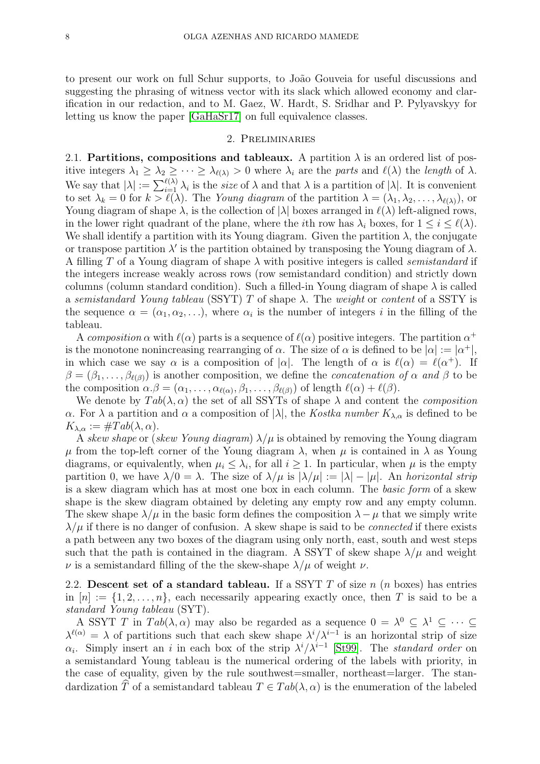to present our work on full Schur supports, to João Gouveia for useful discussions and suggesting the phrasing of witness vector with its slack which allowed economy and clarification in our redaction, and to M. Gaez, W. Hardt, S. Sridhar and P. Pylyavskyy for letting us know the paper [\[GaHaSr17\]](#page-35-9) on full equivalence classes.

### 2. Preliminaries

<span id="page-7-0"></span>2.1. Partitions, compositions and tableaux. A partition  $\lambda$  is an ordered list of positive integers  $\lambda_1 \geq \lambda_2 \geq \cdots \geq \lambda_{\ell(\lambda)} > 0$  where  $\lambda_i$  are the parts and  $\ell(\lambda)$  the length of  $\lambda$ . We say that  $|\lambda| := \sum_{i=1}^{\ell(\lambda)} \lambda_i$  is the *size* of  $\lambda$  and that  $\lambda$  is a partition of  $|\lambda|$ . It is convenient to set  $\lambda_k = 0$  for  $k > \ell(\lambda)$ . The Young diagram of the partition  $\lambda = (\lambda_1, \lambda_2, \dots, \lambda_{\ell(\lambda)})$ , or Young diagram of shape  $\lambda$ , is the collection of  $|\lambda|$  boxes arranged in  $\ell(\lambda)$  left-aligned rows, in the lower right quadrant of the plane, where the *i*th row has  $\lambda_i$  boxes, for  $1 \leq i \leq \ell(\lambda)$ . We shall identify a partition with its Young diagram. Given the partition  $\lambda$ , the conjugate or transpose partition  $\lambda'$  is the partition obtained by transposing the Young diagram of  $\lambda$ . A filling T of a Young diagram of shape  $\lambda$  with positive integers is called *semistandard* if the integers increase weakly across rows (row semistandard condition) and strictly down columns (column standard condition). Such a filled-in Young diagram of shape  $\lambda$  is called a semistandard Young tableau (SSYT) T of shape  $\lambda$ . The weight or content of a SSTY is the sequence  $\alpha = (\alpha_1, \alpha_2, \ldots)$ , where  $\alpha_i$  is the number of integers i in the filling of the tableau.

A composition  $\alpha$  with  $\ell(\alpha)$  parts is a sequence of  $\ell(\alpha)$  positive integers. The partition  $\alpha^+$ is the monotone nonincreasing rearranging of  $\alpha$ . The size of  $\alpha$  is defined to be  $|\alpha| := |\alpha^+|$ , in which case we say  $\alpha$  is a composition of  $|\alpha|$ . The length of  $\alpha$  is  $\ell(\alpha) = \ell(\alpha^+)$ . If  $\beta = (\beta_1, \ldots, \beta_{\ell(\beta)})$  is another composition, we define the *concatenation* of  $\alpha$  and  $\beta$  to be the composition  $\alpha.\beta = (\alpha_1,\ldots,\alpha_{\ell(\alpha)},\beta_1,\ldots,\beta_{\ell(\beta)})$  of length  $\ell(\alpha) + \ell(\beta)$ .

We denote by  $Tab(\lambda, \alpha)$  the set of all SSYTs of shape  $\lambda$  and content the *composition* α. For  $\lambda$  a partition and α a composition of  $|\lambda|$ , the Kostka number  $K_{\lambda,\alpha}$  is defined to be  $K_{\lambda,\alpha} := \#Tab(\lambda,\alpha).$ 

A skew shape or (skew Young diagram)  $\lambda/\mu$  is obtained by removing the Young diagram  $\mu$  from the top-left corner of the Young diagram  $\lambda$ , when  $\mu$  is contained in  $\lambda$  as Young diagrams, or equivalently, when  $\mu_i \leq \lambda_i$ , for all  $i \geq 1$ . In particular, when  $\mu$  is the empty partition 0, we have  $\lambda/0 = \lambda$ . The size of  $\lambda/\mu$  is  $|\lambda/\mu| := |\lambda| - |\mu|$ . An horizontal strip is a skew diagram which has at most one box in each column. The basic form of a skew shape is the skew diagram obtained by deleting any empty row and any empty column. The skew shape  $\lambda/\mu$  in the basic form defines the composition  $\lambda-\mu$  that we simply write  $\lambda/\mu$  if there is no danger of confusion. A skew shape is said to be *connected* if there exists a path between any two boxes of the diagram using only north, east, south and west steps such that the path is contained in the diagram. A SSYT of skew shape  $\lambda/\mu$  and weight  $\nu$  is a semistandard filling of the the skew-shape  $\lambda/\mu$  of weight  $\nu$ .

<span id="page-7-1"></span>2.2. Descent set of a standard tableau. If a SSYT  $T$  of size  $n$  ( $n$  boxes) has entries in  $[n] := \{1, 2, \ldots, n\}$ , each necessarily appearing exactly once, then T is said to be a standard Young tableau (SYT).

A SSYT T in  $Tab(\lambda, \alpha)$  may also be regarded as a sequence  $0 = \lambda^0 \subseteq \lambda^1 \subseteq \cdots \subseteq$  $\lambda^{\ell(\alpha)} = \lambda$  of partitions such that each skew shape  $\lambda^{i}/\lambda^{i-1}$  is an horizontal strip of size  $\alpha_i$ . Simply insert an i in each box of the strip  $\lambda^i/\lambda^{i-1}$  [\[St99\]](#page-35-17). The *standard order* on a semistandard Young tableau is the numerical ordering of the labels with priority, in the case of equality, given by the rule southwest=smaller, northeast=larger. The standardization  $\hat{T}$  of a semistandard tableau  $T \in Tab(\lambda, \alpha)$  is the enumeration of the labeled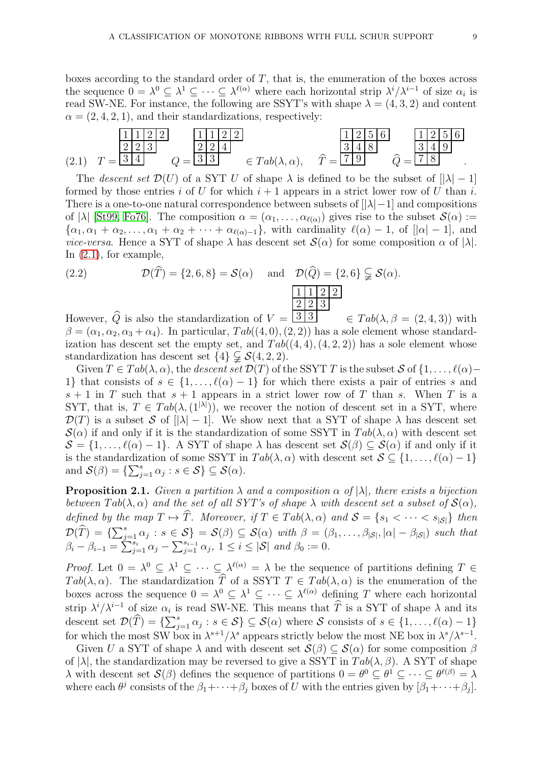boxes according to the standard order of  $T$ , that is, the enumeration of the boxes across the sequence  $0 = \lambda^0 \subseteq \lambda^1 \subseteq \cdots \subseteq \lambda^{\ell(\alpha)}$  where each horizontal strip  $\lambda^i/\lambda^{i-1}$  of size  $\alpha_i$  is read SW-NE. For instance, the following are SSYT's with shape  $\lambda = (4, 3, 2)$  and content  $\alpha = (2, 4, 2, 1)$ , and their standardizations, respectively:

(2.1) T = 1 1 2 2 2 2 3 3 4 Q = 1 1 2 2 2 2 4 <sup>3</sup> <sup>3</sup> <sup>∈</sup> T ab(λ, α), <sup>T</sup><sup>b</sup> <sup>=</sup> 1 2 5 6 3 4 8 <sup>7</sup> <sup>9</sup> <sup>Q</sup><sup>b</sup> <sup>=</sup> 1 2 5 6 3 4 9 7 8 .

<span id="page-8-1"></span>The descent set  $\mathcal{D}(U)$  of a SYT U of shape  $\lambda$  is defined to be the subset of  $[|\lambda| - 1]$ formed by those entries i of U for which  $i + 1$  appears in a strict lower row of U than i. There is a one-to-one natural correspondence between subsets of  $||\lambda|-1|$  and compositions of  $|\lambda|$  [\[St99,](#page-35-17) [Fo76\]](#page-35-14). The composition  $\alpha = (\alpha_1, \ldots, \alpha_{\ell(\alpha)})$  gives rise to the subset  $\mathcal{S}(\alpha) :=$  $\{\alpha_1, \alpha_1 + \alpha_2, \ldots, \alpha_1 + \alpha_2 + \cdots + \alpha_{\ell(\alpha)-1}\}\$ , with cardinality  $\ell(\alpha) - 1$ , of  $[|\alpha| - 1]$ , and *vice-versa*. Hence a SYT of shape  $\lambda$  has descent set  $\mathcal{S}(\alpha)$  for some composition  $\alpha$  of  $|\lambda|$ . In [\(2.1\)](#page-8-1), for example,

(2.2) 
$$
\mathcal{D}(\widehat{T}) = \{2, 6, 8\} = \mathcal{S}(\alpha) \quad \text{and} \quad \mathcal{D}(\widehat{Q}) = \{2, 6\} \subsetneqq \mathcal{S}(\alpha).
$$

However, Q is also the standardization of  $V = \lfloor 3 \rfloor 3$  $\in \text{Tab}(\lambda, \beta = (2, 4, 3))$  with  $\beta = (\alpha_1, \alpha_2, \alpha_3 + \alpha_4)$ . In particular,  $Tab((4, 0), (2, 2))$  has a sole element whose standardization has descent set the empty set, and  $Tab((4,4),(4,2,2))$  has a sole element whose standardization has descent set  $\{4\} \subsetneq \mathcal{S}(4, 2, 2)$ .

Given  $T \in Tab(\lambda, \alpha)$ , the descent set  $\mathcal{D}(T)$  of the SSYT T is the subset S of  $\{1, \ldots, \ell(\alpha)$ 1} that consists of  $s \in \{1, \ldots, \ell(\alpha) - 1\}$  for which there exists a pair of entries s and  $s + 1$  in T such that  $s + 1$  appears in a strict lower row of T than s. When T is a SYT, that is,  $T \in Tab(\lambda, (1^{|\lambda|}))$ , we recover the notion of descent set in a SYT, where  $\mathcal{D}(T)$  is a subset S of  $|\lambda| - 1$ . We show next that a SYT of shape  $\lambda$  has descent set  $\mathcal{S}(\alpha)$  if and only if it is the standardization of some SSYT in  $Tab(\lambda, \alpha)$  with descent set  $S = \{1, \ldots, \ell(\alpha) - 1\}$ . A SYT of shape  $\lambda$  has descent set  $\mathcal{S}(\beta) \subseteq \mathcal{S}(\alpha)$  if and only if it is the standardization of some SSYT in  $Tab(\lambda, \alpha)$  with descent set  $S \subseteq \{1, ..., \ell(\alpha)-1\}$ and  $\mathcal{S}(\beta) = \{\sum_{j=1}^s \alpha_j : s \in \mathcal{S}\} \subseteq \mathcal{S}(\alpha)$ .

<span id="page-8-0"></span>**Proposition 2.1.** Given a partition  $\lambda$  and a composition  $\alpha$  of  $|\lambda|$ , there exists a bijection between  $Tab(\lambda, \alpha)$  and the set of all SYT's of shape  $\lambda$  with descent set a subset of  $\mathcal{S}(\alpha)$ , defined by the map  $T \mapsto \widehat{T}$ . Moreover, if  $T \in Tab(\lambda, \alpha)$  and  $S = \{s_1 < \cdots < s_{|\mathcal{S}|}\}\$  then  $\mathcal{D}(\widehat{T}) = \{\sum_{j=1}^s \alpha_j : s \in \mathcal{S}\} = \mathcal{S}(\beta) \subseteq \mathcal{S}(\alpha)$  with  $\beta = (\beta_1, \dots, \beta_{|\mathcal{S}|}, |\alpha| - \beta_{|\mathcal{S}|})$  such that  $\beta_i - \beta_{i-1} = \sum_{j=1}^{s_i} \alpha_j - \sum_{j=1}^{s_{i-1}} \alpha_j, \ 1 \leq i \leq |\mathcal{S}| \ and \ \beta_0 := 0.$ 

*Proof.* Let  $0 = \lambda^0 \subseteq \lambda^1 \subseteq \cdots \subseteq \lambda^{\ell(\alpha)} = \lambda$  be the sequence of partitions defining  $T \in$ Tab( $\lambda, \alpha$ ). The standardization  $\widehat{T}$  of a SSYT  $T \in Tab(\lambda, \alpha)$  is the enumeration of the boxes across the sequence  $0 = \lambda^0 \subseteq \lambda^1 \subseteq \cdots \subseteq \lambda^{\ell(\alpha)}$  defining T where each horizontal strip  $\lambda^{i}/\lambda^{i-1}$  of size  $\alpha_{i}$  is read SW-NE. This means that  $\hat{T}$  is a SYT of shape  $\lambda$  and its descent set  $\mathcal{D}(\widehat{T}) = \{\sum_{j=1}^s \alpha_j : s \in \mathcal{S}\} \subseteq \mathcal{S}(\alpha)$  where  $\mathcal{S}$  consists of  $s \in \{1, \ldots, \ell(\alpha) - 1\}$ for which the most SW box in  $\lambda^{s+1}/\lambda^s$  appears strictly below the most NE box in  $\lambda^s/\lambda^{s-1}$ .

Given U a SYT of shape  $\lambda$  and with descent set  $\mathcal{S}(\beta) \subseteq \mathcal{S}(\alpha)$  for some composition  $\beta$ of  $|\lambda|$ , the standardization may be reversed to give a SSYT in  $Tab(\lambda, \beta)$ . A SYT of shape λ with descent set  $\mathcal{S}(\beta)$  defines the sequence of partitions  $0 = θ^0 ⊆ θ^1 ⊆ ⋅⋅⋅ ⊆ θ^{l(β)} = λ$ where each  $\theta^j$  consists of the  $\beta_1 + \cdots + \beta_j$  boxes of U with the entries given by  $[\beta_1 + \cdots + \beta_j]$ .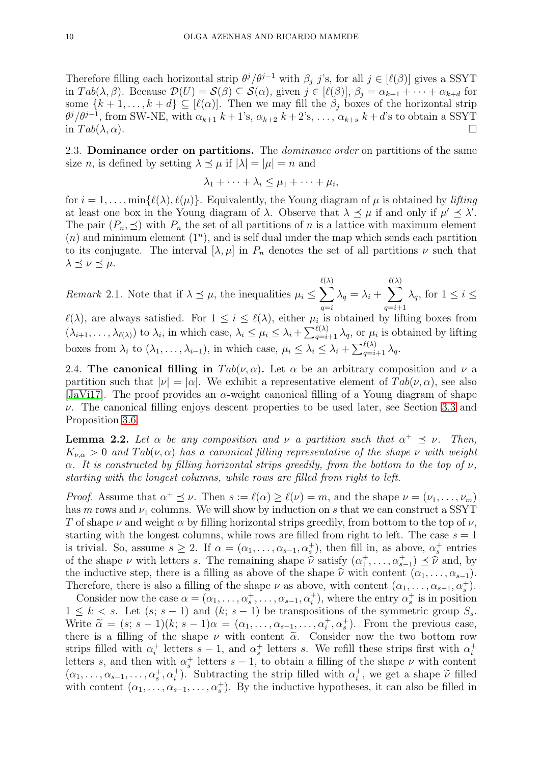Therefore filling each horizontal strip  $\theta^j/\theta^{j-1}$  with  $\beta_j$  j's, for all  $j \in [\ell(\beta)]$  gives a SSYT in  $Tab(\lambda, \beta)$ . Because  $\mathcal{D}(U) = \mathcal{S}(\beta) \subseteq \mathcal{S}(\alpha)$ , given  $j \in [\ell(\beta)], \beta_j = \alpha_{k+1} + \cdots + \alpha_{k+d}$  for some  $\{k+1,\ldots,k+d\} \subseteq [\ell(\alpha)]$ . Then we may fill the  $\beta_i$  boxes of the horizontal strip  $\theta^j/\theta^{j-1}$ , from SW-NE, with  $\alpha_{k+1}$  k + 1's,  $\alpha_{k+2}$  k + 2's, ...,  $\alpha_{k+s}$  k + d's to obtain a SSYT in  $Tab(\lambda, \alpha)$ .

<span id="page-9-2"></span>2.3. **Dominance order on partitions.** The *dominance order* on partitions of the same size *n*, is defined by setting  $\lambda \prec \mu$  if  $|\lambda| = |\mu| = n$  and

$$
\lambda_1 + \cdots + \lambda_i \leq \mu_1 + \cdots + \mu_i,
$$

for  $i = 1, \ldots, \min{\ell(\lambda), \ell(\mu)}$ . Equivalently, the Young diagram of  $\mu$  is obtained by *lifting* at least one box in the Young diagram of  $\lambda$ . Observe that  $\lambda \preceq \mu$  if and only if  $\mu' \preceq \lambda'$ . The pair  $(P_n, \preceq)$  with  $P_n$  the set of all partitions of n is a lattice with maximum element  $(n)$  and minimum element  $(1^n)$ , and is self dual under the map which sends each partition to its conjugate. The interval  $[\lambda, \mu]$  in  $P_n$  denotes the set of all partitions  $\nu$  such that  $\lambda \preceq \nu \preceq \mu$ .

<span id="page-9-1"></span>Remark 2.1. Note that if  $\lambda \preceq \mu$ , the inequalities  $\mu_i \leq \sum$  $\ell(\lambda)$  $q=i$  $\lambda_q = \lambda_i + \sum$  $\ell(\lambda)$  $q=i+1$  $\lambda_q$ , for  $1 \leq i \leq$ 

 $\ell(\lambda)$ , are always satisfied. For  $1 \leq i \leq \ell(\lambda)$ , either  $\mu_i$  is obtained by lifting boxes from  $(\lambda_{i+1},\ldots,\lambda_{\ell(\lambda)})$  to  $\lambda_i$ , in which case,  $\lambda_i \leq \mu_i \leq \lambda_i + \sum_{q=i+1}^{\ell(\lambda)} \lambda_q$ , or  $\mu_i$  is obtained by lifting boxes from  $\lambda_i$  to  $(\lambda_1, \ldots, \lambda_{i-1})$ , in which case,  $\mu_i \leq \lambda_i \leq \lambda_i + \sum_{q=i+1}^{\ell(\lambda)} \lambda_q$ .

<span id="page-9-0"></span>2.4. The canonical filling in  $Tab(\nu, \alpha)$ . Let  $\alpha$  be an arbitrary composition and  $\nu$  a partition such that  $|\nu| = |\alpha|$ . We exhibit a representative element of  $Tab(\nu, \alpha)$ , see also [\[JaVi17\]](#page-35-22). The proof provides an  $\alpha$ -weight canonical filling of a Young diagram of shape  $\nu$ . The canonical filling enjoys descent properties to be used later, see Section [3.3](#page-16-0) and Proposition [3.6.](#page-17-0)

**Lemma 2.2.** Let  $\alpha$  be any composition and  $\nu$  a partition such that  $\alpha^+ \preceq \nu$ . Then,  $K_{\nu,\alpha} > 0$  and  $Tab(\nu,\alpha)$  has a canonical filling representative of the shape  $\nu$  with weight  $\alpha$ . It is constructed by filling horizontal strips greedily, from the bottom to the top of  $\nu$ , starting with the longest columns, while rows are filled from right to left.

*Proof.* Assume that  $\alpha^+ \preceq \nu$ . Then  $s := \ell(\alpha) \geq \ell(\nu) = m$ , and the shape  $\nu = (\nu_1, \dots, \nu_m)$ has m rows and  $\nu_1$  columns. We will show by induction on s that we can construct a SSYT T of shape  $\nu$  and weight  $\alpha$  by filling horizontal strips greedily, from bottom to the top of  $\nu$ , starting with the longest columns, while rows are filled from right to left. The case  $s = 1$ is trivial. So, assume  $s \geq 2$ . If  $\alpha = (\alpha_1, \ldots, \alpha_{s-1}, \alpha_s^+)$ , then fill in, as above,  $\alpha_s^+$  entries of the shape  $\nu$  with letters s. The remaining shape  $\hat{\nu}$  satisfy  $(\alpha_1^+, \ldots, \alpha_{s-1}^+) \preceq \hat{\nu}$  and, by the inductive stape there is a filling as above of the shape  $\hat{\nu}$  with sortent (as  $\hat{\nu}$ ) the inductive step, there is a filling as above of the shape  $\hat{\nu}$  with content  $(\alpha_1, \ldots, \alpha_{s-1})$ . Therefore, there is also a filling of the shape  $\nu$  as above, with content  $(\alpha_1, \ldots, \alpha_{s-1}, \alpha_s^+)$ .

Consider now the case  $\alpha = (\alpha_1, \ldots, \alpha_s^+, \ldots, \alpha_{s-1}, \alpha_i^+)$ , where the entry  $\alpha_s^+$  is in position  $1 \leq k \leq s$ . Let  $(s; s-1)$  and  $(k; s-1)$  be transpositions of the symmetric group  $S_s$ . Write  $\tilde{\alpha} = (s; s - 1)(k; s - 1)\alpha = (\alpha_1, \dots, \alpha_{s-1}, \dots, \alpha_t^+, \alpha_s^+).$  From the previous case, there is a filling of the shape  $\nu$  with content  $\tilde{\alpha}$ . Consider now the two bottom row strips filled with  $\alpha_i^+$ <sup>+</sup> letters  $s-1$ , and  $\alpha_s^+$  letters s. We refill these strips first with  $\alpha_i^+$ i letters s, and then with  $\alpha_s^+$  letters  $s-1$ , to obtain a filling of the shape  $\nu$  with content  $(\alpha_1, \ldots, \alpha_{s-1}, \ldots, \alpha_s^+, \alpha_i^+)$ . Subtracting the strip filled with  $\alpha_i^+$ , we get a shape  $\tilde{\nu}$  filled with content  $(\alpha_1, \ldots, \alpha_{s-1}, \ldots, \alpha_s^+)$ . By the inductive hypotheses, it can also be filled in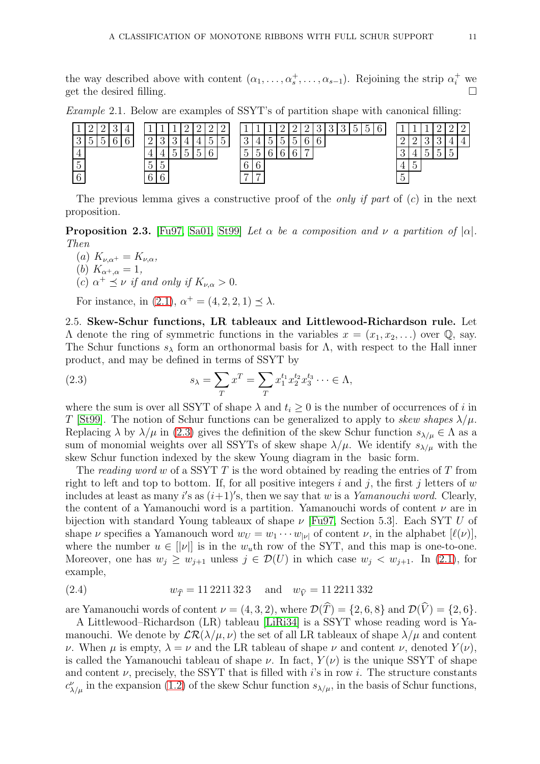the way described above with content  $(\alpha_1, \ldots, \alpha_s^+, \ldots, \alpha_{s-1})$ . Rejoining the strip  $\alpha_i^+$  we get the desired filling.

| <b>J</b>                         |    | ∸      | ٠            |               |                                 |                                      |          | $\Omega$<br>↵                   | $\ddot{\phantom{1}}$  | $\Omega$<br>∸             |                            |                  |                |            |   | $\Omega$<br>∸         | $\epsilon$     | റ          | - 2<br>◡ | 'n<br>◡ | ⌒ |                                        |   |   |                          |  |
|----------------------------------|----|--------|--------------|---------------|---------------------------------|--------------------------------------|----------|---------------------------------|-----------------------|---------------------------|----------------------------|------------------|----------------|------------|---|-----------------------|----------------|------------|----------|---------|---|----------------------------------------|---|---|--------------------------|--|
| റ<br>ಀ                           | ٩. | ►<br>◡ | $\cdot\cdot$ | $\mathcal{L}$ | $\Omega$                        | റ<br>◡                               | $\Omega$ | ᅩ                               |                       | ۳<br>ь<br>◡               | $\tilde{\phantom{a}}$<br>◡ | റ<br>ື           |                |            |   | $\tilde{\phantom{a}}$ | $\sim$         | $\sqrt{2}$ |          |         |   | $\Omega$                               |   | ി |                          |  |
|                                  |    |        |              |               | $\mathbf +$                     | ᅩ                                    |          | $\tilde{\phantom{a}}$<br>ь<br>◡ | $\tilde{\phantom{a}}$ | $\sqrt{2}$<br>$\sim$<br>U |                            | $\tilde{}$<br>'n |                | $\sqrt{2}$ | ◠ | $\mathcal{L}$<br>U    | $\overline{ }$ |            |          |         |   | ി<br>◡                                 | I |   | $\overline{\phantom{0}}$ |  |
| $\tilde{\phantom{a}}$<br>$\circ$ |    |        |              |               | $\tilde{\phantom{a}}$<br>h<br>◡ | $\tilde{\phantom{a}}$<br>$\sim$<br>◡ |          |                                 |                       |                           |                            | $\sqrt{2}$       |                |            |   |                       |                |            |          |         |   | $\pm$                                  | ۔ |   |                          |  |
| $\sqrt{2}$<br>$\cup$             |    |        |              |               | $\sqrt{2}$                      | $\sqrt{2}$                           |          |                                 |                       |                           |                            | −                | $\overline{ }$ |            |   |                       |                |            |          |         |   | $\tilde{\phantom{a}}$<br>$\mathcal{O}$ |   |   |                          |  |

Example 2.1. Below are examples of SSYT's of partition shape with canonical filling:

The previous lemma gives a constructive proof of the *only if part* of  $(c)$  in the next proposition.

**Proposition 2.3.** [\[Fu97,](#page-35-23) [Sa01,](#page-35-24) [St99\]](#page-35-17) Let  $\alpha$  be a composition and  $\nu$  a partition of  $|\alpha|$ . Then

- (a)  $K_{\nu,\alpha^+} = K_{\nu,\alpha}$ ,
- (*b*)  $K_{\alpha^+,\alpha} = 1$ ,
- (c)  $\alpha^+ \preceq \nu$  if and only if  $K_{\nu,\alpha} > 0$ .

For instance, in [\(2.1\)](#page-8-1),  $\alpha^+ = (4, 2, 2, 1) \preceq \lambda$ .

<span id="page-10-2"></span>2.5. Skew-Schur functions, LR tableaux and Littlewood-Richardson rule. Let  $Λ$  denote the ring of symmetric functions in the variables  $x = (x_1, x_2, ...)$  over  $Q$ , say. The Schur functions  $s_\lambda$  form an orthonormal basis for  $\Lambda$ , with respect to the Hall inner product, and may be defined in terms of SSYT by

<span id="page-10-0"></span>(2.3) 
$$
s_{\lambda} = \sum_{T} x^{T} = \sum_{T} x_{1}^{t_{1}} x_{2}^{t_{2}} x_{3}^{t_{3}} \dots \in \Lambda,
$$

where the sum is over all SSYT of shape  $\lambda$  and  $t_i \geq 0$  is the number of occurrences of i in T [\[St99\]](#page-35-17). The notion of Schur functions can be generalized to apply to skew shapes  $\lambda/\mu$ . Replacing  $\lambda$  by  $\lambda/\mu$  in [\(2.3\)](#page-10-0) gives the definition of the skew Schur function  $s_{\lambda/\mu} \in \Lambda$  as a sum of monomial weights over all SSYTs of skew shape  $\lambda/\mu$ . We identify  $s_{\lambda/\mu}$  with the skew Schur function indexed by the skew Young diagram in the basic form.

The reading word w of a SSYT  $T$  is the word obtained by reading the entries of  $T$  from right to left and top to bottom. If, for all positive integers i and j, the first j letters of  $w$ includes at least as many i's as  $(i+1)$ 's, then we say that w is a Yamanouchi word. Clearly, the content of a Yamanouchi word is a partition. Yamanouchi words of content  $\nu$  are in bijection with standard Young tableaux of shape  $\nu$  [\[Fu97,](#page-35-23) Section 5.3]. Each SYT U of shape  $\nu$  specifies a Yamanouch word  $w_U = w_1 \cdots w_{|\nu|}$  of content  $\nu$ , in the alphabet  $[\ell(\nu)],$ where the number  $u \in ||v||$  is in the  $w<sub>u</sub>$ th row of the SYT, and this map is one-to-one. Moreover, one has  $w_j \ge w_{j+1}$  unless  $j \in \mathcal{D}(U)$  in which case  $w_j < w_{j+1}$ . In [\(2.1\)](#page-8-1), for example,

<span id="page-10-1"></span>(2.4) 
$$
w_{\hat{T}} = 11\,2211\,32\,3 \quad \text{and} \quad w_{\hat{V}} = 11\,2211\,332
$$

are Yamanouchi words of content  $\nu = (4, 3, 2)$ , where  $\mathcal{D}(\widehat{T}) = \{2, 6, 8\}$  and  $\mathcal{D}(\widehat{V}) = \{2, 6\}.$ 

A Littlewood–Richardson (LR) tableau [\[LiRi34\]](#page-35-1) is a SSYT whose reading word is Yamanouchi. We denote by  $\mathcal{LR}(\lambda/\mu,\nu)$  the set of all LR tableaux of shape  $\lambda/\mu$  and content *ν*. When *μ* is empty,  $\lambda = \nu$  and the LR tableau of shape *ν* and content *ν*, denoted  $Y(\nu)$ , is called the Yamanouchi tableau of shape  $\nu$ . In fact,  $Y(\nu)$  is the unique SSYT of shape and content  $\nu$ , precisely, the SSYT that is filled with i's in row i. The structure constants  $c^{\nu}_{\lambda/\mu}$  in the expansion [\(1.2\)](#page-1-0) of the skew Schur function  $s_{\lambda/\mu}$ , in the basis of Schur functions,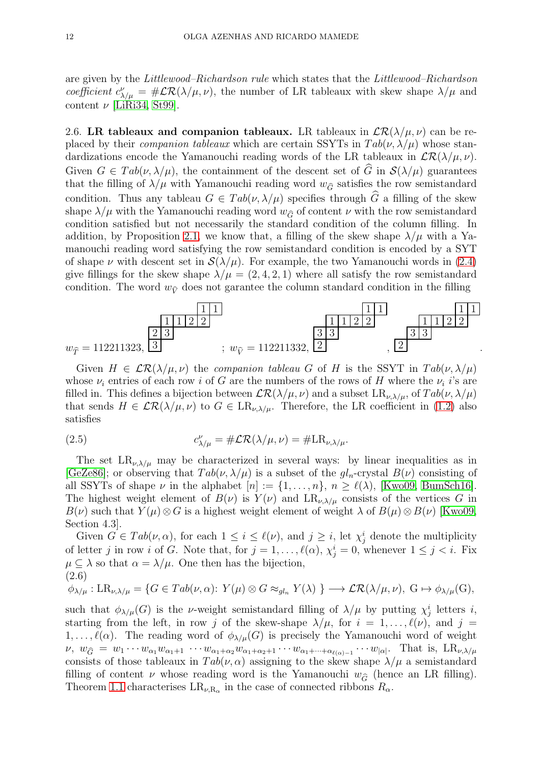are given by the Littlewood–Richardson rule which states that the Littlewood–Richardson coefficient  $c_{\lambda/\mu}^{\nu} = \#\mathcal{LR}(\lambda/\mu,\nu)$ , the number of LR tableaux with skew shape  $\lambda/\mu$  and content  $\nu$  [\[LiRi34,](#page-35-1) [St99\]](#page-35-17).

<span id="page-11-0"></span>2.6. LR tableaux and companion tableaux. LR tableaux in  $\mathcal{LR}(\lambda/\mu, \nu)$  can be replaced by their *companion tableaux* which are certain SSYTs in  $Tab(\nu, \lambda/\mu)$  whose standardizations encode the Yamanouchi reading words of the LR tableaux in  $\mathcal{LR}(\lambda/\mu, \nu)$ . Given  $G \in Tab(\nu, \lambda/\mu)$ , the containment of the descent set of  $\hat{G}$  in  $\mathcal{S}(\lambda/\mu)$  guarantees that the filling of  $\lambda/\mu$  with Yamanouchi reading word  $w_{\hat{G}}$  satisfies the row semistandard condition. Thus any tableau  $G \in Tab(\nu, \lambda/\mu)$  specifies through  $\tilde{G}$  a filling of the skew shape  $\lambda/\mu$  with the Yamanouchi reading word  $w_{\hat{G}}$  of content  $\nu$  with the row semistandard condition satisfied but not necessarily the standard condition of the column filling. In addition, by Proposition [2.1,](#page-8-0) we know that, a filling of the skew shape  $\lambda/\mu$  with a Yamanouchi reading word satisfying the row semistandard condition is encoded by a SYT of shape  $\nu$  with descent set in  $\mathcal{S}(\lambda/\mu)$ . For example, the two Yamanouchi words in [\(2.4\)](#page-10-1) give fillings for the skew shape  $\lambda/\mu = (2, 4, 2, 1)$  where all satisfy the row semistandard condition. The word  $w_{\hat{v}}$  does not garantee the column standard condition in the filling



Given  $H \in \mathcal{LR}(\lambda/\mu, \nu)$  the companion tableau G of H is the SSYT in  $Tab(\nu, \lambda/\mu)$ whose  $\nu_i$  entries of each row i of G are the numbers of the rows of H where the  $\nu_i$  i's are filled in. This defines a bijection between  $\mathcal{LR}(\lambda/\mu,\nu)$  and a subset  $LR_{\nu,\lambda/\mu}$ , of  $Tab(\nu,\lambda/\mu)$ that sends  $H \in \mathcal{LR}(\lambda/\mu, \nu)$  to  $G \in \text{LR}_{\nu, \lambda/\mu}$ . Therefore, the LR coefficient in [\(1.2\)](#page-1-0) also satisfies

(2.5) 
$$
c_{\lambda/\mu}^{\nu} = \# \mathcal{LR}(\lambda/\mu, \nu) = \#LR_{\nu, \lambda/\mu}.
$$

The set  $LR_{\nu,\lambda/\mu}$  may be characterized in several ways: by linear inequalities as in [\[GeZe86\]](#page-35-25); or observing that  $Tab(\nu, \lambda/\mu)$  is a subset of the  $gl_n$ -crystal  $B(\nu)$  consisting of all SSYTs of shape  $\nu$  in the alphabet  $[n] := \{1, \ldots, n\}, n \ge \ell(\lambda)$ , [\[Kwo09,](#page-35-26) [BumSch16\]](#page-35-27). The highest weight element of  $B(\nu)$  is  $Y(\nu)$  and  $LR_{\nu,\lambda/\mu}$  consists of the vertices G in  $B(\nu)$  such that  $Y(\mu) \otimes G$  is a highest weight element of weight  $\lambda$  of  $B(\mu) \otimes B(\nu)$  [\[Kwo09,](#page-35-26) Section 4.3].

Given  $G \in Tab(\nu, \alpha)$ , for each  $1 \leq i \leq \ell(\nu)$ , and  $j \geq i$ , let  $\chi_j^i$  denote the multiplicity of letter j in row i of G. Note that, for  $j = 1, ..., \ell(\alpha)$ ,  $\chi_j^i = 0$ , whenever  $1 \leq j < i$ . Fix  $\mu \subset \lambda$  so that  $\alpha = \lambda/\mu$ . One then has the bijection, (2.6)

<span id="page-11-1"></span>
$$
\phi_{\lambda/\mu}:LR_{\nu,\lambda/\mu} = \{G \in Tab(\nu,\alpha)\colon Y(\mu) \otimes G \approx_{gl_n} Y(\lambda) \} \longrightarrow \mathcal{LR}(\lambda/\mu,\nu), \ G \mapsto \phi_{\lambda/\mu}(G),
$$

such that  $\phi_{\lambda/\mu}(G)$  is the *v*-weight semistandard filling of  $\lambda/\mu$  by putting  $\chi_j^i$  letters *i*, starting from the left, in row j of the skew-shape  $\lambda/\mu$ , for  $i = 1, \ldots, \ell(\nu)$ , and  $j =$  $1, \ldots, \ell(\alpha)$ . The reading word of  $\phi_{\lambda/\mu}(G)$  is precisely the Yamanouchi word of weight  $\nu, w_{\widehat{G}} = w_1 \cdots w_{\alpha_1} w_{\alpha_1+1} \cdots w_{\alpha_1+\alpha_2} w_{\alpha_1+\alpha_2+1} \cdots w_{\alpha_1+\cdots+\alpha_{\ell(\alpha)-1}} \cdots w_{|\alpha|}$ . That is,  $LR_{\nu,\lambda/\mu}$ consists of those tableaux in  $Tab(\nu, \alpha)$  assigning to the skew shape  $\lambda/\mu$  a semistandard filling of content  $\nu$  whose reading word is the Yamanouchi  $w_{\hat{G}}$  (hence an LR filling). Theorem [1.1](#page-3-0) characterises  $LR_{\nu,R_{\alpha}}$  in the case of connected ribbons  $R_{\alpha}$ .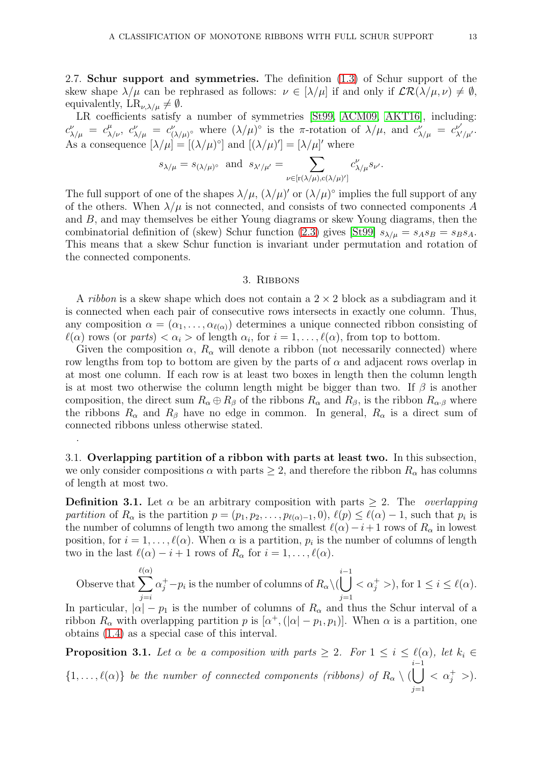2.7. Schur support and symmetries. The definition [\(1.3\)](#page-1-2) of Schur support of the skew shape  $\lambda/\mu$  can be rephrased as follows:  $\nu \in [\lambda/\mu]$  if and only if  $\mathcal{LR}(\lambda/\mu, \nu) \neq \emptyset$ , equivalently,  $LR_{\nu,\lambda/\mu} \neq \emptyset$ .

LR coefficients satisfy a number of symmetries [\[St99,](#page-35-17) [ACM09,](#page-34-2) [AKT16\]](#page-34-4), including:  $c^{\nu}_{\lambda/\mu} = c^{\mu}_{\lambda/\nu}, c^{\nu}_{\lambda/\mu} = c^{\nu}_{(1)}$  $(\lambda/\mu)^{\circ}$  where  $(\lambda/\mu)^{\circ}$  is the  $\pi$ -rotation of  $\lambda/\mu$ , and  $c_{\lambda/\mu}^{\nu} = c_{\lambda'/\mu'}^{\nu'}$ . As a consequence  $[\lambda/\mu] = [(\lambda/\mu)^{\circ}]$  and  $[(\lambda/\mu)'] = [\lambda/\mu]'$  where

$$
s_{\lambda/\mu} = s_{(\lambda/\mu)^{\circ}}
$$
 and  $s_{\lambda'/\mu'} = \sum_{\nu \in [\mathbf{r}(\lambda/\mu), \mathbf{c}(\lambda/\mu)']} c_{\lambda/\mu}^{\nu} s_{\nu'}.$ 

The full support of one of the shapes  $\lambda/\mu$ ,  $(\lambda/\mu)'$  or  $(\lambda/\mu)$ <sup>o</sup> implies the full support of any of the others. When  $\lambda/\mu$  is not connected, and consists of two connected components A and B, and may themselves be either Young diagrams or skew Young diagrams, then the combinatorial definition of (skew) Schur function [\(2.3\)](#page-10-0) gives [\[St99\]](#page-35-17)  $s_{\lambda/\mu} = s_A s_B = s_B s_A$ . This means that a skew Schur function is invariant under permutation and rotation of the connected components.

### 3. Ribbons

<span id="page-12-0"></span>A *ribbon* is a skew shape which does not contain a  $2 \times 2$  block as a subdiagram and it is connected when each pair of consecutive rows intersects in exactly one column. Thus, any composition  $\alpha = (\alpha_1, \ldots, \alpha_{\ell(\alpha)})$  determines a unique connected ribbon consisting of  $\ell(\alpha)$  rows (or parts)  $\langle \alpha_i \rangle$  of length  $\alpha_i$ , for  $i = 1, \ldots, \ell(\alpha)$ , from top to bottom.

Given the composition  $\alpha$ ,  $R_{\alpha}$  will denote a ribbon (not necessarily connected) where row lengths from top to bottom are given by the parts of  $\alpha$  and adjacent rows overlap in at most one column. If each row is at least two boxes in length then the column length is at most two otherwise the column length might be bigger than two. If  $\beta$  is another composition, the direct sum  $R_{\alpha} \oplus R_{\beta}$  of the ribbons  $R_{\alpha}$  and  $R_{\beta}$ , is the ribbon  $R_{\alpha,\beta}$  where the ribbons  $R_{\alpha}$  and  $R_{\beta}$  have no edge in common. In general,  $R_{\alpha}$  is a direct sum of connected ribbons unless otherwise stated.

3.1. Overlapping partition of a ribbon with parts at least two. In this subsection, we only consider compositions  $\alpha$  with parts  $\geq 2$ , and therefore the ribbon  $R_{\alpha}$  has columns of length at most two.

<span id="page-12-1"></span>.

**Definition 3.1.** Let  $\alpha$  be an arbitrary composition with parts  $> 2$ . The *overlapping* partition of  $R_{\alpha}$  is the partition  $p = (p_1, p_2, \ldots, p_{\ell(\alpha)-1}, 0), \ell(p) \leq \ell(\alpha)-1$ , such that  $p_i$  is the number of columns of length two among the smallest  $\ell(\alpha) - i + 1$  rows of  $R_{\alpha}$  in lowest position, for  $i = 1, \ldots, \ell(\alpha)$ . When  $\alpha$  is a partition,  $p_i$  is the number of columns of length two in the last  $\ell(\alpha) - i + 1$  rows of  $R_{\alpha}$  for  $i = 1, \ldots, \ell(\alpha)$ .

Observe that  $\sum$  $\ell(\alpha)$  $j = i$  $\alpha_j^+ - p_i$  is the number of columns of  $R_\alpha \setminus (p_i)$ *i*−1<br>| |  $j=1$  $\langle \alpha_j^+ \rangle$ , for  $1 \leq i \leq \ell(\alpha)$ . In particular,  $|\alpha| - p_1$  is the number of columns of  $R_\alpha$  and thus the Schur interval of a

ribbon  $R_{\alpha}$  with overlapping partition p is  $[\alpha^+,([\alpha]-p_1,p_1)]$ . When  $\alpha$  is a partition, one obtains [\(1.4\)](#page-2-0) as a special case of this interval.

**Proposition 3.1.** Let  $\alpha$  be a composition with parts  $\geq 2$ . For  $1 \leq i \leq \ell(\alpha)$ , let  $k_i \in$  $\{1,\ldots,\ell(\alpha)\}\;$  be the number of connected components (ribbons) of  $R_{\alpha}\setminus\mathcal{O}$ i−1<br>| |  $j=1$  $\langle \alpha_j^+ \rangle$ .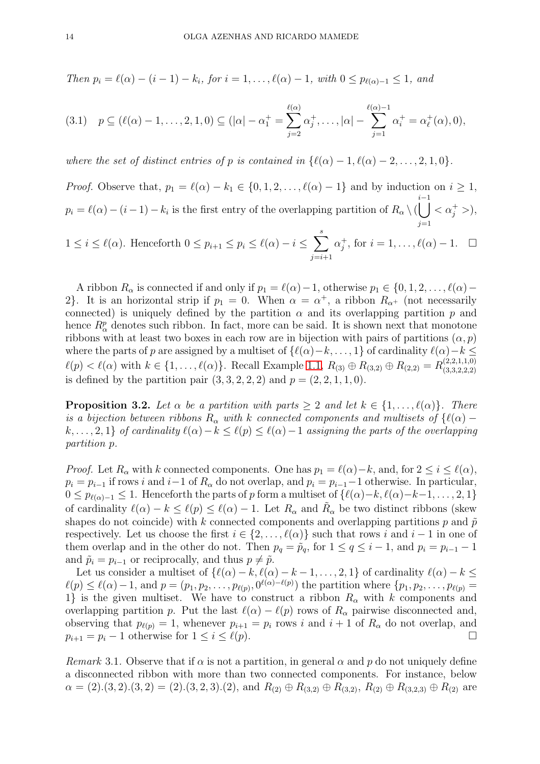Then 
$$
p_i = \ell(\alpha) - (i - 1) - k_i
$$
, for  $i = 1, ..., \ell(\alpha) - 1$ , with  $0 \leq p_{\ell(\alpha)-1} \leq 1$ , and

<span id="page-13-1"></span>
$$
(3.1) \quad p \subseteq (\ell(\alpha)-1,\ldots,2,1,0) \subseteq (|\alpha|-\alpha_1^+ = \sum_{j=2}^{\ell(\alpha)} \alpha_j^+, \ldots, |\alpha| - \sum_{j=1}^{\ell(\alpha)-1} \alpha_i^+ = \alpha_\ell^+(\alpha), 0),
$$

where the set of distinct entries of p is contained in  $\{\ell(\alpha) - 1, \ell(\alpha) - 2, \ldots, 2, 1, 0\}.$ 

*Proof.* Observe that,  $p_1 = \ell(\alpha) - k_1 \in \{0, 1, 2, \ldots, \ell(\alpha) - 1\}$  and by induction on  $i \geq 1$ ,  $p_i = \ell(\alpha) - (i - 1) - k_i$  is the first entry of the overlapping partition of  $R_\alpha \setminus ($ i−1<br>| |  $j=1$  $<\alpha_j^+>$ ,  $1 \leq i \leq \ell(\alpha)$ . Henceforth  $0 \leq p_{i+1} \leq p_i \leq \ell(\alpha) - i \leq \sum_{i=1}^s$  $j=i+1$  $\alpha_j^+$ , for  $i = 1, \ldots, \ell(\alpha) - 1$ .  $\Box$ 

A ribbon  $R_{\alpha}$  is connected if and only if  $p_1 = \ell(\alpha) - 1$ , otherwise  $p_1 \in \{0, 1, 2, \ldots, \ell(\alpha) -$ 2. It is an horizontal strip if  $p_1 = 0$ . When  $\alpha = \alpha^+$ , a ribbon  $R_{\alpha^+}$  (not necessarily connected) is uniquely defined by the partition  $\alpha$  and its overlapping partition p and hence  $R^p_\alpha$  denotes such ribbon. In fact, more can be said. It is shown next that monotone ribbons with at least two boxes in each row are in bijection with pairs of partitions  $(\alpha, p)$ where the parts of p are assigned by a multiset of  $\{\ell(\alpha)-k,\ldots,1\}$  of cardinality  $\ell(\alpha)-k \leq$  $\ell(p) < \ell(\alpha)$  with  $k \in \{1, \ldots, \ell(\alpha)\}\$ . Recall Example [1.1,](#page-2-1)  $R_{(3)} \oplus R_{(3,2)} \oplus R_{(2,2)} = R_{(3,3,2,2,2)}^{(2,2,1,1,0)}$  $(3,3,2,2,2)$ is defined by the partition pair  $(3, 3, 2, 2, 2)$  and  $p = (2, 2, 1, 1, 0)$ .

<span id="page-13-0"></span>**Proposition 3.2.** Let  $\alpha$  be a partition with parts  $\geq 2$  and let  $k \in \{1, \ldots, \ell(\alpha)\}\$ . There is a bijection between ribbons  $R_{\alpha}$  with k connected components and multisets of { $\ell(\alpha)$  –  $k, \ldots, 2, 1$  of cardinality  $\ell(\alpha) - k \leq \ell(\alpha) \leq \ell(\alpha) - 1$  assigning the parts of the overlapping partition p.

*Proof.* Let  $R_{\alpha}$  with k connected components. One has  $p_1 = \ell(\alpha) - k$ , and, for  $2 \leq i \leq \ell(\alpha)$ ,  $p_i = p_{i-1}$  if rows i and  $i-1$  of  $R_\alpha$  do not overlap, and  $p_i = p_{i-1}-1$  otherwise. In particular,  $0 \leq p_{\ell(\alpha)-1} \leq 1$ . Henceforth the parts of p form a multiset of  $\{\ell(\alpha)-k, \ell(\alpha)-k-1, \ldots, 2, 1\}$ of cardinality  $\ell(\alpha) - k \leq \ell(p) \leq \ell(\alpha) - 1$ . Let  $R_{\alpha}$  and  $\tilde{R}_{\alpha}$  be two distinct ribbons (skew shapes do not coincide) with k connected components and overlapping partitions p and  $\tilde{p}$ respectively. Let us choose the first  $i \in \{2, \ldots, \ell(\alpha)\}\$  such that rows i and  $i-1$  in one of them overlap and in the other do not. Then  $p_q = \tilde{p}_q$ , for  $1 \le q \le i - 1$ , and  $p_i = p_{i-1} - 1$ and  $\tilde{p}_i = p_{i-1}$  or reciprocally, and thus  $p \neq \tilde{p}$ .

Let us consider a multiset of  $\{\ell(\alpha) - k, \ell(\alpha) - k - 1, \ldots, 2, 1\}$  of cardinality  $\ell(\alpha) - k \le$  $\ell(p) \leq \ell(\alpha)-1$ , and  $p=(p_1, p_2, \ldots, p_{\ell(p)}, 0^{\ell(\alpha)-\ell(p)})$  the partition where  $\{p_1, p_2, \ldots, p_{\ell(p)}\}$ 1} is the given multiset. We have to construct a ribbon  $R_{\alpha}$  with k components and overlapping partition p. Put the last  $\ell(\alpha) - \ell(p)$  rows of  $R_\alpha$  pairwise disconnected and, observing that  $p_{\ell(p)} = 1$ , whenever  $p_{i+1} = p_i$  rows i and  $i + 1$  of  $R_\alpha$  do not overlap, and  $p_{i+1} = p_i - 1$  otherwise for  $1 \leq i \leq \ell(p)$ .

Remark 3.1. Observe that if  $\alpha$  is not a partition, in general  $\alpha$  and p do not uniquely define a disconnected ribbon with more than two connected components. For instance, below  $\alpha = (2)(3, 2)(3, 2) = (2)(3, 2, 3)(2)$ , and  $R_{(2)} \oplus R_{(3, 2)} \oplus R_{(3, 2)} \oplus R_{(3, 2, 3)} \oplus R_{(2)}$  are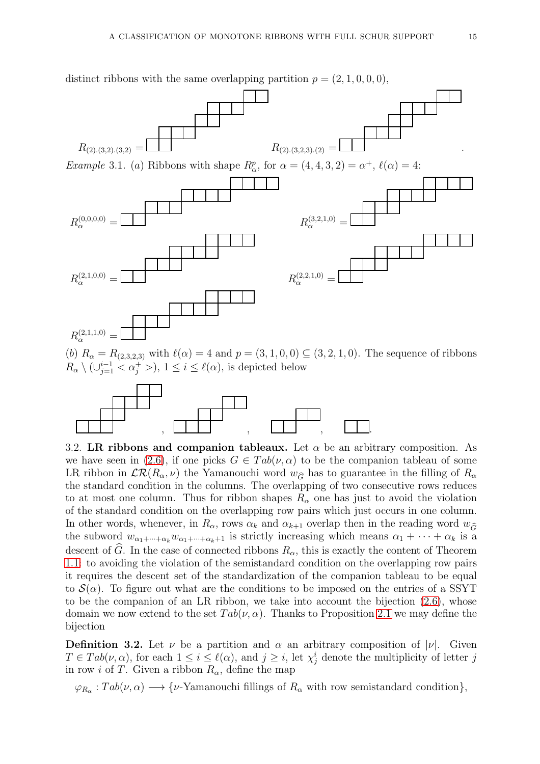

(b)  $R_{\alpha} = R_{(2,3,2,3)}$  with  $\ell(\alpha) = 4$  and  $p = (3,1,0,0) \subseteq (3,2,1,0)$ . The sequence of ribbons  $R_{\alpha} \setminus (\cup_{j=1}^{i-1} < \alpha_j^+ >), 1 \leq i \leq \ell(\alpha)$ , is depicted below



<span id="page-14-0"></span>3.2. LR ribbons and companion tableaux. Let  $\alpha$  be an arbitrary composition. As we have seen in [\(2.6\)](#page-11-1), if one picks  $G \in Tab(\nu, \alpha)$  to be the companion tableau of some LR ribbon in  $\mathcal{LR}(R_\alpha,\nu)$  the Yamanouchi word  $w_{\widehat{G}}$  has to guarantee in the filling of  $R_\alpha$ the standard condition in the columns. The overlapping of two consecutive rows reduces to at most one column. Thus for ribbon shapes  $R_{\alpha}$  one has just to avoid the violation of the standard condition on the overlapping row pairs which just occurs in one column. In other words, whenever, in  $R_{\alpha}$ , rows  $\alpha_k$  and  $\alpha_{k+1}$  overlap then in the reading word  $w_{\widehat{G}}$ the subword  $w_{\alpha_1+\cdots+\alpha_k}w_{\alpha_1+\cdots+\alpha_k+1}$  is strictly increasing which means  $\alpha_1+\cdots+\alpha_k$  is a descent of G. In the case of connected ribbons  $R_{\alpha}$ , this is exactly the content of Theorem [1.1:](#page-3-0) to avoiding the violation of the semistandard condition on the overlapping row pairs it requires the descent set of the standardization of the companion tableau to be equal to  $\mathcal{S}(\alpha)$ . To figure out what are the conditions to be imposed on the entries of a SSYT to be the companion of an LR ribbon, we take into account the bijection [\(2.6\)](#page-11-1), whose domain we now extend to the set  $Tab(\nu, \alpha)$ . Thanks to Proposition [2.1](#page-8-0) we may define the bijection

**Definition 3.2.** Let  $\nu$  be a partition and  $\alpha$  an arbitrary composition of  $|\nu|$ . Given  $T \in Tab(\nu, \alpha)$ , for each  $1 \leq i \leq \ell(\alpha)$ , and  $j \geq i$ , let  $\chi_j^i$  denote the multiplicity of letter j in row *i* of T. Given a ribbon  $R_{\alpha}$ , define the map

 $\varphi_{R_\alpha}: Tab(\nu,\alpha) \longrightarrow {\nu\text{-Yamanouchi}}$  fillings of  $R_\alpha$  with row semistandard condition},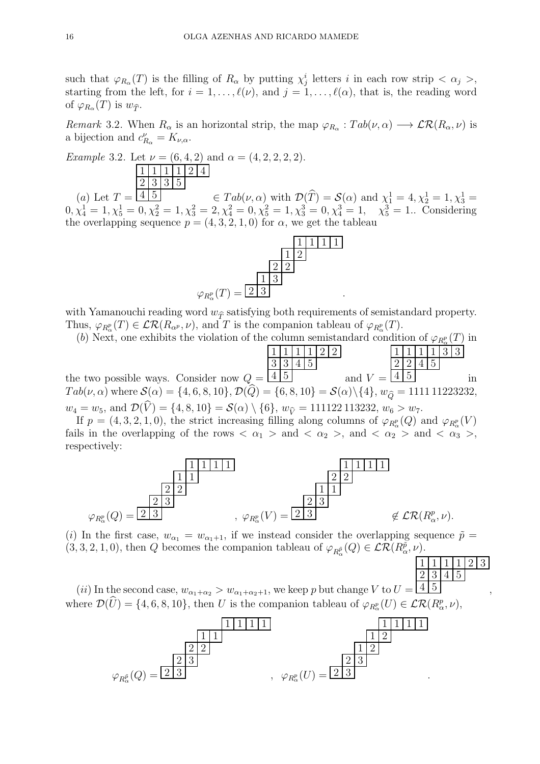such that  $\varphi_{R_\alpha}(T)$  is the filling of  $R_\alpha$  by putting  $\chi_j^i$  letters i in each row strip  $\langle \alpha_j \rangle$ , starting from the left, for  $i = 1, \ldots, \ell(\nu)$ , and  $j = 1, \ldots, \ell(\alpha)$ , that is, the reading word of  $\varphi_{R_\alpha}(T)$  is  $w_{\widehat{T}}$ .

Remark 3.2. When  $R_{\alpha}$  is an horizontal strip, the map  $\varphi_{R_{\alpha}}:Tab(\nu,\alpha) \longrightarrow \mathcal{LR}(R_{\alpha},\nu)$  is a bijection and  $c_{R_{\alpha}}^{\nu} = K_{\nu,\alpha}$ .

<span id="page-15-0"></span>Example 3.2. Let  $\nu = (6, 4, 2)$  and  $\alpha = (4, 2, 2, 2, 2)$ .  $1 \mid 1 \mid 1 \mid 2 \mid 4$  $2 \mid 3 \mid 3 \mid 5$ 

 $(a)$  Let  $T =$  $\frac{4}{5}$   $\in$   $Tab(\nu, \alpha)$  with  $\mathcal{D}(\widehat{T}) = \mathcal{S}(\alpha)$  and  $\chi_1^1 = 4, \chi_2^1 = 1, \chi_3^1 =$  $0, \chi_4^1 = 1, \chi_5^1 = 0, \chi_2^2 = 1, \chi_3^2 = 2, \chi_4^2 = 0, \chi_5^2 = 1, \chi_3^3 = 0, \chi_4^3 = 1, \quad \chi_5^3 = 1$ . Considering the overlapping sequence  $p = (4, 3, 2, 1, 0)$  for  $\alpha$ , we get the tableau



with Yamanouchi reading word  $w_{\hat{\tau}}$  satisfying both requirements of semistandard property. Thus,  $\varphi_{R^p_\alpha}(T) \in \mathcal{LR}(R_{\alpha^p}, \nu)$ , and T is the companion tableau of  $\varphi_{R^p_\alpha}(T)$ .

(b) Next, one exhibits the violation of the column semistandard condition of  $\varphi_{R_\alpha^p}(T)$  in α

the two possible ways. Consider now  $Q =$  $1 \mid 1 \mid 1 \mid 2 \mid 2$ 3 3 4 5  $4 \mid 5$  and  $V =$  $1 \mid 1 \mid 1 \mid 3 \mid 3$  $2 \mid 2 \mid 4 \mid 5$  $4 \mid 5$  in  $Tab(\nu, \alpha)$  where  $\mathcal{S}(\alpha) = \{4, 6, 8, 10\}, \mathcal{D}(Q) = \{6, 8, 10\} = \mathcal{S}(\alpha) \setminus \{4\}, w_{\widehat{Q}} = 1111111223232,$  $w_4 = w_5$ , and  $\mathcal{D}(\widehat{V}) = \{4, 8, 10\} = \mathcal{S}(\alpha) \setminus \{6\}, w_{\widehat{V}} = 111122113232, w_6 > w_7.$ 

If  $p = (4, 3, 2, 1, 0)$ , the strict increasing filling along columns of  $\varphi_{R_\alpha^p}(Q)$  and  $\varphi_{R_\alpha^p}(V)$ fails in the overlapping of the rows  $\langle \alpha_1 \rangle$  and  $\langle \alpha_2 \rangle$ , and  $\langle \alpha_2 \rangle$  and  $\langle \alpha_3 \rangle$ , respectively:



(i) In the first case,  $w_{\alpha_1} = w_{\alpha_1+1}$ , if we instead consider the overlapping sequence  $\tilde{p} =$  $(3,3,2,1,0)$ , then Q becomes the companion tableau of  $\varphi_{R^{\tilde{p}}_{\alpha}}(Q) \in \mathcal{LR}(R^{\tilde{p}}_{\alpha},\nu)$ .

 $1 \mid 1 \mid 1 \mid 2 \mid 3$ 2 3 4 5

(ii) In the second case,  $w_{\alpha_1+\alpha_2} > w_{\alpha_1+\alpha_2+1}$ , we keep p but change V to  $U =$  $4 \mid 5$ , where  $\mathcal{D}(\hat{U}) = \{4, 6, 8, 10\}$ , then U is the companion tableau of  $\varphi_{R_{\alpha}}(U) \in \mathcal{LR}(R_{\alpha}^p, \nu)$ ,

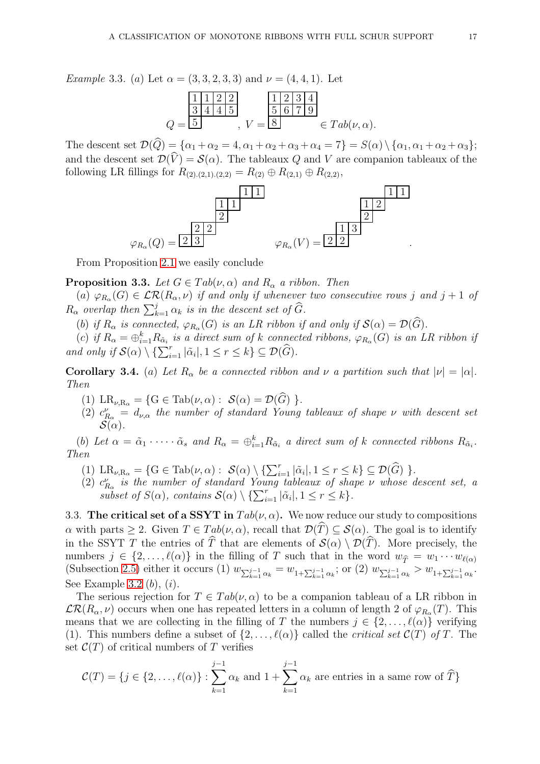Example 3.3. (a) Let  $\alpha = (3, 3, 2, 3, 3)$  and  $\nu = (4, 4, 1)$ . Let

$$
Q = \frac{\frac{1}{3} \frac{1}{4} \frac{1}{4} \frac{2}{5}}{5} \qquad V = \frac{\frac{1}{3} \frac{2}{3} \frac{3}{4}}{8} \in Tab(\nu, \alpha).
$$

The descent set  $\mathcal{D}(\widehat{Q}) = {\alpha_1 + \alpha_2 = 4, \alpha_1 + \alpha_2 + \alpha_3 + \alpha_4 = 7} = S(\alpha) \setminus {\alpha_1, \alpha_1 + \alpha_2 + \alpha_3};$ and the descent set  $\mathcal{D}(\widehat{V}) = \mathcal{S}(\alpha)$ . The tableaux Q and V are companion tableaux of the following LR fillings for  $R_{(2),(2,1),(2,2)} = R_{(2)} \oplus R_{(2,1)} \oplus R_{(2,2)}$ ,



From Proposition [2.1](#page-8-0) we easily conclude

<span id="page-16-1"></span>**Proposition 3.3.** Let  $G \in Tab(\nu, \alpha)$  and  $R_{\alpha}$  a ribbon. Then

(a)  $\varphi_{R_{\alpha}}(G) \in \mathcal{LR}(R_\alpha,\nu)$  if and only if whenever two consecutive rows j and j + 1 of  $R_{\alpha}$  overlap then  $\sum_{k=1}^{j} \alpha_k$  is in the descent set of  $\widehat{G}$ .

(b) if  $R_{\alpha}$  is connected,  $\varphi_{R_{\alpha}}(G)$  is an LR ribbon if and only if  $\mathcal{S}(\alpha) = \mathcal{D}(G)$ .

(c) if  $R_{\alpha} = \bigoplus_{i=1}^{k} R_{\tilde{\alpha}_i}$  is a direct sum of k connected ribbons,  $\varphi_{R_{\alpha}}(G)$  is an LR ribbon if and only if  $\mathcal{S}(\alpha) \setminus \{\sum_{i=1}^r |\tilde{\alpha}_i|, 1 \leq r \leq k\} \subseteq \mathcal{D}(\widehat{G})$ .

<span id="page-16-2"></span>**Corollary 3.4.** (a) Let  $R_{\alpha}$  be a connected ribbon and  $\nu$  a partition such that  $|\nu| = |\alpha|$ . Then

- (1)  $LR_{\nu,R_{\alpha}} = \{G \in \text{Tab}(\nu,\alpha) : \mathcal{S}(\alpha) = \mathcal{D}(G)\}.$
- (2)  $c_{R_{\alpha}}^{\nu} = d_{\nu,\alpha}$  the number of standard Young tableaux of shape  $\nu$  with descent set  ${\cal S}(\alpha)$  .

(b) Let  $\alpha = \tilde{\alpha}_1 \cdot \dots \cdot \tilde{\alpha}_s$  and  $R_{\alpha} = \bigoplus_{i=1}^k R_{\tilde{\alpha}_i}$  a direct sum of k connected ribbons  $R_{\tilde{\alpha}_i}$ . Then

- (1)  $LR_{\nu,R_{\alpha}} = \{G \in \text{Tab}(\nu,\alpha) : \ \mathcal{S}(\alpha) \setminus \{\sum_{i=1}^r |\tilde{\alpha}_i|, 1 \leq r \leq k\} \subseteq \mathcal{D}(\widehat{G}) \ \}.$
- (2)  $c_{R_{\alpha}}^{\nu}$  is the number of standard Young tableaux of shape  $\nu$  whose descent set, a subset of  $S(\alpha)$ , contains  $\mathcal{S}(\alpha) \setminus {\sum_{i=1}^r |\tilde{\alpha}_i|, 1 \leq r \leq k}.$

<span id="page-16-0"></span>3.3. The critical set of a SSYT in  $Tab(\nu, \alpha)$ . We now reduce our study to compositions  $\alpha$  with parts  $\geq 2$ . Given  $T \in Tab(\nu, \alpha)$ , recall that  $\mathcal{D}(\widehat{T}) \subseteq \mathcal{S}(\alpha)$ . The goal is to identify in the SSYT T the entries of  $\widehat{T}$  that are elements of  $\mathcal{S}(\alpha) \setminus \mathcal{D}(\widehat{T})$ . More precisely, the numbers  $j \in \{2,\ldots,\ell(\alpha)\}\$ in the filling of T such that in the word  $w_{\hat{T}} = w_1 \cdots w_{\ell(\alpha)}$ (Subsection [2.5\)](#page-10-2) either it occurs (1)  $w_{\sum_{k=1}^{j-1} \alpha_k} = w_{1+\sum_{k=1}^{j-1} \alpha_k}$ ; or (2)  $w_{\sum_{k=1}^{j-1} \alpha_k} > w_{1+\sum_{k=1}^{j-1} \alpha_k}$ . See Example [3.2](#page-15-0)  $(b)$ ,  $(i)$ .

The serious rejection for  $T \in Tab(\nu, \alpha)$  to be a companion tableau of a LR ribbon in  $\mathcal{LR}(R_\alpha,\nu)$  occurs when one has repeated letters in a column of length 2 of  $\varphi_{R_\alpha}(T)$ . This means that we are collecting in the filling of T the numbers  $j \in \{2, \ldots, \ell(\alpha)\}\$  verifying (1). This numbers define a subset of  $\{2,\ldots,\ell(\alpha)\}\)$  called the *critical set*  $\mathcal{C}(T)$  of T. The set  $\mathcal{C}(T)$  of critical numbers of T verifies

$$
\mathcal{C}(T) = \{j \in \{2, \ldots, \ell(\alpha)\}: \sum_{k=1}^{j-1} \alpha_k \text{ and } 1 + \sum_{k=1}^{j-1} \alpha_k \text{ are entries in a same row of } \widehat{T}\}\
$$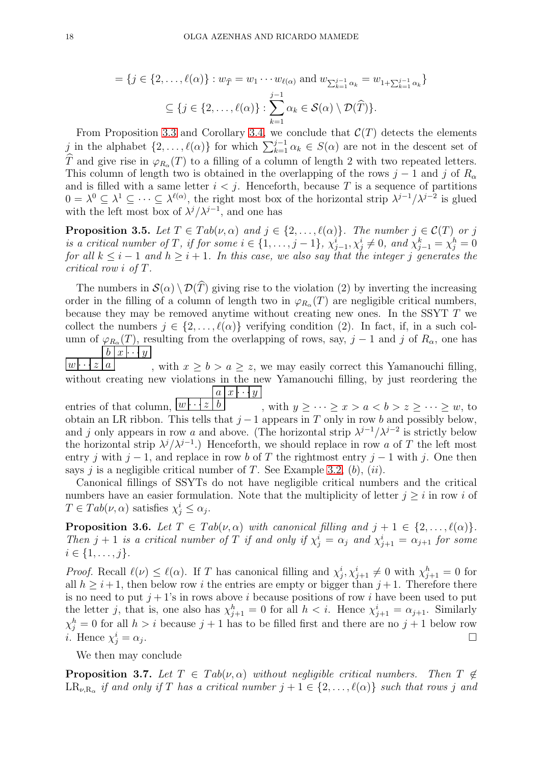$$
= \{j \in \{2,\ldots,\ell(\alpha)\}: w_{\widehat{T}} = w_1 \cdots w_{\ell(\alpha)} \text{ and } w_{\sum_{k=1}^{j-1} \alpha_k} = w_{1 + \sum_{k=1}^{j-1} \alpha_k} \}
$$

$$
\subseteq \{j \in \{2,\ldots,\ell(\alpha)\}: \sum_{k=1}^{j-1} \alpha_k \in \mathcal{S}(\alpha) \setminus \mathcal{D}(\widehat{T})\}.
$$

From Proposition [3.3](#page-16-1) and Corollary [3.4,](#page-16-2) we conclude that  $\mathcal{C}(T)$  detects the elements j in the alphabet  $\{2,\ldots,\ell(\alpha)\}\$ for which  $\sum_{k=1}^{j-1}\alpha_k \in S(\alpha)$  are not in the descent set of T and give rise in  $\varphi_{R_\alpha}(T)$  to a filling of a column of length 2 with two repeated letters. This column of length two is obtained in the overlapping of the rows  $j-1$  and j of  $R_{\alpha}$ and is filled with a same letter  $i < j$ . Henceforth, because T is a sequence of partitions  $0 = \lambda^0 \subseteq \lambda^1 \subseteq \cdots \subseteq \lambda^{\ell(\alpha)}$ , the right most box of the horizontal strip  $\lambda^{j-1}/\lambda^{j-2}$  is glued with the left most box of  $\lambda^{j} / \lambda^{j-1}$ , and one has

**Proposition 3.5.** Let  $T \in Tab(\nu, \alpha)$  and  $j \in \{2, ..., \ell(\alpha)\}\$ . The number  $j \in \mathcal{C}(T)$  or j is a critical number of T, if for some  $i \in \{1, \ldots, j-1\}$ ,  $\chi_{j-1}^i, \chi_j^i \neq 0$ , and  $\chi_{j-1}^k = \chi_j^h = 0$ for all  $k \leq i - 1$  and  $h \geq i + 1$ . In this case, we also say that the integer j generates the critical row i of T.

The numbers in  $\mathcal{S}(\alpha) \setminus \mathcal{D}(T)$  giving rise to the violation (2) by inverting the increasing order in the filling of a column of length two in  $\varphi_{R_{\alpha}}(T)$  are negligible critical numbers, because they may be removed anytime without creating new ones. In the SSYT T we collect the numbers  $j \in \{2, ..., \ell(\alpha)\}\$ verifying condition (2). In fact, if, in a such column of  $\varphi_{R_{\alpha}}(T)$ , resulting from the overlapping of rows, say,  $j-1$  and j of  $R_{\alpha}$ , one has  $b | x | \cdot \cdot \cdot | y |$ 

 $w \cdot \cdot z \mid a$ , with  $x \ge b > a \ge z$ , we may easily correct this Yamanouchi filling, without creating new violations in the new Yamanouchi filling, by just reordering the  $a \mid x \mid \cdot \cdot \cdot y \mid$ 

entries of that column,  $w \cdots$  $\boxed{b}$ , with  $y \geq \cdots \geq x > a < b > z \geq \cdots \geq w$ , to obtain an LR ribbon. This tells that  $j-1$  appears in T only in row b and possibly below, and j only appears in row a and above. (The horizontal strip  $\lambda^{j-1}/\lambda^{j-2}$  is strictly below the horizontal strip  $\lambda^{j} / \lambda^{j-1}$ .) Henceforth, we should replace in row a of T the left most entry j with j − 1, and replace in row b of T the rightmost entry j − 1 with j. One then says j is a negligible critical number of T. See Example [3.2,](#page-15-0)  $(b)$ ,  $(ii)$ .

Canonical fillings of SSYTs do not have negligible critical numbers and the critical numbers have an easier formulation. Note that the multiplicity of letter  $j \geq i$  in row i of  $T \in Tab(\nu,\alpha)$  satisfies  $\chi_j^i \leq \alpha_j$ .

<span id="page-17-0"></span>**Proposition 3.6.** Let  $T \in Tab(\nu, \alpha)$  with canonical filling and  $j + 1 \in \{2, ..., \ell(\alpha)\}.$ Then  $j+1$  is a critical number of T if and only if  $\chi^i_j = \alpha_j$  and  $\chi^i_{j+1} = \alpha_{j+1}$  for some  $i \in \{1, \ldots, j\}.$ 

*Proof.* Recall  $\ell(\nu) \leq \ell(\alpha)$ . If T has canonical filling and  $\chi_j^i, \chi_{j+1}^i \neq 0$  with  $\chi_{j+1}^h = 0$  for all  $h > i+1$ , then below row i the entries are empty or bigger than  $j+1$ . Therefore there is no need to put  $j + 1$ 's in rows above i because positions of row i have been used to put the letter j, that is, one also has  $\chi_{j+1}^h = 0$  for all  $h < i$ . Hence  $\chi_{j+1}^i = \alpha_{j+1}$ . Similarly  $\chi_j^h = 0$  for all  $h > i$  because  $j + 1$  has to be filled first and there are no  $j + 1$  below row *i*. Hence  $\chi^i_j = \alpha_j$ . In the contract of the contract of the contract of the contract of the contract of the contract of the contract of the contract of the contract of the contract of the contract of the contract of the contract of the contr

We then may conclude

<span id="page-17-1"></span>**Proposition 3.7.** Let  $T \in Tab(\nu, \alpha)$  without negligible critical numbers. Then  $T \notin$  $LR_{\nu,R_\alpha}$  if and only if T has a critical number  $j+1 \in \{2,\ldots,\ell(\alpha)\}$  such that rows j and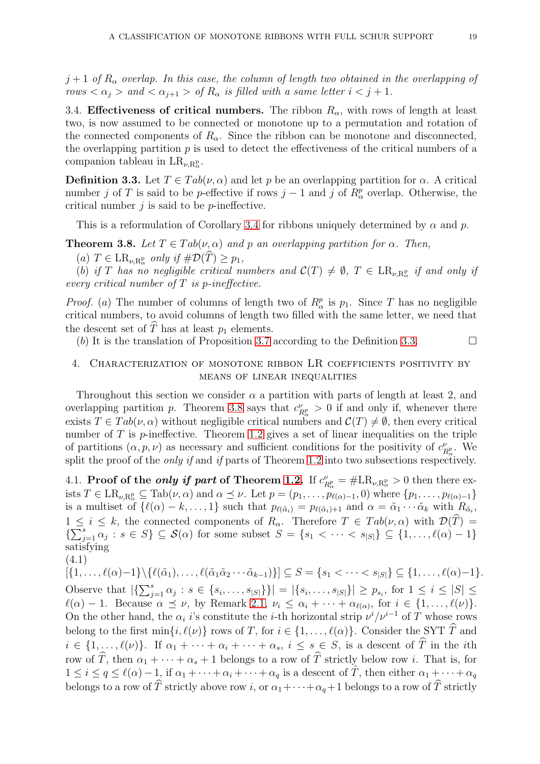$j+1$  of  $R_{\alpha}$  overlap. In this case, the column of length two obtained in the overlapping of rows  $\langle \alpha_j \rangle$  and  $\langle \alpha_{j+1} \rangle$  of  $R_\alpha$  is filled with a same letter  $i < j + 1$ .

<span id="page-18-1"></span>3.4. Effectiveness of critical numbers. The ribbon  $R_{\alpha}$ , with rows of length at least two, is now assumed to be connected or monotone up to a permutation and rotation of the connected components of  $R_{\alpha}$ . Since the ribbon can be monotone and disconnected, the overlapping partition  $p$  is used to detect the effectiveness of the critical numbers of a companion tableau in  $LR_{\nu,R_{\alpha}^{\mathbf{p}}}$ .

<span id="page-18-2"></span>**Definition 3.3.** Let  $T \in Tab(\nu, \alpha)$  and let p be an overlapping partition for  $\alpha$ . A critical number j of T is said to be p-effective if rows  $j-1$  and j of  $R^p_\alpha$  overlap. Otherwise, the critical number  $j$  is said to be  $p$ -ineffective.

This is a reformulation of Corollary [3.4](#page-16-2) for ribbons uniquely determined by  $\alpha$  and  $p$ .

<span id="page-18-3"></span>**Theorem 3.8.** Let  $T \in Tab(\nu, \alpha)$  and p an overlapping partition for  $\alpha$ . Then,

 $(a)$   $T \in \mathrm{LR}_{\nu,\mathrm{R}_{\alpha}^p}$  only if  $\#\mathcal{D}(T) \geq p_1$ ,

(b) if T has no negligible critical numbers and  $\mathcal{C}(T) \neq \emptyset$ ,  $T \in \text{LR}_{\nu,\text{R}^p_\alpha}$  if and only if every critical number of  $T$  is p-ineffective.

*Proof.* (a) The number of columns of length two of  $R^p_\alpha$  is  $p_1$ . Since T has no negligible critical numbers, to avoid columns of length two filled with the same letter, we need that the descent set of  $\hat{T}$  has at least  $p_1$  elements.

(b) It is the translation of Proposition [3.7](#page-17-1) according to the Definition [3.3.](#page-18-2)

## <span id="page-18-0"></span>4. Characterization of monotone ribbon LR coefficients positivity by means of linear inequalities

Throughout this section we consider  $\alpha$  a partition with parts of length at least 2, and overlapping partition p. Theorem [3.8](#page-18-3) says that  $c_p^{\nu}$  $P_{R_{\alpha}}^{\nu} > 0$  if and only if, whenever there exists  $T \in Tab(\nu, \alpha)$  without negligible critical numbers and  $C(T) \neq \emptyset$ , then every critical number of  $T$  is  $p$ -ineffective. Theorem [1.2](#page-4-3) gives a set of linear inequalities on the triple of partitions  $(\alpha, p, \nu)$  as necessary and sufficient conditions for the positivity of  $c_p^{\nu}$  $R^p_\alpha$ . We split the proof of the *only if* and *if* parts of Theorem [1.2](#page-4-3) into two subsections respectively.

4.1. Proof of the *only if part* of Theorem [1.2.](#page-4-3) If  $c_p^{\nu}$  $\frac{\nu}{R_{\alpha}^p} = \#\mathrm{LR}_{\nu,\mathrm{R}_{\alpha}^p} > 0$  then there exists  $T \in \mathrm{LR}_{\nu,\mathrm{R}_{\alpha}^p} \subseteq \mathrm{Tab}(\nu,\alpha)$  and  $\alpha \preceq \nu$ . Let  $p = (p_1,\ldots,p_{\ell(\alpha)-1},0)$  where  $\{p_1,\ldots,p_{\ell(\alpha)-1}\}$ is a multiset of  $\{\ell(\alpha) - k, \ldots, 1\}$  such that  $p_{\ell(\tilde{\alpha}_i)} = p_{\ell(\tilde{\alpha}_i)+1}$  and  $\alpha = \tilde{\alpha}_1 \cdots \tilde{\alpha}_k$  with  $R_{\tilde{\alpha}_i}$ ,  $1 \leq i \leq k$ , the connected components of  $R_{\alpha}$ . Therefore  $T \in Tab(\nu, \alpha)$  with  $\mathcal{D}(\widehat{T}) =$  $\{\sum_{j=1}^s \alpha_j : s \in S\} \subseteq \mathcal{S}(\alpha)$  for some subset  $S = \{s_1 < \cdots < s_{|S|}\} \subseteq \{1, \ldots, \ell(\alpha) - 1\}$ satisfying

$$
(4.1)
$$

 $[\{1,\ldots,\ell(\alpha)-1\}\setminus\{\ell(\tilde{\alpha}_1),\ldots,\ell(\tilde{\alpha}_1\tilde{\alpha}_2\cdots\tilde{\alpha}_{k-1})\}] \subseteq S = \{s_1 < \cdots < s_{|S|}\} \subseteq \{1,\ldots,\ell(\alpha)-1\}.$ Observe that  $|\{\sum_{j=1}^s \alpha_j : s \in \{s_i, \ldots, s_{|S|}\}\}| = |\{s_i, \ldots, s_{|S|}\}| \geq p_{s_i}$ , for  $1 \leq i \leq |S| \leq$  $\ell(\alpha) - 1$ . Because  $\alpha \preceq \nu$ , by Remark [2.1,](#page-9-1)  $\nu_i \leq \alpha_i + \cdots + \alpha_{\ell(\alpha)}$ , for  $i \in \{1, \ldots, \ell(\nu)\}.$ On the other hand, the  $\alpha_i$  i's constitute the *i*-th horizontal strip  $\nu^i/\nu^{i-1}$  of T whose rows belong to the first  $\min\{i,\ell(\nu)\}\)$  rows of T, for  $i \in \{1,\ldots,\ell(\alpha)\}\$ . Consider the SYT  $\widehat{T}$  and  $i \in \{1, \ldots, \ell(\nu)\}.$  If  $\alpha_1 + \cdots + \alpha_i + \cdots + \alpha_s, i \leq s \in S$ , is a descent of  $\widehat{T}$  in the *i*th row of  $\widehat{T}$ , then  $\alpha_1 + \cdots + \alpha_s + 1$  belongs to a row of  $\widehat{T}$  strictly below row i. That is, for  $1 \leq i \leq q \leq \ell(\alpha) - 1$ , if  $\alpha_1 + \cdots + \alpha_i + \cdots + \alpha_q$  is a descent of  $\hat{T}$ , then either  $\alpha_1 + \cdots + \alpha_q$ belongs to a row of  $\hat{T}$  strictly above row i, or  $\alpha_1+\cdots+\alpha_q+1$  belongs to a row of  $\hat{T}$  strictly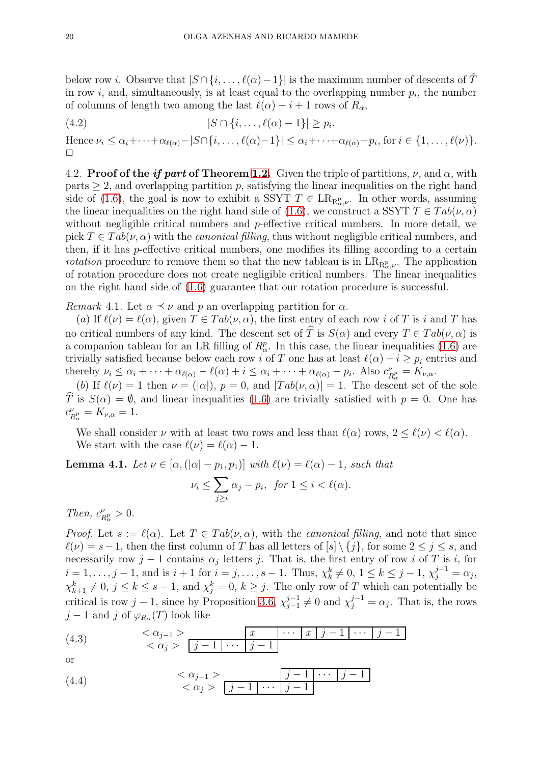below row *i*. Observe that  $|S \cap \{i, \ldots, \ell(\alpha) - 1\}|$  is the maximum number of descents of T in row *i*, and, simultaneously, is at least equal to the overlapping number  $p_i$ , the number of columns of length two among the last  $\ell(\alpha) - i + 1$  rows of  $R_{\alpha}$ ,

$$
(4.2) \qquad \qquad |S \cap \{i, \ldots, \ell(\alpha) - 1\}| \geq p_i.
$$

Hence  $\nu_i \leq \alpha_i + \cdots + \alpha_{\ell(\alpha)} - |S \cap \{i, \ldots, \ell(\alpha) - 1\}| \leq \alpha_i + \cdots + \alpha_{\ell(\alpha)} - p_i$ , for  $i \in \{1, \ldots, \ell(\nu)\}.$  $\Box$ 

<span id="page-19-0"></span>4.2. Proof of the if part of Theorem [1.2.](#page-4-3) Given the triple of partitions,  $\nu$ , and  $\alpha$ , with parts  $\geq$  2, and overlapping partition p, satisfying the linear inequalities on the right hand side of [\(1.6\)](#page-4-2), the goal is now to exhibit a SSYT  $T \in \text{LR}_{\text{R}^p_\alpha,\nu}$ . In other words, assuming the linear inequalities on the right hand side of [\(1.6\)](#page-4-2), we construct a SSYT  $T \in Tab(\nu, \alpha)$ without negligible critical numbers and p-effective critical numbers. In more detail, we pick  $T \in Tab(\nu, \alpha)$  with the *canonical filling*, thus without negligible critical numbers, and then, if it has p-effective critical numbers, one modifies its filling according to a certain *rotation* procedure to remove them so that the new tableau is in  $LR_{R^p_\alpha,\nu}$ . The application of rotation procedure does not create negligible critical numbers. The linear inequalities on the right hand side of [\(1.6\)](#page-4-2) guarantee that our rotation procedure is successful.

*Remark* 4.1. Let  $\alpha \preceq \nu$  and p an overlapping partition for  $\alpha$ .

(a) If  $\ell(\nu) = \ell(\alpha)$ , given  $T \in Tab(\nu, \alpha)$ , the first entry of each row i of T is i and T has no critical numbers of any kind. The descent set of  $\hat{T}$  is  $S(\alpha)$  and every  $T \in Tab(\nu, \alpha)$  is a companion tableau for an LR filling of  $R^p_\alpha$ . In this case, the linear inequalities [\(1.6\)](#page-4-2) are trivially satisfied because below each row i of T one has at least  $\ell(\alpha) - i \geq p_i$  entries and thereby  $\nu_i \leq \alpha_i + \cdots + \alpha_{\ell(\alpha)} - \ell(\alpha) + i \leq \alpha_i + \cdots + \alpha_{\ell(\alpha)} - p_i$ . Also  $c_f^{\nu}$  $R^{\nu}_{\alpha} = K_{\nu,\alpha}.$ 

(b) If  $\ell(\nu) = 1$  then  $\nu = (|\alpha|), p = 0$ , and  $|Tab(\nu, \alpha)| = 1$ . The descent set of the sole  $\hat{T}$  is  $S(\alpha) = \emptyset$ , and linear inequalities [\(1.6\)](#page-4-2) are trivially satisfied with  $p = 0$ . One has  $c_F^{\nu}$  $R^{\nu}_{\alpha} = K_{\nu,\alpha} = 1.$ 

We shall consider  $\nu$  with at least two rows and less than  $\ell(\alpha)$  rows,  $2 \leq \ell(\nu) < \ell(\alpha)$ . We start with the case  $\ell(\nu) = \ell(\alpha) - 1$ .

<span id="page-19-3"></span>**Lemma 4.1.** Let  $\nu \in [\alpha, (\vert \alpha \vert - p_1, p_1)]$  with  $\ell(\nu) = \ell(\alpha) - 1$ , such that

$$
\nu_i \le \sum_{j\ge i} \alpha_j - p_i, \text{ for } 1 \le i < \ell(\alpha).
$$

Then,  $c_F^{\nu}$  $\frac{\nu}{R_{\alpha}^p} > 0.$ 

*Proof.* Let  $s := \ell(\alpha)$ . Let  $T \in Tab(\nu, \alpha)$ , with the *canonical filling*, and note that since  $\ell(\nu) = s-1$ , then the first column of T has all letters of  $[s] \setminus \{j\}$ , for some  $2 \leq j \leq s$ , and necessarily row  $j-1$  contains  $\alpha_j$  letters j. That is, the first entry of row i of T is i, for  $i = 1, \ldots, j - 1$ , and is  $i + 1$  for  $i = j, \ldots, s - 1$ . Thus,  $\chi_k^k \neq 0, 1 \leq k \leq j - 1, \chi_j^{j-1} = \alpha_j$ ,  $\chi_{k+1}^k \neq 0, j \leq k \leq s-1$ , and  $\chi_j^k = 0, k \geq j$ . The only row of T which can potentially be critical is row  $j-1$ , since by Proposition [3.6,](#page-17-0)  $\chi_{j-1}^{j-1}$  $j_{j-1}^{j-1} \neq 0$  and  $\chi_j^{j-1} = \alpha_j$ . That is, the rows  $j-1$  and j of  $\varphi_{R_{\alpha}}(T)$  look like

<span id="page-19-1"></span>
$$
\begin{array}{ll}\n\text{(4.3)} & & < \alpha_{j-1} > \\
& < \alpha_j > \boxed{j-1 \mid \cdots \mid j-1} \\
\end{array}
$$

or

<span id="page-19-2"></span>
$$
\begin{array}{c}\n\langle 4.4 \rangle \quad \times \alpha_{j-1} > \quad \boxed{j-1 \quad \cdots \quad j-1} \\
\langle \alpha_j \rangle & \boxed{j-1 \quad \cdots \quad j-1}\n\end{array}
$$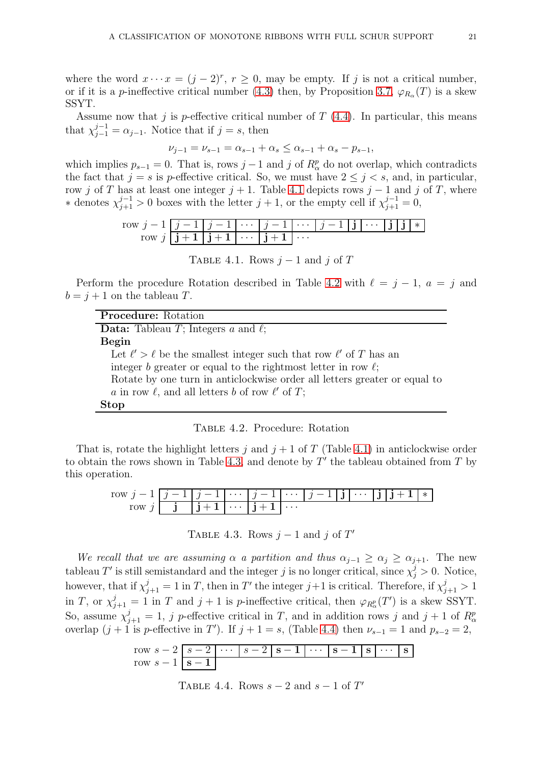where the word  $x \cdots x = (j-2)^r$ ,  $r \ge 0$ , may be empty. If j is not a critical number, or if it is a p-ineffective critical number [\(4.3\)](#page-19-1) then, by Proposition [3.7,](#page-17-1)  $\varphi_{R_{\alpha}}(T)$  is a skew SSYT.

Assume now that j is p-effective critical number of  $T$  [\(4.4\)](#page-19-2). In particular, this means that  $\chi_{j-1}^{j-1} = \alpha_{j-1}$ . Notice that if  $j = s$ , then

$$
\nu_{j-1} = \nu_{s-1} = \alpha_{s-1} + \alpha_s \le \alpha_{s-1} + \alpha_s - p_{s-1},
$$

which implies  $p_{s-1} = 0$ . That is, rows  $j-1$  and j of  $R_{\alpha}^{p}$  do not overlap, which contradicts the fact that  $j = s$  is p-effective critical. So, we must have  $2 \leq j \leq s$ , and, in particular, row j of T has at least one integer  $j + 1$ . Table [4.1](#page-20-0) depicts rows  $j - 1$  and j of T, where \* denotes  $\chi_{j+1}^{j-1} > 0$  boxes with the letter  $j+1$ , or the empty cell if  $\chi_{j+1}^{j-1} = 0$ ,

row 
$$
j-1
$$
  $\boxed{j-1$   $j-1$   $\cdots$   $j-1$   $\cdots$   $j-1$   $\boxed{j+1}$   $j+1$   $\cdots$   $j+1$   $\cdots$   $j+1$   $\cdots$ 

<span id="page-20-0"></span>TABLE 4.1. Rows  $j-1$  and j of T

Perform the procedure Rotation described in Table [4.2](#page-20-1) with  $\ell = j - 1$ ,  $a = j$  and  $b = j + 1$  on the tableau T.

| <b>Procedure:</b> Rotation                                                   |
|------------------------------------------------------------------------------|
| <b>Data:</b> Tableau T; Integers a and $\ell$ ;                              |
| Begin                                                                        |
| Let $\ell' > \ell$ be the smallest integer such that row $\ell'$ of T has an |
| integer b greater or equal to the rightmost letter in row $\ell$ ;           |
| Rotate by one turn in anticlockwise order all letters greater or equal to    |
| a in row $\ell$ , and all letters b of row $\ell'$ of T;                     |
| <b>Stop</b>                                                                  |

<span id="page-20-1"></span>

That is, rotate the highlight letters j and  $j + 1$  of T (Table [4.1\)](#page-20-0) in anticlockwise order to obtain the rows shown in Table [4.3,](#page-20-2) and denote by  $T'$  the tableau obtained from  $T$  by this operation.

| $\overline{\phantom{a}}$ | $i-1$   $j-1$   $\cdots$   $j-1$ |          |          | $ \cdots j-1 $ <b>j</b> | $\cdots$ | $111 + 1$ | $\star$ |
|--------------------------|----------------------------------|----------|----------|-------------------------|----------|-----------|---------|
|                          | $\mathbf{1}$                     | $\cdots$ | $\cdots$ |                         |          |           |         |

<span id="page-20-2"></span>TABLE 4.3. Rows  $j-1$  and j of  $T'$ 

We recall that we are assuming  $\alpha$  a partition and thus  $\alpha_{j-1} \geq \alpha_j \geq \alpha_{j+1}$ . The new tableau T' is still semistandard and the integer j is no longer critical, since  $\chi_j^j > 0$ . Notice, however, that if  $\chi^j_{j+1} = 1$  in T, then in T' the integer  $j+1$  is critical. Therefore, if  $\chi^j_{j+1} > 1$ in T, or  $\chi_{j+1}^j = 1$  in T and  $j+1$  is p-ineffective critical, then  $\varphi_{R_\alpha^p}(T')$  is a skew SSYT. So, assume  $\chi_{j+1}^j = 1$ , j p-effective critical in T, and in addition rows j and j + 1 of  $R_\alpha^p$ overlap  $(j+1)$  is p-effective in T'). If  $j+1=s$ , (Table [4.4\)](#page-20-3) then  $\nu_{s-1}=1$  and  $p_{s-2}=2$ ,

row 
$$
s-2
$$
  $s-2$   $\cdots$   $s-2$   $s-1$   $\cdots$   $s-1$   $s-1$   $\cdots$   $s-1$ 

<span id="page-20-3"></span>TABLE 4.4. Rows  $s - 2$  and  $s - 1$  of  $T'$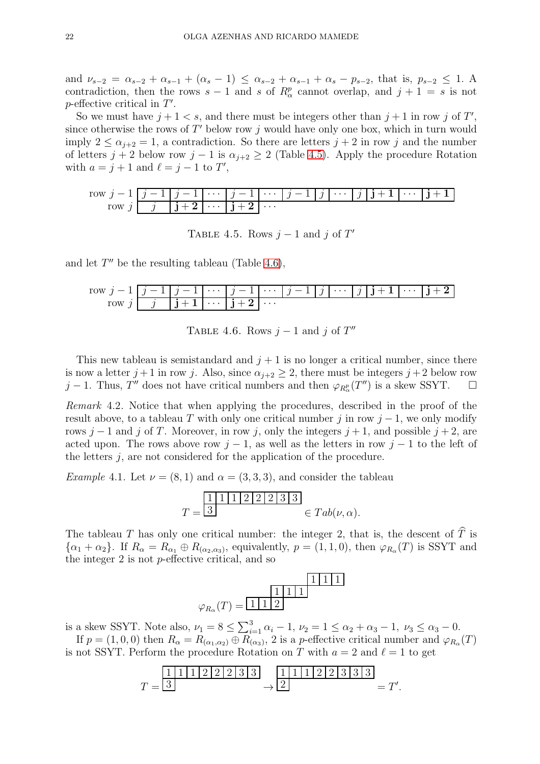and  $\nu_{s-2} = \alpha_{s-2} + \alpha_{s-1} + (\alpha_s - 1) \leq \alpha_{s-2} + \alpha_{s-1} + \alpha_s - p_{s-2}$ , that is,  $p_{s-2} \leq 1$ . A contradiction, then the rows  $s-1$  and s of  $R^p_\alpha$  cannot overlap, and  $j+1 = s$  is not  $p$ -effective critical in  $T'$ .

So we must have  $j+1 < s$ , and there must be integers other than  $j+1$  in row j of T', since otherwise the rows of  $T'$  below row j would have only one box, which in turn would imply  $2 \le \alpha_{i+2} = 1$ , a contradiction. So there are letters  $j + 2$  in row j and the number of letters  $j + 2$  below row  $j - 1$  is  $\alpha_{i+2} \geq 2$  (Table [4.5\)](#page-21-0). Apply the procedure Rotation with  $a = j + 1$  and  $\ell = j - 1$  to T',

row 
$$
j-1
$$
  $j-1$   $j-1$   $\cdots$   $j-1$   $\cdots$   $j-1$   $\cdots$   $j-1$   $j$   $\cdots$   $j$   $j+1$   $\cdots$   $j+1$ 

<span id="page-21-0"></span>TABLE 4.5. Rows  $j-1$  and j of T'

and let  $T''$  be the resulting tableau (Table [4.6\)](#page-21-1),

row 
$$
j-1
$$
  $j-1$   $j-1$   $\cdots$   $j-1$   $\cdots$   $j-1$   $j$   $\cdots$   $j$   $j+1$   $\cdots$   $j+2$ 

<span id="page-21-1"></span>TABLE 4.6. Rows  $j-1$  and j of  $T''$ 

This new tableau is semistandard and  $j + 1$  is no longer a critical number, since there is now a letter  $j+1$  in row j. Also, since  $\alpha_{j+2} \geq 2$ , there must be integers  $j+2$  below row j − 1. Thus, T'' does not have critical numbers and then  $\varphi_{R_\alpha^p}(T'')$  is a skew SSYT.  $\Box$ 

Remark 4.2. Notice that when applying the procedures, described in the proof of the result above, to a tableau T with only one critical number j in row  $j-1$ , we only modify rows j − 1 and j of T. Moreover, in row j, only the integers  $j + 1$ , and possible  $j + 2$ , are acted upon. The rows above row  $j-1$ , as well as the letters in row  $j-1$  to the left of the letters j, are not considered for the application of the procedure.

*Example* 4.1. Let  $\nu = (8, 1)$  and  $\alpha = (3, 3, 3)$ , and consider the tableau

$$
T = \frac{1 \mid 1 \mid 1 \mid 2 \mid 2 \mid 2 \mid 3 \mid 3}{3} \in Tab(\nu, \alpha).
$$

The tableau T has only one critical number: the integer 2, that is, the descent of  $\widehat{T}$  is  $\{\alpha_1+\alpha_2\}$ . If  $R_\alpha = R_{\alpha_1} \oplus R_{(\alpha_2,\alpha_3)}$ , equivalently,  $p = (1,1,0)$ , then  $\varphi_{R_\alpha}(T)$  is SSYT and the integer 2 is not p-effective critical, and so



is a skew SSYT. Note also,  $\nu_1 = 8 \le \sum_{i=1}^3 \alpha_i - 1$ ,  $\nu_2 = 1 \le \alpha_2 + \alpha_3 - 1$ ,  $\nu_3 \le \alpha_3 - 0$ . If  $p = (1, 0, 0)$  then  $R_{\alpha} = R_{(\alpha_1, \alpha_2)} \oplus R_{(\alpha_3)}$ , 2 is a p-effective critical number and  $\varphi_{R_{\alpha}}(T)$ 

is not SSYT. Perform the procedure Rotation on T with  $a = 2$  and  $\ell = 1$  to get

$$
T = \frac{1 \, 1 \, 1 \, 1 \, 2 \, 2 \, 2 \, 3 \, 3}{3} \rightarrow \frac{1 \, 1 \, 1 \, 1 \, 2 \, 2 \, 3 \, 3 \, 3}{2} = T'.
$$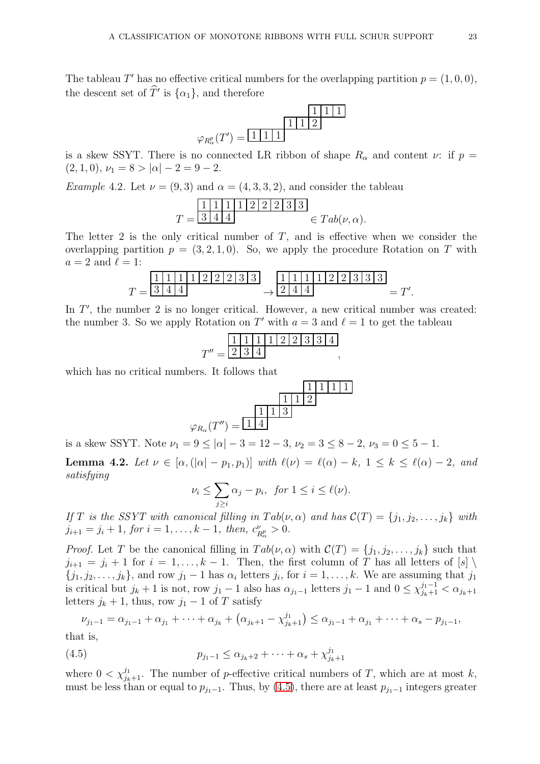The tableau T' has no effective critical numbers for the overlapping partition  $p = (1, 0, 0)$ , the descent set of  $\hat{T}'$  is  $\{\alpha_1\}$ , and therefore

$$
\varphi_{R_{\alpha}^{p}}(T') = \boxed{\frac{1|1|1}{1|1|2}}
$$

is a skew SSYT. There is no connected LR ribbon of shape  $R_{\alpha}$  and content  $\nu$ : if  $p =$  $(2, 1, 0), \nu_1 = 8 > |\alpha| - 2 = 9 - 2.$ 

*Example 4.2.* Let  $\nu = (9, 3)$  and  $\alpha = (4, 3, 3, 2)$ , and consider the tableau

$$
T = \frac{1 \mid 1 \mid 1 \mid 1 \mid 2 \mid 2 \mid 2 \mid 3 \mid 3}{3 \mid 4 \mid 4} \in Tab(\nu, \alpha).
$$

The letter 2 is the only critical number of  $T$ , and is effective when we consider the overlapping partition  $p = (3, 2, 1, 0)$ . So, we apply the procedure Rotation on T with  $a = 2$  and  $\ell = 1$ :

$$
T = \frac{1 \mid 1 \mid 1 \mid 1 \mid 2 \mid 2 \mid 3 \mid 3}{3 \mid 4 \mid 4} \rightarrow \frac{1 \mid 1 \mid 1 \mid 1 \mid 2 \mid 2 \mid 3 \mid 3 \mid 3}{2 \mid 4 \mid 4} = T'
$$

In  $T'$ , the number 2 is no longer critical. However, a new critical number was created: the number 3. So we apply Rotation on T' with  $a = 3$  and  $\ell = 1$  to get the tableau

$$
T'' = \frac{1 \mid 1 \mid 1 \mid 1 \mid 2 \mid 2 \mid 3 \mid 3 \mid 4}{2 \mid 3 \mid 4},
$$

which has no critical numbers. It follows that

$$
\varphi_{R_{\alpha}}(T'') = \frac{\frac{1}{1} \frac{1}{1} \frac{1}{2}}{\varphi_{R_{\alpha}}(T'')} = \frac{\frac{1}{1} \frac{1}{1} \frac{1}{3}}{\frac{1}{1} \frac{1}{2} \frac{1}{2} \frac{1}{2} \frac{1}{2} \frac{1}{2} \frac{1}{2} \frac{1}{2} \frac{1}{2} \frac{1}{2} \frac{1}{2} \frac{1}{2} \frac{1}{2} \frac{1}{2} \frac{1}{2} \frac{1}{2} \frac{1}{2} \frac{1}{2} \frac{1}{2} \frac{1}{2} \frac{1}{2} \frac{1}{2} \frac{1}{2} \frac{1}{2} \frac{1}{2} \frac{1}{2} \frac{1}{2} \frac{1}{2} \frac{1}{2} \frac{1}{2} \frac{1}{2} \frac{1}{2} \frac{1}{2} \frac{1}{2} \frac{1}{2} \frac{1}{2} \frac{1}{2} \frac{1}{2} \frac{1}{2} \frac{1}{2} \frac{1}{2} \frac{1}{2} \frac{1}{2} \frac{1}{2} \frac{1}{2} \frac{1}{2} \frac{1}{2} \frac{1}{2} \frac{1}{2} \frac{1}{2} \frac{1}{2} \frac{1}{2} \frac{1}{2} \frac{1}{2} \frac{1}{2} \frac{1}{2} \frac{1}{2} \frac{1}{2} \frac{1}{2} \frac{1}{2} \frac{1}{2} \frac{1}{2} \frac{1}{2} \frac{1}{2} \frac{1}{2} \frac{1}{2} \frac{1}{2} \frac{1}{2} \frac{1}{2} \frac{1}{2} \frac{1}{2} \frac{1}{2} \frac{1}{2} \frac{1}{2} \frac{1}{2} \frac{1}{2} \frac{1}{2} \frac{1}{2} \frac{1}{2} \frac{1}{2} \frac{1}{2} \frac{1}{2} \frac{1}{2} \frac{1}{2} \frac{1}{2} \frac{1}{2} \frac{1}{2} \frac{1}{2} \frac{1}{2} \frac{1}{2} \frac{1}{2} \frac{1}{2} \frac{1}{2} \frac{1}{2} \frac{1}{2} \frac{1}{2} \frac{1}{2} \frac{1}{2}
$$

is a skew SSYT. Note  $\nu_1 = 9 \le |\alpha| - 3 = 12 - 3$ ,  $\nu_2 = 3 \le 8 - 2$ ,  $\nu_3 = 0 \le 5 - 1$ .

<span id="page-22-1"></span>Lemma 4.2. Let  $\nu \in [\alpha, (|\alpha| - p_1, p_1)]$  with  $\ell(\nu) = \ell(\alpha) - k$ ,  $1 \leq k \leq \ell(\alpha) - 2$ , and satisfying

$$
\nu_i \le \sum_{j\ge i} \alpha_j - p_i, \text{ for } 1 \le i \le \ell(\nu).
$$

If T is the SSYT with canonical filling in Tab( $\nu, \alpha$ ) and has  $\mathcal{C}(T) = \{j_1, j_2, \ldots, j_k\}$  with  $j_{i+1} = j_i + 1$ , for  $i = 1, ..., k - 1$ , then,  $c_p^{\nu}$  $\frac{\nu}{R_{\alpha}^p} > 0.$ 

*Proof.* Let T be the canonical filling in  $Tab(\nu, \alpha)$  with  $\mathcal{C}(T) = \{j_1, j_2, \ldots, j_k\}$  such that  $j_{i+1} = j_i + 1$  for  $i = 1, ..., k-1$ . Then, the first column of T has all letters of  $[s] \setminus$  $\{j_1, j_2, \ldots, j_k\}$ , and row  $j_1 - 1$  has  $\alpha_i$  letters  $j_i$ , for  $i = 1, \ldots, k$ . We are assuming that  $j_1$ is critical but  $j_k + 1$  is not, row  $j_1 - 1$  also has  $\alpha_{j_1-1}$  letters  $j_1 - 1$  and  $0 \leq \chi_{j_k+1}^{j_1-1} < \alpha_{j_k+1}$ letters  $j_k + 1$ , thus, row  $j_1 - 1$  of T satisfy

$$
\nu_{j_1-1} = \alpha_{j_1-1} + \alpha_{j_1} + \dots + \alpha_{j_k} + (\alpha_{j_k+1} - \chi_{j_k+1}^{j_1}) \leq \alpha_{j_1-1} + \alpha_{j_1} + \dots + \alpha_s - p_{j_1-1},
$$

that is,

<span id="page-22-0"></span>(4.5) 
$$
p_{j_1-1} \leq \alpha_{j_k+2} + \cdots + \alpha_s + \chi_{j_k+1}^{j_1}
$$

where  $0 < \chi_{j_k+1}^{j_1}$ . The number of p-effective critical numbers of T, which are at most k, must be less than or equal to  $p_{j_1-1}$ . Thus, by [\(4.5\)](#page-22-0), there are at least  $p_{j_1-1}$  integers greater

.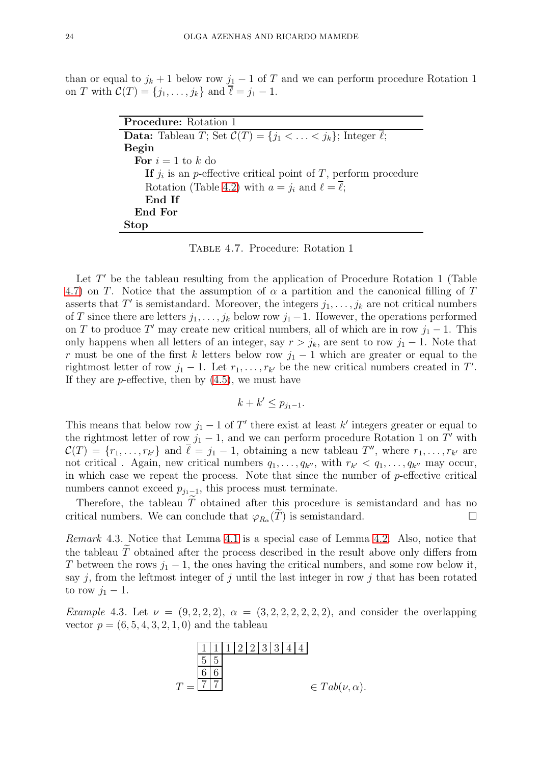than or equal to  $j_k + 1$  below row  $j_1 - 1$  of T and we can perform procedure Rotation 1 on T with  $C(T) = \{j_1, ..., j_k\}$  and  $\ell = j_1 - 1$ .

| <b>Procedure:</b> Rotation 1                                                             |
|------------------------------------------------------------------------------------------|
| <b>Data:</b> Tableau T; Set $\mathcal{C}(T) = \{j_1 < \ldots < j_k\}$ ; Integer $\ell$ ; |
| Begin                                                                                    |
| For $i=1$ to k do                                                                        |
| If $j_i$ is an <i>p</i> -effective critical point of T, perform procedure                |
| Rotation (Table 4.2) with $a = j_i$ and $\ell = \overline{\ell}$ ;                       |
| End If                                                                                   |
| End For                                                                                  |
| <b>Stop</b>                                                                              |

<span id="page-23-0"></span>Table 4.7. Procedure: Rotation 1

Let  $T'$  be the tableau resulting from the application of Procedure Rotation 1 (Table [4.7\)](#page-23-0) on T. Notice that the assumption of  $\alpha$  a partition and the canonical filling of T asserts that T' is semistandard. Moreover, the integers  $j_1, \ldots, j_k$  are not critical numbers of T since there are letters  $j_1, \ldots, j_k$  below row  $j_1 - 1$ . However, the operations performed on T to produce T' may create new critical numbers, all of which are in row  $j_1 - 1$ . This only happens when all letters of an integer, say  $r > j_k$ , are sent to row  $j_1 - 1$ . Note that r must be one of the first k letters below row  $j_1 - 1$  which are greater or equal to the rightmost letter of row  $j_1 - 1$ . Let  $r_1, \ldots, r_{k'}$  be the new critical numbers created in T'. If they are *p*-effective, then by  $(4.5)$ , we must have

$$
k + k' \le p_{j_1 - 1}.
$$

This means that below row  $j_1 - 1$  of T' there exist at least k' integers greater or equal to the rightmost letter of row  $j_1 - 1$ , and we can perform procedure Rotation 1 on T' with  $\mathcal{C}(T) = \{r_1, \ldots, r_{k'}\}$  and  $\overline{\ell} = j_1 - 1$ , obtaining a new tableau  $T''$ , where  $r_1, \ldots, r_{k'}$  are not critical. Again, new critical numbers  $q_1, \ldots, q_{k''}$ , with  $r_{k'} < q_1, \ldots, q_{k''}$  may occur, in which case we repeat the process. Note that since the number of p-effective critical numbers cannot exceed  $p_{j_1-1}$ , this process must terminate.

Therefore, the tableau  $\widetilde{T}$  obtained after this procedure is semistandard and has no<br>itical numbers. We can conclude that  $\varphi_R(\widetilde{T})$  is semistandard. critical numbers. We can conclude that  $\varphi_{R_{\alpha}}(\tilde{T})$  is semistandard.

Remark 4.3. Notice that Lemma [4.1](#page-19-3) is a special case of Lemma [4.2.](#page-22-1) Also, notice that the tableau  $\tilde{T}$  obtained after the process described in the result above only differs from T between the rows  $j_1 - 1$ , the ones having the critical numbers, and some row below it, say  $j$ , from the leftmost integer of  $j$  until the last integer in row  $j$  that has been rotated to row  $j_1-1$ .

*Example* 4.3. Let  $\nu = (9, 2, 2, 2), \alpha = (3, 2, 2, 2, 2, 2, 2)$ , and consider the overlapping vector  $p = (6, 5, 4, 3, 2, 1, 0)$  and the tableau

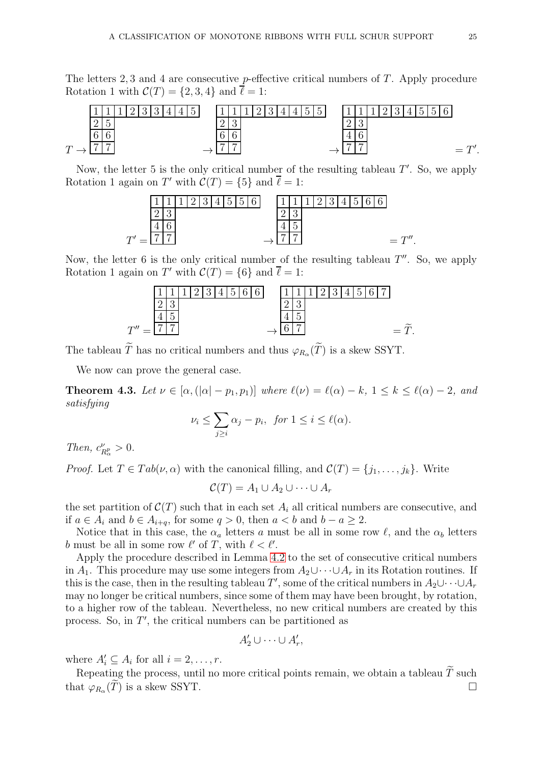The letters 2, 3 and 4 are consecutive p-effective critical numbers of  $T$ . Apply procedure Rotation 1 with  $\mathcal{C}(T) = \{2, 3, 4\}$  and  $\ell = 1$ :



Now, the letter 5 is the only critical number of the resulting tableau  $T'$ . So, we apply Rotation 1 again on T' with  $C(T) = \{5\}$  and  $\overline{\ell} = 1$ :



Now, the letter 6 is the only critical number of the resulting tableau  $T''$ . So, we apply Rotation 1 again on T' with  $C(T) = \{6\}$  and  $\overline{\ell} = 1$ :



The tableau T has no critical numbers and thus  $\varphi_{R_{\alpha}}(T)$  is a skew SSYT.

We now can prove the general case.

**Theorem 4.3.** Let  $\nu \in [\alpha, (\vert \alpha \vert - p_1, p_1)]$  where  $\ell(\nu) = \ell(\alpha) - k$ ,  $1 \leq k \leq \ell(\alpha) - 2$ , and satisfying

$$
\nu_i \le \sum_{j\ge i} \alpha_j - p_i, \text{ for } 1 \le i \le \ell(\alpha).
$$

Then,  $c_F^{\nu}$  $\frac{\nu}{R_{\alpha}^p} > 0.$ 

*Proof.* Let  $T \in Tab(\nu, \alpha)$  with the canonical filling, and  $C(T) = \{j_1, \ldots, j_k\}$ . Write

 $\mathcal{C}(T) = A_1 \cup A_2 \cup \cdots \cup A_r$ 

the set partition of  $\mathcal{C}(T)$  such that in each set  $A_i$  all critical numbers are consecutive, and if  $a \in A_i$  and  $b \in A_{i+q}$ , for some  $q > 0$ , then  $a < b$  and  $b - a \ge 2$ .

Notice that in this case, the  $\alpha_a$  letters a must be all in some row  $\ell$ , and the  $\alpha_b$  letters b must be all in some row  $\ell'$  of T, with  $\ell < \ell'$ .

Apply the procedure described in Lemma [4.2](#page-22-1) to the set of consecutive critical numbers in  $A_1$ . This procedure may use some integers from  $A_2\cup\cdots\cup A_r$  in its Rotation routines. If this is the case, then in the resulting tableau T', some of the critical numbers in  $A_2 \cup \cdots \cup A_r$ may no longer be critical numbers, since some of them may have been brought, by rotation, to a higher row of the tableau. Nevertheless, no new critical numbers are created by this process. So, in T ′ , the critical numbers can be partitioned as

$$
A'_2 \cup \cdots \cup A'_r,
$$

where  $A'_i \subseteq A_i$  for all  $i = 2, \ldots, r$ .

Repeating the process, until no more critical points remain, we obtain a tableau  $\widetilde{T}$  such that  $\varphi_{R_{\alpha}}(\widetilde{T})$  is a skew SSYT.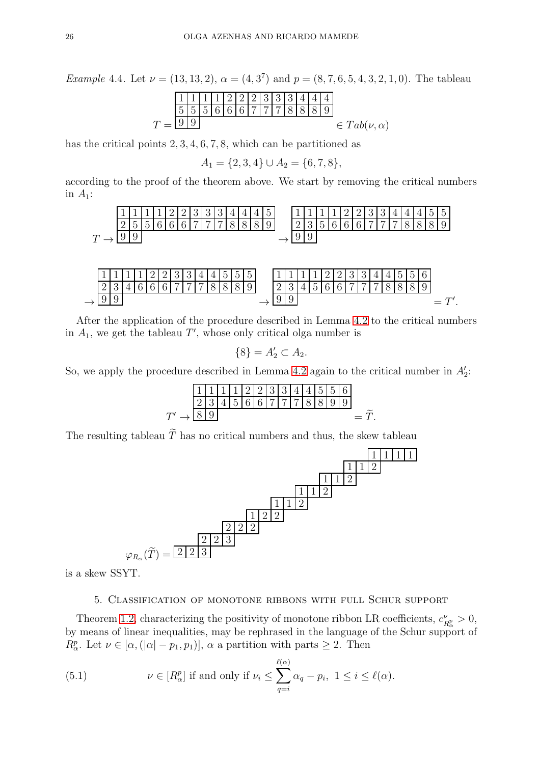*Example 4.4.* Let  $\nu = (13, 13, 2), \alpha = (4, 3^7)$  and  $p = (8, 7, 6, 5, 4, 3, 2, 1, 0)$ . The tableau

T = 1 1 1 1 2 2 2 3 3 3 4 4 4 5 5 5 6 6 6 7 7 7 8 8 8 9 9 9 ∈ T ab(ν, α)

has the critical points  $2, 3, 4, 6, 7, 8$ , which can be partitioned as

$$
A_1 = \{2, 3, 4\} \cup A_2 = \{6, 7, 8\},\
$$

according to the proof of the theorem above. We start by removing the critical numbers in  $A_1$ :





After the application of the procedure described in Lemma [4.2](#page-22-1) to the critical numbers in  $A_1$ , we get the tableau  $T'$ , whose only critical olga number is

$$
\{8\} = A_2' \subset A_2.
$$

So, we apply the procedure described in Lemma [4.2](#page-22-1) again to the critical number in  $A'_2$ :

T ′ → 1 1 1 1 2 2 3 3 4 4 5 5 6 2 3 4 5 6 6 7 7 7 8 8 9 9 <sup>8</sup> <sup>9</sup> <sup>=</sup> T . <sup>e</sup>

The resulting tableau  $\widetilde{T}$  has no critical numbers and thus, the skew tableau



<span id="page-25-0"></span>is a skew SSYT.

## 5. Classification of monotone ribbons with full Schur support

Theorem [1.2,](#page-4-3) characterizing the positivity of monotone ribbon LR coefficients,  $c_{\mu}^{\nu}$  $\frac{\nu}{R^p_{\alpha}}>0,$ by means of linear inequalities, may be rephrased in the language of the Schur support of  $R_{\alpha}^{p}$ . Let  $\nu \in [\alpha, (|\alpha| - p_1, p_1)], \alpha$  a partition with parts  $\geq 2$ . Then

<span id="page-25-1"></span>(5.1) 
$$
\nu \in [R^p_\alpha] \text{ if and only if } \nu_i \leq \sum_{q=i}^{\ell(\alpha)} \alpha_q - p_i, \ 1 \leq i \leq \ell(\alpha).
$$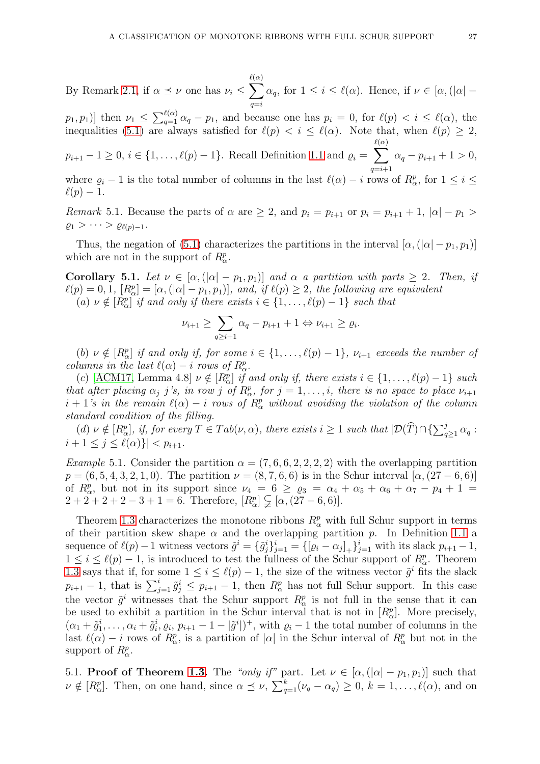By Remark [2.1,](#page-9-1) if  $\alpha \preceq \nu$  one has  $\nu_i \leq \sum$  $\ell(\alpha)$  $q=i$  $\alpha_q$ , for  $1 \leq i \leq \ell(\alpha)$ . Hence, if  $\nu \in [\alpha, (\alpha] -$ 

 $[p_1, p_1]$  then  $\nu_1 \leq \sum_{q=1}^{\ell(\alpha)} \alpha_q - p_1$ , and because one has  $p_i = 0$ , for  $\ell(p) < i \leq \ell(\alpha)$ , the inequalities [\(5.1\)](#page-25-1) are always satisfied for  $\ell(p) < i \leq \ell(\alpha)$ . Note that, when  $\ell(p) \geq 2$ ,

 $p_{i+1} - 1 \geq 0, i \in \{1, \ldots, \ell(p) - 1\}.$  Recall Definition [1.1](#page-3-1) and  $\varrho_i = \sum$  $\ell(\alpha)$  $q=i+1$  $\alpha_q - p_{i+1} + 1 > 0,$ 

where  $\varrho_i - 1$  is the total number of columns in the last  $\ell(\alpha) - i$  rows of  $R^p_\alpha$ , for  $1 \leq i \leq$  $\ell(p)-1$ .

<span id="page-26-1"></span>*Remark* 5.1. Because the parts of  $\alpha$  are  $\geq 2$ , and  $p_i = p_{i+1}$  or  $p_i = p_{i+1} + 1$ ,  $|\alpha| - p_1 >$  $\varrho_1 > \cdots > \varrho_{\ell(p)-1}.$ 

Thus, the negation of [\(5.1\)](#page-25-1) characterizes the partitions in the interval  $[\alpha,(|\alpha|-p_1,p_1)]$ which are not in the support of  $R^p_\alpha$ .

<span id="page-26-0"></span>Corollary 5.1. Let  $\nu \in [\alpha, (|\alpha| - p_1, p_1)]$  and  $\alpha$  a partition with parts  $\geq 2$ . Then, if  $\ell(p) = 0, 1, [R_{\alpha}^p] = [\alpha, (|\alpha| - p_1, p_1)], \text{ and, if } \ell(p) \geq 2, \text{ the following are equivalent}$ (a)  $\nu \notin [R_{\alpha}^p]$  if and only if there exists  $i \in \{1, \ldots, \ell(p)-1\}$  such that

$$
\nu_{i+1} \ge \sum_{q \ge i+1} \alpha_q - p_{i+1} + 1 \Leftrightarrow \nu_{i+1} \ge \varrho_i.
$$

(b)  $\nu \notin [R_{\alpha}^p]$  if and only if, for some  $i \in \{1, ..., \ell(p)-1\}$ ,  $\nu_{i+1}$  exceeds the number of columns in the last  $\ell(\alpha) - i$  rows of  $R^p_\alpha$ .

(c) [\[ACM17,](#page-34-1) Lemma 4.8]  $\nu \notin [R_{\alpha}^p]$  if and only if, there exists  $i \in \{1, ..., \ell(p)-1\}$  such that after placing  $\alpha_j$  j's, in row j of  $R_\alpha^p$ , for  $j = 1, \ldots, i$ , there is no space to place  $\nu_{i+1}$  $i + 1$ 's in the remain  $\ell(\alpha) - i$  rows of  $R^p_\alpha$  without avoiding the violation of the column standard condition of the filling.

 $(d) \nu \notin [R^p_\alpha], \text{ if, for every } T \in Tab(\nu,\alpha), \text{ there exists } i \geq 1 \text{ such that } |\mathcal{D}(\widehat{T}) \cap {\sum_{q \geq 1}^j \alpha_q}$  $i + 1 \leq j \leq \ell(\alpha) \} | < p_{i+1}.$ 

Example 5.1. Consider the partition  $\alpha = (7, 6, 6, 2, 2, 2, 2)$  with the overlapping partition  $p = (6, 5, 4, 3, 2, 1, 0)$ . The partition  $\nu = (8, 7, 6, 6)$  is in the Schur interval  $[\alpha, (27 - 6, 6)]$ of  $R_{\alpha}^p$ , but not in its support since  $\nu_4 = 6 \ge \varrho_3 = \alpha_4 + \alpha_5 + \alpha_6 + \alpha_7 - p_4 + 1 =$  $2+2+2+2-3+1=6$ . Therefore,  $[R_{\alpha}^{p}] \subsetneq [\alpha, (27-6,6)].$ 

Theorem [1.3](#page-4-4) characterizes the monotone ribbons  $R^p_\alpha$  with full Schur support in terms of their partition skew shape  $\alpha$  and the overlapping partition p. In Definition [1.1](#page-3-1) a sequence of  $\ell(p)-1$  witness vectors  $\tilde{g}^i = \{\tilde{g}^i_j\}_{j=1}^i = \{[\varrho_i - \alpha_j]_+\}_{j=1}^i$  with its slack  $p_{i+1}-1$ ,  $1 \leq i \leq \ell(p)-1$ , is introduced to test the fullness of the Schur support of  $R^p_\alpha$ . Theorem [1.3](#page-4-4) says that if, for some  $1 \leq i \leq \ell(p) - 1$ , the size of the witness vector  $\tilde{g}^i$  fits the slack  $p_{i+1} - 1$ , that is  $\sum_{j=1}^{i} \tilde{g}_j^i \le p_{i+1} - 1$ , then  $R_\alpha^p$  has not full Schur support. In this case the vector  $\tilde{g}^i$  witnesses that the Schur support  $R^p_\alpha$  is not full in the sense that it can be used to exhibit a partition in the Schur interval that is not in  $[R^p_\alpha]$ . More precisely,  $(\alpha_1 + \tilde{g}_1^i, \ldots, \alpha_i + \tilde{g}_i^i, \varrho_i, p_{i+1} - 1 - |\tilde{g}^i|)^+$ , with  $\varrho_i - 1$  the total number of columns in the last  $\ell(\alpha) - i$  rows of  $R^p_\alpha$ , is a partition of  $|\alpha|$  in the Schur interval of  $R^p_\alpha$  but not in the support of  $R^p_\alpha$ .

5.1. **Proof of Theorem [1.3.](#page-4-4)** The "only if" part. Let  $\nu \in [\alpha, (\vert \alpha \vert - p_1, p_1)]$  such that  $\nu \notin [R_{\alpha}^p]$ . Then, on one hand, since  $\alpha \preceq \nu$ ,  $\sum_{q=1}^k (\nu_q - \alpha_q) \geq 0$ ,  $k = 1, \ldots, \ell(\alpha)$ , and on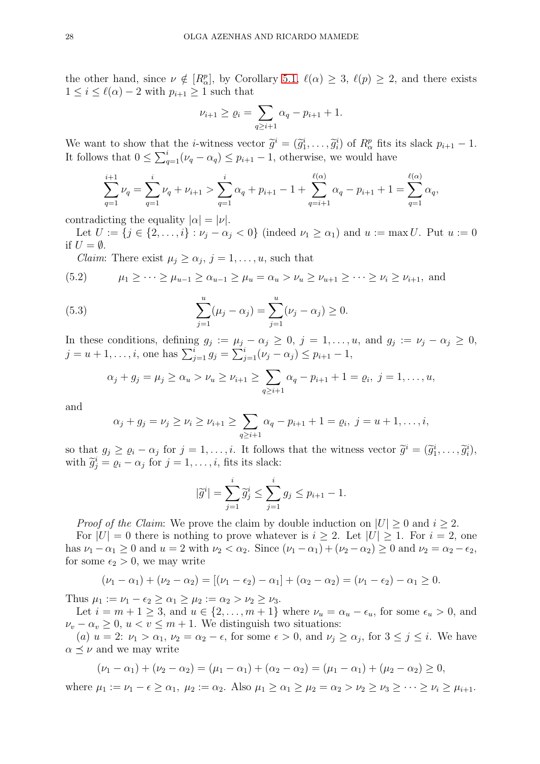the other hand, since  $\nu \notin [R_{\alpha}^p]$ , by Corollary [5.1,](#page-26-0)  $\ell(\alpha) \geq 3$ ,  $\ell(p) \geq 2$ , and there exists  $1 \leq i \leq \ell(\alpha) - 2$  with  $p_{i+1} \geq 1$  such that

$$
\nu_{i+1} \ge \varrho_i = \sum_{q \ge i+1} \alpha_q - p_{i+1} + 1.
$$

We want to show that the *i*-witness vector  $\tilde{g}^i = (\tilde{g}_1^i, \ldots, \tilde{g}_i^i)$  of  $R_{\alpha}^p$  fits its slack  $p_{i+1} - 1$ . It follows that  $0 \le \sum_{q=1}^{i} (\nu_q - \alpha_q) \le p_{i+1} - 1$ , otherwise, we would have

$$
\sum_{q=1}^{i+1} \nu_q = \sum_{q=1}^{i} \nu_q + \nu_{i+1} > \sum_{q=1}^{i} \alpha_q + p_{i+1} - 1 + \sum_{q=i+1}^{\ell(\alpha)} \alpha_q - p_{i+1} + 1 = \sum_{q=1}^{\ell(\alpha)} \alpha_q,
$$

contradicting the equality  $|\alpha| = |\nu|$ .

Let  $U := \{j \in \{2,\ldots,i\} : \nu_j - \alpha_j < 0\}$  (indeed  $\nu_1 \geq \alpha_1$ ) and  $u := \max U$ . Put  $u := 0$ if  $U = \emptyset$ .

*Claim:* There exist  $\mu_j \geq \alpha_j$ ,  $j = 1, \ldots, u$ , such that

$$
(5.2) \qquad \mu_1 \geq \cdots \geq \mu_{u-1} \geq \alpha_{u-1} \geq \mu_u = \alpha_u > \nu_u \geq \nu_{u+1} \geq \cdots \geq \nu_i \geq \nu_{i+1}, \text{ and}
$$

(5.3) 
$$
\sum_{j=1}^{u} (\mu_j - \alpha_j) = \sum_{j=1}^{u} (\nu_j - \alpha_j) \ge 0.
$$

In these conditions, defining  $g_j := \mu_j - \alpha_j \geq 0$ ,  $j = 1, \ldots, u$ , and  $g_j := \nu_j - \alpha_j \geq 0$ ,  $j = u + 1, \ldots, i$ , one has  $\sum_{j=1}^{i} g_j = \sum_{j=1}^{i} (\nu_j - \alpha_j) \le p_{i+1} - 1$ ,

$$
\alpha_j + g_j = \mu_j \ge \alpha_u > \nu_u \ge \nu_{i+1} \ge \sum_{q \ge i+1} \alpha_q - p_{i+1} + 1 = \varrho_i, \ j = 1, \ldots, u,
$$

and

$$
\alpha_j + g_j = \nu_j \ge \nu_i \ge \nu_{i+1} \ge \sum_{q \ge i+1} \alpha_q - p_{i+1} + 1 = \varrho_i, \ j = u+1, \ldots, i,
$$

so that  $g_j \geq \varrho_i - \alpha_j$  for  $j = 1, \ldots, i$ . It follows that the witness vector  $\widetilde{g}^i = (\widetilde{g}_1^i, \ldots, \widetilde{g}_i^i)$ , with  $\widetilde{g}_j^i = \varrho_i - \alpha_j$  for  $j = 1, \ldots, i$ , fits its slack:

$$
|\tilde{g}^i| = \sum_{j=1}^i \tilde{g}_j^i \le \sum_{j=1}^i g_j \le p_{i+1} - 1.
$$

*Proof of the Claim:* We prove the claim by double induction on  $|U| \geq 0$  and  $i \geq 2$ .

For  $|U| = 0$  there is nothing to prove whatever is  $i \geq 2$ . Let  $|U| \geq 1$ . For  $i = 2$ , one has  $\nu_1 - \alpha_1 \geq 0$  and  $u = 2$  with  $\nu_2 < \alpha_2$ . Since  $(\nu_1 - \alpha_1) + (\nu_2 - \alpha_2) \geq 0$  and  $\nu_2 = \alpha_2 - \epsilon_2$ , for some  $\epsilon_2 > 0$ , we may write

$$
(\nu_1 - \alpha_1) + (\nu_2 - \alpha_2) = [(\nu_1 - \epsilon_2) - \alpha_1] + (\alpha_2 - \alpha_2) = (\nu_1 - \epsilon_2) - \alpha_1 \ge 0.
$$

Thus  $\mu_1 := \nu_1 - \epsilon_2 \geq \alpha_1 \geq \mu_2 := \alpha_2 > \nu_2 \geq \nu_3$ .

Let  $i = m + 1 \geq 3$ , and  $u \in \{2, \ldots, m + 1\}$  where  $\nu_u = \alpha_u - \epsilon_u$ , for some  $\epsilon_u > 0$ , and  $\nu_v - \alpha_v \geq 0$ ,  $u < v \leq m + 1$ . We distinguish two situations:

(a)  $u = 2$ :  $\nu_1 > \alpha_1$ ,  $\nu_2 = \alpha_2 - \epsilon$ , for some  $\epsilon > 0$ , and  $\nu_j \ge \alpha_j$ , for  $3 \le j \le i$ . We have  $\alpha \preceq \nu$  and we may write

$$
(\nu_1 - \alpha_1) + (\nu_2 - \alpha_2) = (\mu_1 - \alpha_1) + (\alpha_2 - \alpha_2) = (\mu_1 - \alpha_1) + (\mu_2 - \alpha_2) \ge 0,
$$

where  $\mu_1 := \nu_1 - \epsilon \ge \alpha_1$ ,  $\mu_2 := \alpha_2$ . Also  $\mu_1 \ge \alpha_1 \ge \mu_2 = \alpha_2 > \nu_2 \ge \nu_3 \ge \cdots \ge \nu_i \ge \mu_{i+1}$ .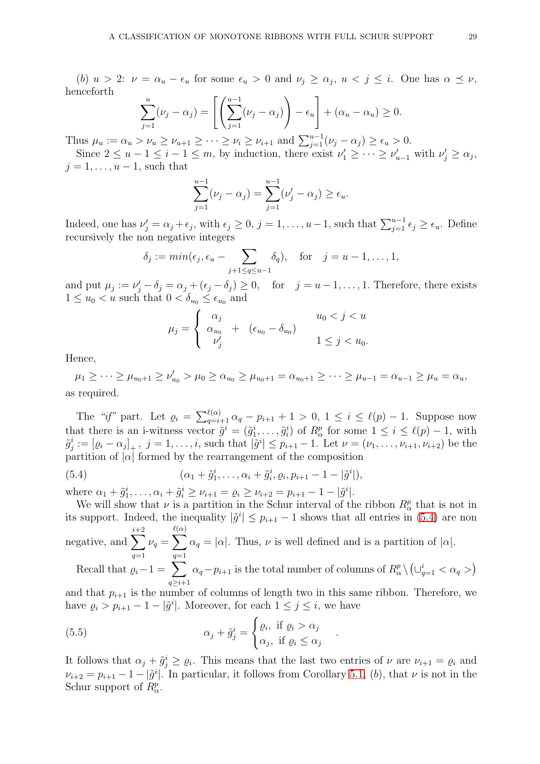(b)  $u > 2$ :  $\nu = \alpha_u - \epsilon_u$  for some  $\epsilon_u > 0$  and  $\nu_j \geq \alpha_j$ ,  $u < j \leq i$ . One has  $\alpha \preceq \nu$ , henceforth

$$
\sum_{j=1}^{u} (\nu_j - \alpha_j) = \left[ \left( \sum_{j=1}^{u-1} (\nu_j - \alpha_j) \right) - \epsilon_u \right] + (\alpha_u - \alpha_u) \ge 0.
$$

Thus  $\mu_u := \alpha_u > \nu_u \ge \nu_{u+1} \ge \cdots \ge \nu_i \ge \nu_{i+1}$  and  $\sum_{j=1}^{u-1} (\nu_j - \alpha_j) \ge \epsilon_u > 0$ . Since  $2 \le u - 1 \le i - 1 \le m$ , by induction, there exist  $\nu'_1 \ge \dots \ge \nu'_{u-1}$  with  $\nu'_j \ge \alpha_j$ ,

 $j = 1, \ldots, u-1$ , such that

$$
\sum_{j=1}^{u-1} (\nu_j - \alpha_j) = \sum_{j=1}^{u-1} (\nu'_j - \alpha_j) \ge \epsilon_u.
$$

Indeed, one has  $\nu'_j = \alpha_j + \epsilon_j$ , with  $\epsilon_j \geq 0$ ,  $j = 1, \ldots, u-1$ , such that  $\sum_{j=1}^{u-1} \epsilon_j \geq \epsilon_u$ . Define recursively the non negative integers

$$
\delta_j := min(\epsilon_j, \epsilon_u - \sum_{j+1 \leq q \leq u-1} \delta_q),
$$
 for  $j = u-1, ..., 1,$ 

and put  $\mu_j := \nu'_j - \delta_j = \alpha_j + (\epsilon_j - \delta_j) \geq 0$ , for  $j = u - 1, \ldots, 1$ . Therefore, there exists  $1 \leq u_0 < u$  such that  $0 < \delta_{u_0} \leq \epsilon_{u_0}$  and

$$
\mu_j = \begin{cases} \alpha_j & u_0 < j < u \\ \alpha_{u_0} & + (\epsilon_{u_0} - \delta_{u_0}) \\ \nu'_j & 1 \le j < u_0. \end{cases}
$$

Hence,

 $\mu_1 \geq \cdots \geq \mu_{u_0+1} \geq \nu'_{u_0} > \mu_0 \geq \alpha_{u_0} \geq \mu_{u_0+1} = \alpha_{u_0+1} \geq \cdots \geq \mu_{u-1} = \alpha_{u-1} \geq \mu_u = \alpha_u$ as required.

The "if" part. Let  $\varrho_i = \sum_{q=i+1}^{\ell(\alpha)} \alpha_q - p_{i+1} + 1 > 0, 1 \le i \le \ell(p) - 1$ . Suppose now that there is an i-witness vector  $\tilde{g}^i = (\tilde{g}_1^i, \ldots, \tilde{g}_i^i)$  of  $R_\alpha^p$  for some  $1 \leq i \leq \ell(p) - 1$ , with  $\tilde{g}_j^i := [\varrho_i - \alpha_j]_+, \ j = 1, \ldots, i$ , such that  $|\tilde{g}^i| \leq p_{i+1} - 1$ . Let  $\nu = (\nu_1, \ldots, \nu_{i+1}, \nu_{i+2})$  be the partition of  $|\alpha|$  formed by the rearrangement of the composition

<span id="page-28-0"></span>(5.4) 
$$
(\alpha_1 + \tilde{g}_1^i, \ldots, \alpha_i + \tilde{g}_i^i, \varrho_i, p_{i+1} - 1 - |\tilde{g}^i|),
$$

where  $\alpha_1 + \tilde{g}_1^i, \ldots, \alpha_i + \tilde{g}_i^i \ge \nu_{i+1} = \varrho_i \ge \nu_{i+2} = p_{i+1} - 1 - |\tilde{g}^i|.$ 

We will show that  $\nu$  is a partition in the Schur interval of the ribbon  $R^p_\alpha$  that is not in its support. Indeed, the inequality  $|\tilde{g}^i| \leq p_{i+1} - 1$  shows that all entries in [\(5.4\)](#page-28-0) are non negative, and  $\sum_{i=1}^{i+2}$  $\ell(\alpha)$ 

 $q=1$  $\nu_q = \sum$  $q=1$  $\alpha_q = |\alpha|$ . Thus,  $\nu$  is well defined and is a partition of  $|\alpha|$ .

Recall that  $\varrho_i-1 = \sum$  $q\geq i+1$  $\alpha_q - p_{i+1}$  is the total number of columns of  $R^p_\alpha \setminus (\cup_{q=1}^i < \alpha_q>)$ 

and that  $p_{i+1}$  is the number of columns of length two in this same ribbon. Therefore, we have  $\varrho_i > p_{i+1} - 1 - |\tilde{g}^i|$ . Moreover, for each  $1 \leq j \leq i$ , we have

<span id="page-28-1"></span>.

(5.5) 
$$
\alpha_j + \tilde{g}_j^i = \begin{cases} \varrho_i, & \text{if } \varrho_i > \alpha_j \\ \alpha_j, & \text{if } \varrho_i \leq \alpha_j \end{cases}
$$

It follows that  $\alpha_j + \tilde{g}_j^i \geq \varrho_i$ . This means that the last two entries of  $\nu$  are  $\nu_{i+1} = \varrho_i$  and  $\nu_{i+2} = p_{i+1} - 1 - |\tilde{g}^i|$ . In particular, it follows from Corollary [5.1,](#page-26-0) (b), that  $\nu$  is not in the Schur support of  $R^p_\alpha$ .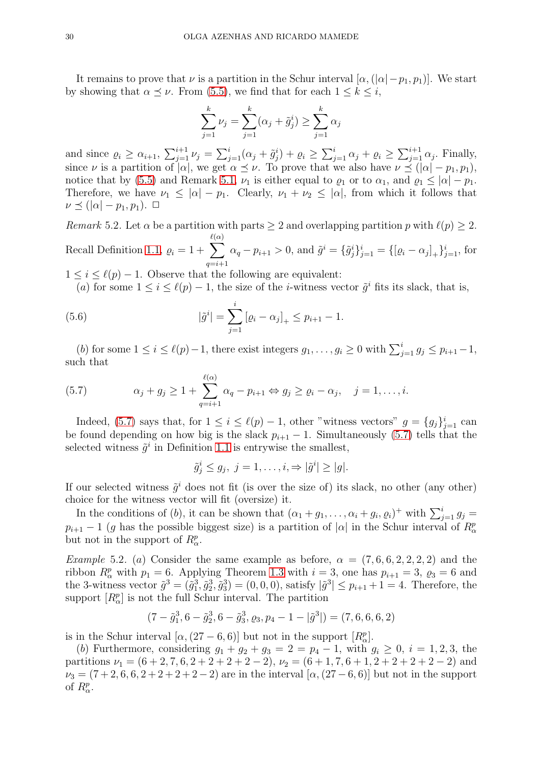It remains to prove that  $\nu$  is a partition in the Schur interval  $[\alpha, (|\alpha| - p_1, p_1)]$ . We start by showing that  $\alpha \preceq \nu$ . From [\(5.5\)](#page-28-1), we find that for each  $1 \leq k \leq i$ ,

$$
\sum_{j=1}^{k} \nu_j = \sum_{j=1}^{k} (\alpha_j + \tilde{g}_j^i) \ge \sum_{j=1}^{k} \alpha_j
$$

and since  $\rho_i \ge \alpha_{i+1}$ ,  $\sum_{j=1}^{i+1} \nu_j = \sum_{j=1}^{i} (\alpha_j + \tilde{g}_j^i) + \varrho_i \ge \sum_{j=1}^{i} \alpha_j + \varrho_i \ge \sum_{j=1}^{i+1} \alpha_j$ . Finally, since  $\nu$  is a partition of  $|\alpha|$ , we get  $\alpha \leq \nu$ . To prove that we also have  $\nu \leq (|\alpha| - p_1, p_1)$ , notice that by [\(5.5\)](#page-28-1) and Remark [5.1,](#page-26-1)  $\nu_1$  is either equal to  $\varrho_1$  or to  $\alpha_1$ , and  $\varrho_1 \leq |\alpha| - p_1$ . Therefore, we have  $\nu_1 \leq |\alpha| - p_1$ . Clearly,  $\nu_1 + \nu_2 \leq |\alpha|$ , from which it follows that  $\nu \preceq (|\alpha| - p_1, p_1). \ \Box$ 

Remark 5.2. Let  $\alpha$  be a partition with parts  $\geq 2$  and overlapping partition p with  $\ell(p) \geq 2$ . Recall Definition [1.1,](#page-3-1)  $\rho_i = 1 + \sum$  $\ell(\alpha)$  $_{q=i+1}$  $\alpha_q - p_{i+1} > 0$ , and  $\tilde{g}^i = {\{\tilde{g}_j^i\}}_{j=1}^i = {\{\left[\varrho_i - \alpha_j\right]_+\}}_{j=1}^i$ , for  $1 \leq i \leq \ell(p) - 1$ . Observe that the following are equivalent:

(a) for some  $1 \leq i \leq \ell(p) - 1$ , the size of the *i*-witness vector  $\tilde{g}^i$  fits its slack, that is,

(5.6) 
$$
|\tilde{g}^{i}| = \sum_{j=1}^{i} [\varrho_{i} - \alpha_{j}]_{+} \leq p_{i+1} - 1.
$$

(b) for some  $1 \leq i \leq \ell(p)-1$ , there exist integers  $g_1, \ldots, g_i \geq 0$  with  $\sum_{j=1}^i g_j \leq p_{i+1}-1$ , such that

<span id="page-29-0"></span>(5.7) 
$$
\alpha_j + g_j \geq 1 + \sum_{q=i+1}^{\ell(\alpha)} \alpha_q - p_{i+1} \Leftrightarrow g_j \geq \varrho_i - \alpha_j, \quad j = 1, \ldots, i.
$$

Indeed, [\(5.7\)](#page-29-0) says that, for  $1 \leq i \leq \ell(p) - 1$ , other "witness vectors"  $g = \{g_j\}_{j=1}^i$  can be found depending on how big is the slack  $p_{i+1} - 1$ . Simultaneously [\(5.7\)](#page-29-0) tells that the selected witness  $\tilde{g}^i$  in Definition [1.1](#page-3-1) is entrywise the smallest,

$$
\tilde{g}_j^i \le g_j, \ j = 1, \dots, i, \Rightarrow |\tilde{g}^i| \ge |g|.
$$

If our selected witness  $\tilde{g}^i$  does not fit (is over the size of) its slack, no other (any other) choice for the witness vector will fit (oversize) it.

In the conditions of (b), it can be shown that  $(\alpha_1 + g_1, \ldots, \alpha_i + g_i, \varrho_i)^+$  with  $\sum_{j=1}^i g_j =$  $p_{i+1} - 1$  (g has the possible biggest size) is a partition of  $|\alpha|$  in the Schur interval of  $R^p_\alpha$ but not in the support of  $R^p_\alpha$ .

*Example* 5.2. (a) Consider the same example as before,  $\alpha = (7, 6, 6, 2, 2, 2, 2)$  and the ribbon  $R^p_\alpha$  with  $p_1 = 6$ . Applying Theorem [1.3](#page-4-4) with  $i = 3$ , one has  $p_{i+1} = 3$ ,  $\varrho_3 = 6$  and the 3-witness vector  $\tilde{g}^3 = (\tilde{g}_1^3, \tilde{g}_2^3, \tilde{g}_3^3) = (0, 0, 0)$ , satisfy  $|\tilde{g}^3| \le p_{i+1} + 1 = 4$ . Therefore, the support  $[R^p_\alpha]$  is not the full Schur interval. The partition

$$
(7 - \tilde{g}_1^3, 6 - \tilde{g}_2^3, 6 - \tilde{g}_3^3, \varrho_3, p_4 - 1 - |\tilde{g}^3|) = (7, 6, 6, 6, 2)
$$

is in the Schur interval  $[\alpha, (27-6,6)]$  but not in the support  $[R^p_\alpha]$ .

(b) Furthermore, considering  $g_1 + g_2 + g_3 = 2 = p_4 - 1$ , with  $g_i \ge 0$ ,  $i = 1, 2, 3$ , the partitions  $\nu_1 = (6 + 2, 7, 6, 2 + 2 + 2 + 2 - 2), \nu_2 = (6 + 1, 7, 6 + 1, 2 + 2 + 2 + 2 - 2)$  and  $\nu_3 = (7 + 2, 6, 6, 2 + 2 + 2 + 2 - 2)$  are in the interval  $[\alpha, (27 - 6, 6)]$  but not in the support of  $R^p_\alpha$ .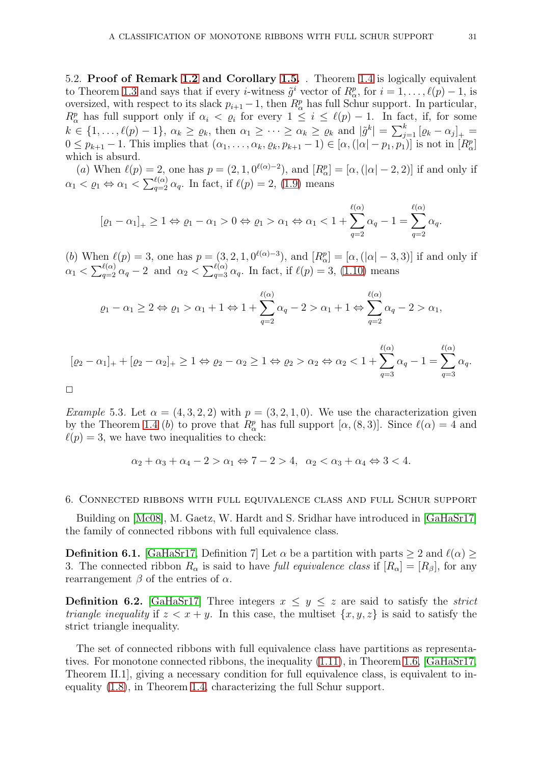5.2. Proof of Remark [1.2](#page-4-5) and Corollary [1.5.](#page-5-4) . Theorem [1.4](#page-4-0) is logically equivalent to Theorem [1.3](#page-4-4) and says that if every *i*-witness  $\tilde{g}^i$  vector of  $R^p_\alpha$ , for  $i = 1, \ldots, \ell(p) - 1$ , is oversized, with respect to its slack  $p_{i+1} - 1$ , then  $R_{\alpha}^p$  has full Schur support. In particular,  $R_{\alpha}^{p}$  has full support only if  $\alpha_{i} < \varrho_{i}$  for every  $1 \leq i \leq \ell(p) - 1$ . In fact, if, for some  $k \in \{1, \ldots, \ell(p)-1\}, \ \alpha_k \geq \varrho_k, \ \text{then} \ \alpha_1 \geq \cdots \geq \alpha_k \geq \varrho_k \ \text{and} \ |\tilde{g}^k| = \sum_{j=1}^k [\varrho_k - \alpha_j]_+ =$  $0 \leq p_{k+1} - 1$ . This implies that  $(\alpha_1, \ldots, \alpha_k, \varrho_k, p_{k+1} - 1) \in [\alpha, (|\alpha| - p_1, p_1)]$  is not in  $[R^p_\alpha]$ which is absurd.

(a) When  $\ell(p) = 2$ , one has  $p = (2, 1, 0^{\ell(\alpha)-2})$ , and  $[R_{\alpha}^p] = [\alpha, (|\alpha| - 2, 2)]$  if and only if  $\alpha_1 < \varrho_1 \Leftrightarrow \alpha_1 < \sum_{q=2}^{\ell(\alpha)} \alpha_q$ . In fact, if  $\ell(p) = 2$ , [\(1.9\)](#page-5-5) means

$$
[\varrho_1-\alpha_1]_+\geq 1\Leftrightarrow \varrho_1-\alpha_1>0\Leftrightarrow \varrho_1>\alpha_1\Leftrightarrow \alpha_1<1+\sum_{q=2}^{\ell(\alpha)}\alpha_q-1=\sum_{q=2}^{\ell(\alpha)}\alpha_q.
$$

(b) When  $\ell(p) = 3$ , one has  $p = (3, 2, 1, 0^{\ell(\alpha)-3})$ , and  $[R_{\alpha}^p] = [\alpha, (|\alpha| - 3, 3)]$  if and only if  $\alpha_1 < \sum_{q=2}^{\ell(\alpha)} \alpha_q - 2$  and  $\alpha_2 < \sum_{q=3}^{\ell(\alpha)} \alpha_q$ . In fact, if  $\ell(p) = 3$ , [\(1.10\)](#page-5-6) means

$$
\varrho_1-\alpha_1\geq 2 \Leftrightarrow \varrho_1>\alpha_1+1 \Leftrightarrow 1+\sum_{q=2}^{\ell(\alpha)}\alpha_q-2>\alpha_1+1 \Leftrightarrow \sum_{q=2}^{\ell(\alpha)}\alpha_q-2>\alpha_1,
$$

$$
[\varrho_2 - \alpha_1]_+ + [\varrho_2 - \alpha_2]_+ \geq 1 \Leftrightarrow \varrho_2 - \alpha_2 \geq 1 \Leftrightarrow \varrho_2 > \alpha_2 \Leftrightarrow \alpha_2 < 1 + \sum_{q=3}^{\ell(\alpha)} \alpha_q - 1 = \sum_{q=3}^{\ell(\alpha)} \alpha_q.
$$

 $\Box$ 

<span id="page-30-1"></span>Example 5.3. Let  $\alpha = (4, 3, 2, 2)$  with  $p = (3, 2, 1, 0)$ . We use the characterization given by the Theorem [1.4](#page-4-0) (b) to prove that  $R^p_\alpha$  has full support  $[\alpha, (8, 3)]$ . Since  $\ell(\alpha) = 4$  and  $\ell(p) = 3$ , we have two inequalities to check:

$$
\alpha_2 + \alpha_3 + \alpha_4 - 2 > \alpha_1 \Leftrightarrow 7 - 2 > 4, \ \alpha_2 < \alpha_3 + \alpha_4 \Leftrightarrow 3 < 4.
$$

#### <span id="page-30-0"></span>6. Connected ribbons with full equivalence class and full Schur support

Building on [\[Mc08\]](#page-35-7), M. Gaetz, W. Hardt and S. Sridhar have introduced in [\[GaHaSr17\]](#page-35-9) the family of connected ribbons with full equivalence class.

**Definition 6.1.** [\[GaHaSr17,](#page-35-9) Definition 7] Let  $\alpha$  be a partition with parts  $\geq 2$  and  $\ell(\alpha) \geq$ 3. The connected ribbon  $R_{\alpha}$  is said to have full equivalence class if  $[R_{\alpha}] = [R_{\beta}]$ , for any rearrangement  $β$  of the entries of  $α$ .

**Definition 6.2.** [\[GaHaSr17\]](#page-35-9) Three integers  $x \leq y \leq z$  are said to satisfy the *strict triangle inequality* if  $z < x + y$ . In this case, the multiset  $\{x, y, z\}$  is said to satisfy the strict triangle inequality.

The set of connected ribbons with full equivalence class have partitions as representatives. For monotone connected ribbons, the inequality [\(1.11\)](#page-5-3), in Theorem [1.6,](#page-5-2) [\[GaHaSr17,](#page-35-9) Theorem II.1], giving a necessary condition for full equivalence class, is equivalent to inequality [\(1.8\)](#page-4-1), in Theorem [1.4,](#page-4-0) characterizing the full Schur support.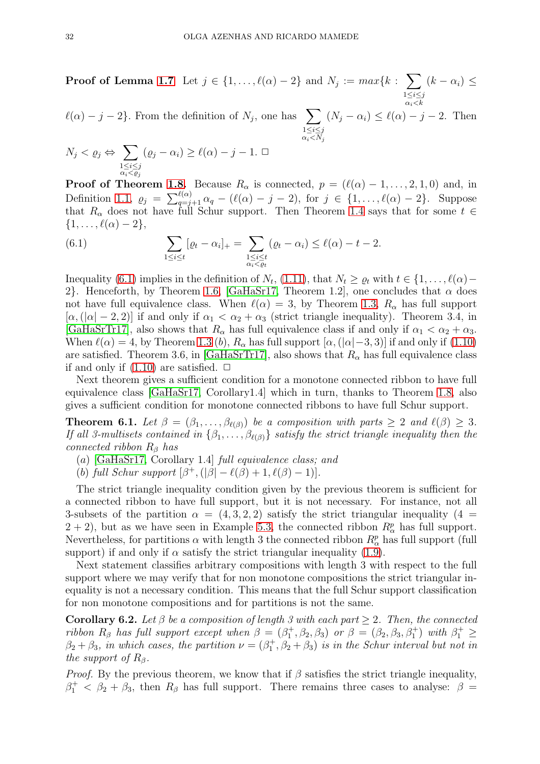**Proof of Lemma [1.7](#page-5-0)** Let  $j \in \{1, ..., \ell(\alpha) - 2\}$  and  $N_j := max\{k : \sum_{j=1}^{n}$  $1\leq i\leq j$  $\alpha_i$   $\lt k$  $(k - \alpha_i) \leq$ 

 $\ell(\alpha) - j - 2$ . From the definition of  $N_j$ , one has  $\sum$  $1\leq i\leq j$  $\alpha_i$   $\lt N_j$  $(N_j - \alpha_i) \leq \ell(\alpha) - j - 2$ . Then

$$
N_j < \varrho_j \Leftrightarrow \sum_{\substack{1 \le i \le j \\ \alpha_i < \varrho_j}} (\varrho_j - \alpha_i) \ge \ell(\alpha) - j - 1. \ \Box
$$

**Proof of Theorem [1.8.](#page-5-1)** Because  $R_{\alpha}$  is connected,  $p = (\ell(\alpha) - 1, \ldots, 2, 1, 0)$  and, in Definition [1.1,](#page-3-1)  $\rho_j = \sum_{q=j+1}^{\ell(\alpha)} \alpha_q - (\ell(\alpha) - j - 2)$ , for  $j \in \{1, ..., \ell(\alpha) - 2\}$ . Suppose that  $R_{\alpha}$  does not have full Schur support. Then Theorem [1.4](#page-4-0) says that for some  $t \in$  $\{1,\ldots,\ell(\alpha)-2\},\$ 

<span id="page-31-1"></span>(6.1) 
$$
\sum_{1 \leq i \leq t} [\varrho_t - \alpha_i]_+ = \sum_{\substack{1 \leq i \leq t \\ \alpha_i < \varrho_t}} (\varrho_t - \alpha_i) \leq \ell(\alpha) - t - 2.
$$

Inequality [\(6.1\)](#page-31-1) implies in the definition of  $N_t$ , [\(1.11\)](#page-5-3), that  $N_t \geq \varrho_t$  with  $t \in \{1, ..., \ell(\alpha) - \ell(\alpha)\}$ 2}. Henceforth, by Theorem [1.6,](#page-5-2) [\[GaHaSr17,](#page-35-9) Theorem 1.2], one concludes that  $\alpha$  does not have full equivalence class. When  $\ell(\alpha) = 3$ , by Theorem [1.3,](#page-4-4)  $R_{\alpha}$  has full support  $[\alpha, (|\alpha|-2, 2)]$  if and only if  $\alpha_1 < \alpha_2 + \alpha_3$  (strict triangle inequality). Theorem 3.4, in [\[GaHaSrTr17\]](#page-35-10), also shows that  $R_{\alpha}$  has full equivalence class if and only if  $\alpha_1 < \alpha_2 + \alpha_3$ . When  $\ell(\alpha) = 4$ , by Theorem [1.3](#page-4-4) (b),  $R_{\alpha}$  has full support  $[\alpha, (|\alpha|-3, 3)]$  if and only if [\(1.10\)](#page-5-6) are satisfied. Theorem 3.6, in [\[GaHaSrTr17\]](#page-35-10), also shows that  $R_{\alpha}$  has full equivalence class if and only if  $(1.10)$  are satisfied.  $\Box$ 

Next theorem gives a sufficient condition for a monotone connected ribbon to have full equivalence class [\[GaHaSr17,](#page-35-9) Corollary1.4] which in turn, thanks to Theorem [1.8,](#page-5-1) also gives a sufficient condition for monotone connected ribbons to have full Schur support.

<span id="page-31-2"></span>**Theorem 6.1.** Let  $\beta = (\beta_1, \ldots, \beta_{\ell(\beta)})$  be a composition with parts  $\geq 2$  and  $\ell(\beta) \geq 3$ . If all 3-multisets contained in  $\{\beta_1,\ldots,\beta_{\ell(\beta)}\}$  satisfy the strict triangle inequality then the connected ribbon  $R_\beta$  has

- (a) [\[GaHaSr17,](#page-35-9) Corollary 1.4] full equivalence class; and
- (b) full Schur support  $[\beta^+, (|\beta| \ell(\beta) + 1, \ell(\beta) 1)].$

The strict triangle inequality condition given by the previous theorem is sufficient for a connected ribbon to have full support, but it is not necessary. For instance, not all 3-subsets of the partition  $\alpha = (4, 3, 2, 2)$  satisfy the strict triangular inequality  $(4 =$  $2 + 2$ , but as we have seen in Example [5.3,](#page-30-1) the connected ribbon  $R_{\alpha}^{p}$  has full support. Nevertheless, for partitions  $\alpha$  with length 3 the connected ribbon  $R^p_\alpha$  has full support (full support) if and only if  $\alpha$  satisfy the strict triangular inequality [\(1.9\)](#page-5-5).

Next statement classifies arbitrary compositions with length 3 with respect to the full support where we may verify that for non monotone compositions the strict triangular inequality is not a necessary condition. This means that the full Schur support classification for non monotone compositions and for partitions is not the same.

<span id="page-31-0"></span>Corollary 6.2. Let  $\beta$  be a composition of length 3 with each part > 2. Then, the connected ribbon  $R_\beta$  has full support except when  $\beta = (\beta_1^+, \beta_2, \beta_3)$  or  $\beta = (\beta_2, \beta_3, \beta_1^+)$  with  $\beta_1^+ \ge$  $\beta_2 + \beta_3$ , in which cases, the partition  $\nu = (\beta_1^+, \beta_2 + \beta_3)$  is in the Schur interval but not in the support of  $R_\beta$ .

*Proof.* By the previous theorem, we know that if  $\beta$  satisfies the strict triangle inequality,  $\beta_1^+$  <  $\beta_2 + \beta_3$ , then  $R_\beta$  has full support. There remains three cases to analyse:  $\beta =$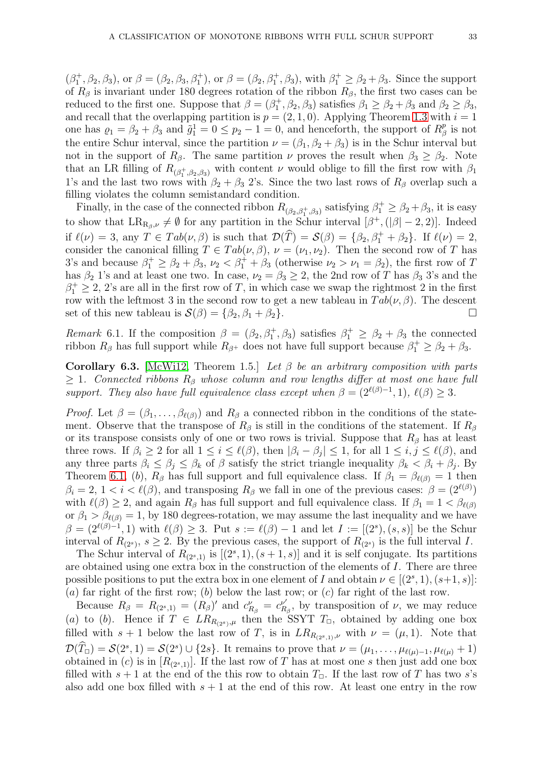$(\beta_1^+, \beta_2, \beta_3)$ , or  $\beta = (\beta_2, \beta_3, \beta_1^+)$ , or  $\beta = (\beta_2, \beta_1^+, \beta_3)$ , with  $\beta_1^+ \geq \beta_2 + \beta_3$ . Since the support of  $R_\beta$  is invariant under 180 degrees rotation of the ribbon  $R_\beta$ , the first two cases can be reduced to the first one. Suppose that  $\beta = (\beta_1^+, \beta_2, \beta_3)$  satisfies  $\beta_1 \ge \beta_2 + \beta_3$  and  $\beta_2 \ge \beta_3$ , and recall that the overlapping partition is  $p = (2, 1, 0)$ . Applying Theorem [1.3](#page-4-4) with  $i = 1$ one has  $\varrho_1 = \beta_2 + \beta_3$  and  $\tilde{g}_1^1 = 0 \le p_2 - 1 = 0$ , and henceforth, the support of  $R^p_{\beta}$  $\frac{p}{\beta}$  is not the entire Schur interval, since the partition  $\nu = (\beta_1, \beta_2 + \beta_3)$  is in the Schur interval but not in the support of  $R_\beta$ . The same partition  $\nu$  proves the result when  $\beta_3 \geq \beta_2$ . Note that an LR filling of  $R_{(\beta_1^+, \beta_2, \beta_3)}$  with content  $\nu$  would oblige to fill the first row with  $\beta_1$ 1's and the last two rows with  $\beta_2 + \beta_3$  2's. Since the two last rows of  $R_\beta$  overlap such a filling violates the column semistandard condition.

Finally, in the case of the connected ribbon  $R_{(\beta_2,\beta_1^+,\beta_3)}$  satisfying  $\beta_1^+ \geq \beta_2 + \beta_3$ , it is easy to show that  $LR_{R_{\beta},\nu} \neq \emptyset$  for any partition in the Schur interval  $[\beta^+,([\beta]-2,2)]$ . Indeed if  $\ell(\nu) = 3$ , any  $T \in Tab(\nu, \beta)$  is such that  $\mathcal{D}(\widehat{T}) = \mathcal{S}(\beta) = {\beta_2, \beta_1^+ + \beta_2}.$  If  $\ell(\nu) = 2$ , consider the canonical filling  $T \in Tab(\nu, \beta), \nu = (\nu_1, \nu_2)$ . Then the second row of T has 3's and because  $\beta_1^+ \geq \beta_2 + \beta_3$ ,  $\nu_2 < \beta_1^+ + \beta_3$  (otherwise  $\nu_2 > \nu_1 = \beta_2$ ), the first row of T has  $\beta_2$  1's and at least one two. In case,  $\nu_2 = \beta_3 \geq 2$ , the 2nd row of T has  $\beta_3$  3's and the  $\beta_1^+ \geq 2$ , 2's are all in the first row of T, in which case we swap the rightmost 2 in the first row with the leftmost 3 in the second row to get a new tableau in  $Tab(\nu, \beta)$ . The descent set of this new tableau is  $\mathcal{S}(\beta) = {\beta_2, \beta_1 + \beta_2}.$ 

<span id="page-32-0"></span>Remark 6.1. If the composition  $\beta = (\beta_2, \beta_1^+, \beta_3)$  satisfies  $\beta_1^+ \geq \beta_2 + \beta_3$  the connected ribbon  $R_\beta$  has full support while  $R_{\beta^+}$  does not have full support because  $\beta_1^+ \geq \beta_2 + \beta_3$ .

Corollary 6.3. [\[McWi12,](#page-35-8) Theorem 1.5.] Let  $\beta$  be an arbitrary composition with parts  $\geq 1$ . Connected ribbons  $R_\beta$  whose column and row lengths differ at most one have full support. They also have full equivalence class except when  $\beta = (2^{\ell(\beta)-1}, 1), \ell(\beta) \geq 3$ .

*Proof.* Let  $\beta = (\beta_1, \ldots, \beta_{\ell(\beta)})$  and  $R_\beta$  a connected ribbon in the conditions of the statement. Observe that the transpose of  $R_\beta$  is still in the conditions of the statement. If  $R_\beta$ or its transpose consists only of one or two rows is trivial. Suppose that  $R_\beta$  has at least three rows. If  $\beta_i \geq 2$  for all  $1 \leq i \leq \ell(\beta)$ , then  $|\beta_i - \beta_j| \leq 1$ , for all  $1 \leq i, j \leq \ell(\beta)$ , and any three parts  $\beta_i \leq \beta_j \leq \beta_k$  of  $\beta$  satisfy the strict triangle inequality  $\beta_k < \beta_i + \beta_j$ . By Theorem [6.1,](#page-31-2) (b),  $R_\beta$  has full support and full equivalence class. If  $\beta_1 = \beta_{\ell(\beta)} = 1$  then  $\beta_i = 2, 1 < i < l(\beta)$ , and transposing  $R_\beta$  we fall in one of the previous cases:  $\beta = (2^{\ell(\beta)})$ with  $\ell(\beta) \geq 2$ , and again  $R_{\beta}$  has full support and full equivalence class. If  $\beta_1 = 1 < \beta_{\ell(\beta)}$ or  $\beta_1 > \beta_{\ell(\beta)} = 1$ , by 180 degrees-rotation, we may assume the last inequality and we have  $\beta = (2^{\ell(\beta)-1}, 1)$  with  $\ell(\beta) \geq 3$ . Put  $s := \ell(\beta) - 1$  and let  $I := [(2^s), (s, s)]$  be the Schur interval of  $R_{(2^s)}$ ,  $s \geq 2$ . By the previous cases, the support of  $R_{(2^s)}$  is the full interval I.

The Schur interval of  $R_{(2^s,1)}$  is  $[(2^s,1),(s+1,s)]$  and it is self conjugate. Its partitions are obtained using one extra box in the construction of the elements of I. There are three possible positions to put the extra box in one element of I and obtain  $\nu \in [(2^s, 1), (s+1, s)]$ : (a) far right of the first row; (b) below the last row; or (c) far right of the last row.

Because  $R_{\beta} = R_{(2^s,1)} = (R_{\beta})'$  and  $c_{R_{\beta}}^{\nu} = c_R^{\nu'}$  $\mu_{R_{\beta}}^{\nu}$ , by transposition of  $\nu$ , we may reduce (a) to (b). Hence if  $T \in LR_{R_{(2^s)},\mu}$  then the SSYT  $T_{\Box}$ , obtained by adding one box filled with  $s + 1$  below the last row of T, is in  $LR_{R_{(2^s,1)},\nu}$  with  $\nu = (\mu,1)$ . Note that  $\mathcal{D}(T_{\Box}) = \mathcal{S}(2^{s}, 1) = \mathcal{S}(2^{s}) \cup \{2s\}.$  It remains to prove that  $\nu = (\mu_1, \ldots, \mu_{\ell(\mu)-1}, \mu_{\ell(\mu)} + 1)$ obtained in (c) is in  $[R_{(2^s,1)}]$ . If the last row of T has at most one s then just add one box filled with  $s + 1$  at the end of the this row to obtain  $T_{\Box}$ . If the last row of T has two s's also add one box filled with  $s + 1$  at the end of this row. At least one entry in the row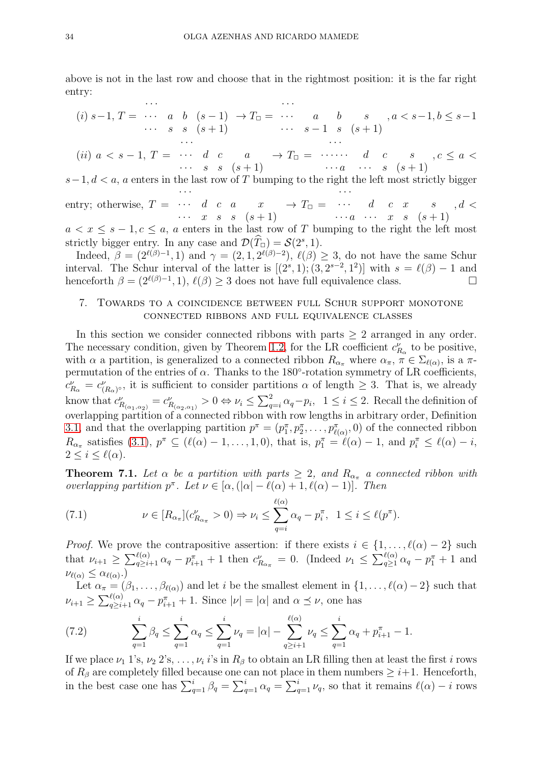above is not in the last row and choose that in the rightmost position: it is the far right entry:

(i) 
$$
s-1
$$
,  $T = \cdots$  a b  $(s-1) \rightarrow T_{\square} = \cdots$  a b  $s$ ,  $a < s-1, b \le s-1$   
\n...  $s$   $s$   $(s+1)$   $\cdots$   $s-1$   $s$   $(s+1)$ 

· · ·

 $(ii) \ a \ < \ s - 1, \ T = \ \cdots \ \ d \ \ c \ \ a$  $\cdots$  s s  $(s+1)$  $\rightarrow T_{\square} = \cdots \cdots \cdots d \quad c \quad s$  $\cdots a \quad \cdots \quad s \quad (s+1)$  $,c \leq a <$ 

 $s-1, d < a$ , a enters in the last row of T bumping to the right the left most strictly bigger · · · · · ·

entry; otherwise,  $T =$  $\cdots$  d c a x  $\cdots$  x s s  $(s+1)$  $\rightarrow T_{\Box} =$  $\cdots$  d c x s  $\cdots a \quad \cdots \quad x \quad s \quad (s+1)$  $, d <$ 

 $a < x \leq s - 1, c \leq a$ , a enters in the last row of T bumping to the right the left most strictly bigger entry. In any case and  $\mathcal{D}(\widehat{T}_{\square}) = \mathcal{S}(2^s, 1)$ .

Indeed,  $\beta = (2^{\ell(\beta)-1}, 1)$  and  $\gamma = (2, 1, 2^{\ell(\beta)-2}), \ell(\beta) \geq 3$ , do not have the same Schur interval. The Schur interval of the latter is  $[(2^s,1); (3,2^{s-2},1^2)]$  with  $s = \ell(\beta) - 1$  and henceforth  $\beta = (2^{\ell(\beta)-1}, 1), \ell(\beta) \geq 3$  does not have full equivalence class.

## <span id="page-33-0"></span>7. Towards to a coincidence between full Schur support monotone connected ribbons and full equivalence classes

In this section we consider connected ribbons with parts  $\geq 2$  arranged in any order. The necessary condition, given by Theorem [1.2,](#page-4-3) for the LR coefficient  $c_{R_{\alpha}}^{\nu}$  to be positive, with  $\alpha$  a partition, is generalized to a connected ribbon  $R_{\alpha_{\pi}}$  where  $\alpha_{\pi}$ ,  $\pi \in \Sigma_{\ell(\alpha)}$ , is a  $\pi$ permutation of the entries of  $\alpha$ . Thanks to the 180 $^{\circ}$ -rotation symmetry of LR coefficients,  $c_{R_{\alpha}}^{\nu} = c_{(R_{\alpha})^{\circ}}^{\nu}$ , it is sufficient to consider partitions  $\alpha$  of length  $\geq 3$ . That is, we already know that  $c_{R_{(\alpha_1,\alpha_2)}}^{\nu}=c_{R_{(\alpha_2,\alpha_1)}}^{\nu}>0 \Leftrightarrow \nu_i \leq \sum_{q=i}^{2} \alpha_q - p_i$ ,  $1 \leq i \leq 2$ . Recall the definition of overlapping partition of a connected ribbon with row lengths in arbitrary order, Definition [3.1,](#page-13-1) and that the overlapping partition  $p^{\pi} = (p_1^{\pi}, p_2^{\pi}, \ldots, p_{\ell(\alpha)}^{\pi}, 0)$  of the connected ribbon  $R_{\alpha_{\pi}}$  satisfies [\(3.1\)](#page-13-1),  $p^{\pi} \subseteq (\ell(\alpha) - 1, \ldots, 1, 0)$ , that is,  $p_1^{\pi} = \ell(\alpha) - 1$ , and  $p_i^{\pi} \leq \ell(\alpha) - i$ ,  $2 \leq i \leq \ell(\alpha)$ .

<span id="page-33-1"></span>**Theorem 7.1.** Let  $\alpha$  be a partition with parts  $\geq 2$ , and  $R_{\alpha_{\pi}}$  a connected ribbon with overlapping partition  $p^{\pi}$ . Let  $\nu \in [\alpha, (\vert \alpha \vert - \ell(\alpha) + 1, \ell(\alpha) - 1)].$  Then

<span id="page-33-2"></span>(7.1) 
$$
\nu \in [R_{\alpha_{\pi}}](c_{R_{\alpha_{\pi}}}^{\nu} > 0) \Rightarrow \nu_{i} \leq \sum_{q=i}^{\ell(\alpha)} \alpha_{q} - p_{i}^{\pi}, \ \ 1 \leq i \leq \ell(p^{\pi}).
$$

*Proof.* We prove the contrapositive assertion: if there exists  $i \in \{1, \ldots, \ell(\alpha) - 2\}$  such that  $\nu_{i+1} \geq \sum_{q \geq i+1}^{\ell(\alpha)} \alpha_q - p_{i+1}^{\pi} + 1$  then  $c_{R_{\alpha_{\pi}}}^{\nu} = 0$ . (Indeed  $\nu_1 \leq \sum_{q \geq 1}^{\ell(\alpha)} \alpha_q - p_1^{\pi} + 1$  and  $\nu_{\ell(\alpha)} \leq \alpha_{\ell(\alpha)}$ .)

Let  $\alpha_{\pi} = (\beta_1, \ldots, \beta_{\ell(\alpha)})$  and let i be the smallest element in  $\{1, \ldots, \ell(\alpha) - 2\}$  such that  $\nu_{i+1} \geq \sum_{q \geq i+1}^{\ell(\alpha)} \alpha_q - p_{i+1}^{\pi} + 1$ . Since  $|\nu| = |\alpha|$  and  $\alpha \preceq \nu$ , one has

(7.2) 
$$
\sum_{q=1}^{i} \beta_q \leq \sum_{q=1}^{i} \alpha_q \leq \sum_{q=1}^{i} \nu_q = |\alpha| - \sum_{q \geq i+1}^{\ell(\alpha)} \nu_q \leq \sum_{q=1}^{i} \alpha_q + p_{i+1}^{\pi} - 1.
$$

If we place  $\nu_1$  1's,  $\nu_2$  2's, ...,  $\nu_i$  i's in  $R_\beta$  to obtain an LR filling then at least the first i rows of  $R_\beta$  are completely filled because one can not place in them numbers  $\geq i+1$ . Henceforth, in the best case one has  $\sum_{q=1}^{i} \beta_q = \sum_{q=1}^{i} \alpha_q = \sum_{q=1}^{i} \nu_q$ , so that it remains  $\ell(\alpha) - i$  rows

· · ·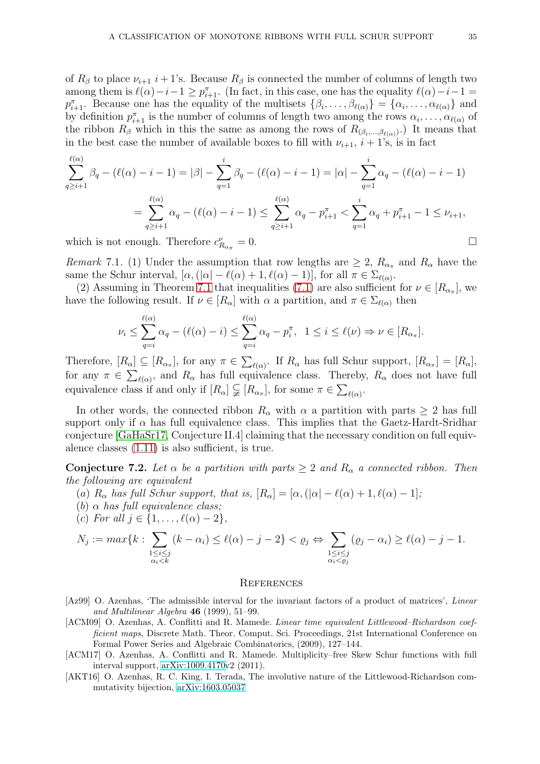of  $R_\beta$  to place  $\nu_{i+1}$  i + 1's. Because  $R_\beta$  is connected the number of columns of length two among them is  $\ell(\alpha) - i - 1 \ge p_{i+1}^{\pi}$ . (In fact, in this case, one has the equality  $\ell(\alpha) - i - 1 =$  $p_{i+1}^{\pi}$ . Because one has the equality of the multisets  $\{\beta_i,\ldots,\beta_{\ell(\alpha)}\} = \{\alpha_i,\ldots,\alpha_{\ell(\alpha)}\}$  and by definition  $p_{i+1}^{\pi}$  is the number of columns of length two among the rows  $\alpha_i, \ldots, \alpha_{\ell(\alpha)}$  of the ribbon  $R_\beta$  which in this the same as among the rows of  $R_{(\beta_i,\dots,\beta_{\ell(\alpha)})}$ . It means that in the best case the number of available boxes to fill with  $\nu_{i+1}$ ,  $i + 1$ 's, is in fact

$$
\sum_{q\geq i+1}^{\ell(\alpha)} \beta_q - (\ell(\alpha) - i - 1) = |\beta| - \sum_{q=1}^i \beta_q - (\ell(\alpha) - i - 1) = |\alpha| - \sum_{q=1}^i \alpha_q - (\ell(\alpha) - i - 1)
$$
  
= 
$$
\sum_{q\geq i+1}^{\ell(\alpha)} \alpha_q - (\ell(\alpha) - i - 1) \leq \sum_{q\geq i+1}^{\ell(\alpha)} \alpha_q - p_{i+1}^{\pi} < \sum_{q=1}^i \alpha_q + p_{i+1}^{\pi} - 1 \leq \nu_{i+1},
$$
 which is not enough. Therefore  $c_{R_{\alpha-}}^{\nu} = 0$ .

which is not enough. Therefore  $c_{R_{\alpha_{\pi}}}^{\nu}$ 

<span id="page-34-3"></span>*Remark* 7.1. (1) Under the assumption that row lengths are  $\geq 2$ ,  $R_{\alpha_{\pi}}$  and  $R_{\alpha}$  have the same the Schur interval,  $[\alpha, (|\alpha| - \ell(\alpha) + 1, \ell(\alpha) - 1)]$ , for all  $\pi \in \Sigma_{\ell(\alpha)}$ .

(2) Assuming in Theorem [7.1](#page-33-1) that inequalities [\(7.1\)](#page-33-2) are also sufficient for  $\nu \in [R_{\alpha_{\pi}}]$ , we have the following result. If  $\nu \in [R_{\alpha}]$  with  $\alpha$  a partition, and  $\pi \in \Sigma_{\ell(\alpha)}$  then

$$
\nu_i \leq \sum_{q=i}^{\ell(\alpha)} \alpha_q - (\ell(\alpha) - i) \leq \sum_{q=i}^{\ell(\alpha)} \alpha_q - p_i^{\pi}, \quad 1 \leq i \leq \ell(\nu) \Rightarrow \nu \in [R_{\alpha_{\pi}}].
$$

Therefore,  $[R_{\alpha}] \subseteq [R_{\alpha_{\pi}}]$ , for any  $\pi \in \sum_{\ell(\alpha)}$ . If  $R_{\alpha}$  has full Schur support,  $[R_{\alpha_{\pi}}] = [R_{\alpha}]$ , for any  $\pi \in \sum_{\ell(\alpha)}$ , and  $R_{\alpha}$  has full equivalence class. Thereby,  $R_{\alpha}$  does not have full equivalence class if and only if  $[R_{\alpha}] \subsetneq [R_{\alpha_{\pi}}]$ , for some  $\pi \in \sum_{\ell(\alpha)}$ .

In other words, the connected ribbon  $R_{\alpha}$  with  $\alpha$  a partition with parts  $\geq 2$  has full support only if  $\alpha$  has full equivalence class. This implies that the Gaetz-Hardt-Sridhar conjecture [\[GaHaSr17,](#page-35-9) Conjecture II.4] claiming that the necessary condition on full equivalence classes [\(1.11\)](#page-5-3) is also sufficient, is true.

**Conjecture 7.2.** Let  $\alpha$  be a partition with parts  $\geq 2$  and  $R_{\alpha}$  a connected ribbon. Then the following are equivalent

- (a)  $R_{\alpha}$  has full Schur support, that is,  $[R_{\alpha}] = [\alpha, (|\alpha| \ell(\alpha) + 1, \ell(\alpha) 1];$
- (b)  $\alpha$  has full equivalence class;
- (c) For all  $j \in \{1, \ldots, \ell(\alpha) 2\},\$

$$
N_j := \max\{k : \sum_{\substack{1 \le i \le j \\ \alpha_i < k}} (k - \alpha_i) \le \ell(\alpha) - j - 2\} < \varrho_j \Leftrightarrow \sum_{\substack{1 \le i \le j \\ \alpha_i < \varrho_j}} (\varrho_j - \alpha_i) \ge \ell(\alpha) - j - 1.
$$

### **REFERENCES**

- <span id="page-34-0"></span>[Az99] O. Azenhas, 'The admissible interval for the invariant factors of a product of matrices', *Linear and Multilinear Algebra* 46 (1999), 51–99.
- <span id="page-34-2"></span>[ACM09] O. Azenhas, A. Conflitti and R. Mamede. *Linear time equivalent Littlewood–Richardson coefficient maps*, Discrete Math. Theor. Comput. Sci. Proceedings, 21st International Conference on Formal Power Series and Algebraic Combinatorics, (2009), 127–144.
- <span id="page-34-1"></span>[ACM17] O. Azenhas, A. Conflitti and R. Mamede. Multiplicity–free Skew Schur functions with full interval support, [arXiv:1009.4170v](http://arxiv.org/abs/1009.4170)2 (2011).
- <span id="page-34-4"></span>[AKT16] O. Azenhas, R. C. King, I. Terada, The involutive nature of the Littlewood-Richardson commutativity bijection, [arXiv:1603.05037](http://arxiv.org/abs/1603.05037)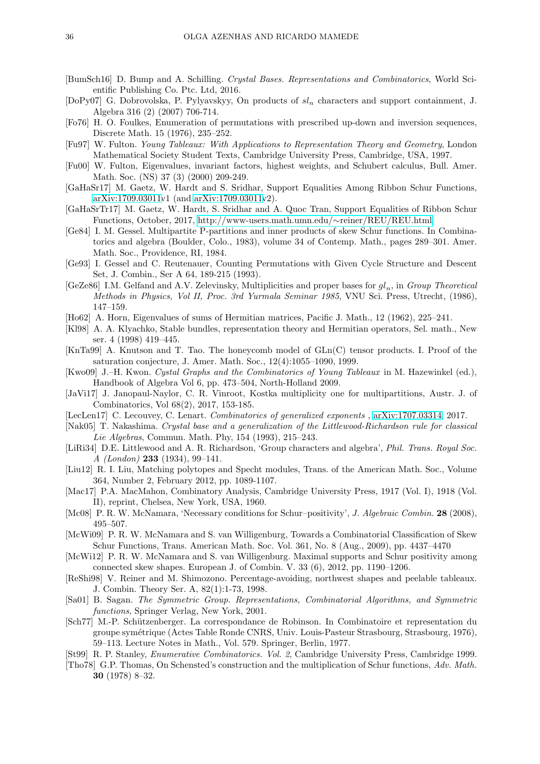- <span id="page-35-27"></span>[BumSch16] D. Bump and A. Schilling. *Crystal Bases. Representations and Combinatorics*, World Scientific Publishing Co. Ptc. Ltd, 2016.
- <span id="page-35-11"></span>[DoPy07] G. Dobrovolska, P. Pylyavskyy, On products of  $sl_n$  characters and support containment, J. Algebra 316 (2) (2007) 706-714.
- <span id="page-35-14"></span>[Fo76] H. O. Foulkes, Enumeration of permutations with prescribed up-down and inversion sequences, Discrete Math. 15 (1976), 235–252.
- <span id="page-35-23"></span>[Fu97] W. Fulton. *Young Tableaux: With Applications to Representation Theory and Geometry*, London Mathematical Society Student Texts, Cambridge University Press, Cambridge, USA, 1997.
- <span id="page-35-0"></span>[Fu00] W. Fulton, Eigenvalues, invariant factors, highest weights, and Schubert calculus, Bull. Amer. Math. Soc. (NS) 37 (3) (2000) 209-249.
- <span id="page-35-9"></span>[GaHaSr17] M. Gaetz, W. Hardt and S. Sridhar, Support Equalities Among Ribbon Schur Functions, [arXiv:1709.03011v](http://arxiv.org/abs/1709.03011)1 (and [arXiv:1709.03011v](http://arxiv.org/abs/1709.03011)2).
- <span id="page-35-10"></span>[GaHaSrTr17] M. Gaetz, W. Hardt, S. Sridhar and A. Quoc Tran, Support Equalities of Ribbon Schur Functions, October, 2017, [http://www-users.math.umn.edu/](http://www-users.math.umn.edu/~reiner/REU/REU.html)∼reiner/REU/REU.html.
- <span id="page-35-20"></span>[Ge84] I. M. Gessel. Multipartite P-partitions and inner products of skew Schur functions. In Combinatorics and algebra (Boulder, Colo., 1983), volume 34 of Contemp. Math., pages 289–301. Amer. Math. Soc., Providence, RI, 1984.
- <span id="page-35-21"></span>[Ge93] I. Gessel and C. Reutenauer, Counting Permutations with Given Cycle Structure and Descent Set, J. Combin., Ser A 64, 189-215 (1993).
- <span id="page-35-25"></span> $[GeZe86]$  I.M. Gelfand and A.V. Zelevinsky, Multiplicities and proper bases for  $gl_n$ , in *Group Theoretical Methods in Physics, Vol II, Proc. 3rd Yurmala Seminar 1985*, VNU Sci. Press, Utrecht, (1986), 147–159.
- <span id="page-35-4"></span>[Ho62] A. Horn, Eigenvalues of sums of Hermitian matrices, Pacific J. Math., 12 (1962), 225–241.
- <span id="page-35-5"></span>[Kl98] A. A. Klyachko, Stable bundles, representation theory and Hermitian operators, Sel. math., New ser. 4 (1998) 419–445.
- <span id="page-35-6"></span>[KnTa99] A. Knutson and T. Tao. The honeycomb model of GLn(C) tensor products. I. Proof of the saturation conjecture, J. Amer. Math. Soc., 12(4):1055–1090, 1999.
- <span id="page-35-26"></span>[Kwo09] J.–H. Kwon. *Cystal Graphs and the Combinatorics of Young Tableaux* in M. Hazewinkel (ed.), Handbook of Algebra Vol 6, pp. 473–504, North-Holland 2009.
- <span id="page-35-22"></span>[JaVi17] J. Janopaul-Naylor, C. R. Vinroot, Kostka multiplicity one for multipartitions, Austr. J. of Combinatorics, Vol 68(2), 2017, 153-185.
- <span id="page-35-18"></span>[LecLen17] C. Lecouvey, C. Lenart. *Combinatorics of generalized exponents* , [arXiv:1707.03314,](http://arxiv.org/abs/1707.03314) 2017.
- <span id="page-35-19"></span>[Nak05] T. Nakashima. *Crystal base and a generalization of the Littlewood-Richardson rule for classical Lie Algebras*, Commun. Math. Phy, 154 (1993), 215–243.
- <span id="page-35-1"></span>[LiRi34] D.E. Littlewood and A. R. Richardson, 'Group characters and algebra', *Phil. Trans. Royal Soc. A (London)* 233 (1934), 99–141.
- <span id="page-35-16"></span>[Liu12] R. I. Liu, Matching polytopes and Specht modules, Trans. of the American Math. Soc., Volume 364, Number 2, February 2012, pp. 1089-1107.
- <span id="page-35-13"></span>[Mac17] P.A. MacMahon, Combinatory Analysis, Cambridge University Press, 1917 (Vol. I), 1918 (Vol. II), reprint, Chelsea, New York, USA, 1960.
- <span id="page-35-7"></span>[Mc08] P. R. W. McNamara, 'Necessary conditions for Schur–positivity', *J. Algebraic Combin.* 28 (2008), 495–507.
- <span id="page-35-12"></span>[McWi09] P. R. W. McNamara and S. van Willigenburg, Towards a Combinatorial Classification of Skew Schur Functions, Trans. American Math. Soc. Vol. 361, No. 8 (Aug., 2009), pp. 4437–4470
- <span id="page-35-8"></span>[McWi12] P. R. W. McNamara and S. van Willigenburg. Maximal supports and Schur positivity among connected skew shapes. European J. of Combin. V. 33 (6), 2012, pp. 1190–1206.
- <span id="page-35-15"></span>[ReShi98] V. Reiner and M. Shimozono. Percentage-avoiding, northwest shapes and peelable tableaux. J. Combin. Theory Ser. A, 82(1):1-73, 1998.
- <span id="page-35-24"></span>[Sa01] B. Sagan. *The Symmetric Group. Representations, Combinatorial Algorithms, and Symmetric functions*, Springer Verlag, New York, 2001.
- <span id="page-35-2"></span>[Sch77] M.-P. Sch¨utzenberger. La correspondance de Robinson. In Combinatoire et representation du groupe sym´etrique (Actes Table Ronde CNRS, Univ. Louis-Pasteur Strasbourg, Strasbourg, 1976), 59–113. Lecture Notes in Math., Vol. 579. Springer, Berlin, 1977.
- <span id="page-35-17"></span>[St99] R. P. Stanley, *Enumerative Combinatorics. Vol. 2*, Cambridge University Press, Cambridge 1999.
- <span id="page-35-3"></span>[Tho78] G.P. Thomas, On Schensted's construction and the multiplication of Schur functions, *Adv. Math.* 30 (1978) 8–32.